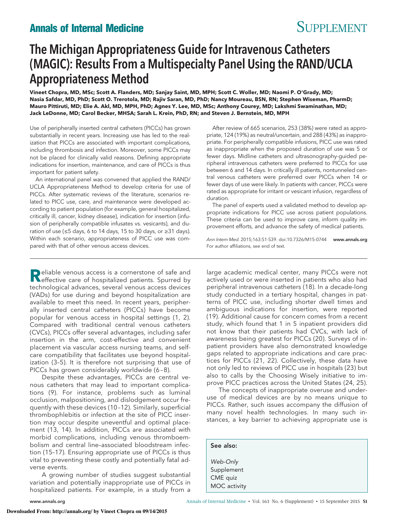# Annals of Internal Medicine SUPPLEMENT

# The Michigan Appropriateness Guide for Intravenous Catheters (MAGIC): Results From a Multispecialty Panel Using the RAND/UCLA Appropriateness Method

**Vineet Chopra, MD, MSc; Scott A. Flanders, MD; Sanjay Saint, MD, MPH; Scott C. Woller, MD; Naomi P. O'Grady, MD; Nasia Safdar, MD, PhD; Scott O. Trerotola, MD; Rajiv Saran, MD, PhD; Nancy Moureau, BSN, RN; Stephen Wiseman, PharmD; Mauro Pittiruti, MD; Elie A. Akl, MD, MPH, PhD; Agnes Y. Lee, MD, MSc; Anthony Courey, MD; Lakshmi Swaminathan, MD; Jack LeDonne, MD; Carol Becker, MHSA; Sarah L. Krein, PhD, RN; and Steven J. Bernstein, MD, MPH**

Use of peripherally inserted central catheters (PICCs) has grown substantially in recent years. Increasing use has led to the realization that PICCs are associated with important complications, including thrombosis and infection. Moreover, some PICCs may not be placed for clinically valid reasons. Defining appropriate indications for insertion, maintenance, and care of PICCs is thus important for patient safety.

An international panel was convened that applied the RAND/ UCLA Appropriateness Method to develop criteria for use of PICCs. After systematic reviews of the literature, scenarios related to PICC use, care, and maintenance were developed according to patient population (for example, general hospitalized, critically ill, cancer, kidney disease), indication for insertion (infusion of peripherally compatible infusates vs. vesicants), and duration of use (≤5 days, 6 to 14 days, 15 to 30 days, or ≥31 days). Within each scenario, appropriateness of PICC use was compared with that of other venous access devices.

**Reliable venous access is a cornerstone of safe and <b>Reflective** care of hospitalized patients. Spurred by technological advances, several venous access devices (VADs) for use during and beyond hospitalization are available to meet this need. In recent years, peripherally inserted central catheters (PICCs) have become popular for venous access in hospital settings (1, 2). Compared with traditional central venous catheters (CVCs), PICCs offer several advantages, including safer insertion in the arm, cost-effective and convenient placement via vascular access nursing teams, and selfcare compatibility that facilitates use beyond hospitalization (3–5). It is therefore not surprising that use of PICCs has grown considerably worldwide (6-8).

Despite these advantages, PICCs are central venous catheters that may lead to important complications (9). For instance, problems such as luminal occlusion, malpositioning, and dislodgement occur frequently with these devices (10 –12). Similarly, superficial thrombophlebitis or infection at the site of PICC insertion may occur despite uneventful and optimal placement (13, 14). In addition, PICCs are associated with morbid complications, including venous thromboembolism and central line–associated bloodstream infection (15–17). Ensuring appropriate use of PICCs is thus vital to preventing these costly and potentially fatal adverse events.

A growing number of studies suggest substantial variation and potentially inappropriate use of PICCs in hospitalized patients. For example, in a study from a

**Downloaded From: http://annals.org/ by Vineet Chopra on 09/14/2015**

After review of 665 scenarios, 253 (38%) were rated as appropriate, 124 (19%) as neutral/uncertain, and 288 (43%) as inappropriate. For peripherally compatible infusions, PICC use was rated as inappropriate when the proposed duration of use was 5 or fewer days. Midline catheters and ultrasonography-guided peripheral intravenous catheters were preferred to PICCs for use between 6 and 14 days. In critically ill patients, nontunneled central venous catheters were preferred over PICCs when 14 or fewer days of use were likely. In patients with cancer, PICCs were rated as appropriate for irritant or vesicant infusion, regardless of duration.

The panel of experts used a validated method to develop appropriate indications for PICC use across patient populations. These criteria can be used to improve care, inform quality improvement efforts, and advance the safety of medical patients.

*Ann Intern Med.* 2015;163:S1-S39. doi:10.7326/M15-0744 www.annals.org For author affiliations, see end of text.

large academic medical center, many PICCs were not actively used or were inserted in patients who also had peripheral intravenous catheters (18). In a decade-long study conducted in a tertiary hospital, changes in patterns of PICC use, including shorter dwell times and ambiguous indications for insertion, were reported (19). Additional cause for concern comes from a recent study, which found that 1 in 5 inpatient providers did not know that their patients had CVCs, with lack of awareness being greatest for PICCs (20). Surveys of inpatient providers have also demonstrated knowledge gaps related to appropriate indications and care practices for PICCs (21, 22). Collectively, these data have not only led to reviews of PICC use in hospitals (23) but also to calls by the Choosing Wisely initiative to improve PICC practices across the United States (24, 25).

The concepts of inappropriate overuse and underuse of medical devices are by no means unique to PICCs. Rather, such issues accompany the diffusion of many novel health technologies. In many such instances, a key barrier to achieving appropriate use is

| See also:    |  |  |
|--------------|--|--|
| Web-Only     |  |  |
| Supplement   |  |  |
| CME quiz     |  |  |
| MOC activity |  |  |
|              |  |  |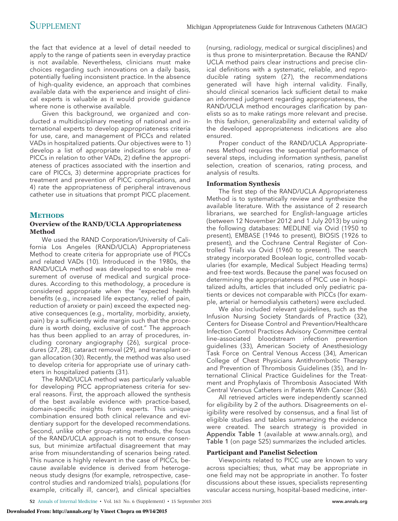the fact that evidence at a level of detail needed to apply to the range of patients seen in everyday practice is not available. Nevertheless, clinicians must make choices regarding such innovations on a daily basis, potentially fueling inconsistent practice. In the absence of high-quality evidence, an approach that combines available data with the experience and insight of clinical experts is valuable as it would provide guidance where none is otherwise available.

Given this background, we organized and conducted a multidisciplinary meeting of national and international experts to develop appropriateness criteria for use, care, and management of PICCs and related VADs in hospitalized patients. Our objectives were to 1) develop a list of appropriate indications for use of PICCs in relation to other VADs, 2) define the appropriateness of practices associated with the insertion and care of PICCs, 3) determine appropriate practices for treatment and prevention of PICC complications, and 4) rate the appropriateness of peripheral intravenous catheter use in situations that prompt PICC placement.

## **METHODS**

## **Overview of the RAND/UCLA Appropriateness Method**

We used the RAND Corporation/University of California Los Angeles (RAND/UCLA) Appropriateness Method to create criteria for appropriate use of PICCs and related VADs (10). Introduced in the 1980s, the RAND/UCLA method was developed to enable measurement of overuse of medical and surgical procedures. According to this methodology, a procedure is considered appropriate when the "expected health benefits (e.g., increased life expectancy, relief of pain, reduction of anxiety or pain) exceed the expected negative consequences (e.g., mortality, morbidity, anxiety, pain) by a sufficiently wide margin such that the procedure is worth doing, exclusive of cost." The approach has thus been applied to an array of procedures, including coronary angiography (26), surgical procedures (27, 28), cataract removal (29), and transplant organ allocation (30). Recently, the method was also used to develop criteria for appropriate use of urinary catheters in hospitalized patients (31).

The RAND/UCLA method was particularly valuable for developing PICC appropriateness criteria for several reasons. First, the approach allowed the synthesis of the best available evidence with practice-based, domain-specific insights from experts. This unique combination ensured both clinical relevance and evidentiary support for the developed recommendations. Second, unlike other group-rating methods, the focus of the RAND/UCLA approach is not to ensure consensus, but minimize artifactual disagreement that may arise from misunderstanding of scenarios being rated. This nuance is highly relevant in the case of PICCs, because available evidence is derived from heterogeneous study designs (for example, retrospective, case– control studies and randomized trials), populations (for example, critically ill, cancer), and clinical specialties

(nursing, radiology, medical or surgical disciplines) and is thus prone to misinterpretation. Because the RAND/ UCLA method pairs clear instructions and precise clinical definitions with a systematic, reliable, and reproducible rating system (27), the recommendations generated will have high internal validity. Finally, should clinical scenarios lack sufficient detail to make an informed judgment regarding appropriateness, the RAND/UCLA method encourages clarification by panelists so as to make ratings more relevant and precise. In this fashion, generalizability and external validity of the developed appropriateness indications are also ensured.

Proper conduct of the RAND/UCLA Appropriateness Method requires the sequential performance of several steps, including information synthesis, panelist selection, creation of scenarios, rating process, and analysis of results.

## **Information Synthesis**

The first step of the RAND/UCLA Appropriateness Method is to systematically review and synthesize the available literature. With the assistance of 2 research librarians, we searched for English-language articles (between 12 November 2012 and 1 July 2013) by using the following databases: MEDLINE via Ovid (1950 to present), EMBASE (1946 to present), BIOSIS (1926 to present), and the Cochrane Central Register of Controlled Trials via Ovid (1960 to present). The search strategy incorporated Boolean logic, controlled vocabularies (for example, Medical Subject Heading terms) and free-text words. Because the panel was focused on determining the appropriateness of PICC use in hospitalized adults, articles that included only pediatric patients or devices not comparable with PICCs (for example, arterial or hemodialysis catheters) were excluded.

We also included relevant guidelines, such as the Infusion Nursing Society Standards of Practice (32), Centers for Disease Control and Prevention/Healthcare Infection Control Practices Advisory Committee central line–associated bloodstream infection prevention guidelines (33), American Society of Anesthesiology Task Force on Central Venous Access (34), American College of Chest Physicians Antithrombotic Therapy and Prevention of Thrombosis Guidelines (35), and International Clinical Practice Guidelines for the Treatment and Prophylaxis of Thrombosis Associated With Central Venous Catheters in Patients With Cancer (36).

All retrieved articles were independently scanned for eligibility by 2 of the authors. Disagreements on eligibility were resolved by consensus, and a final list of eligible studies and tables summarizing the evidence were created. The search strategy is provided in Appendix Table 1 (available at [www.annals.org\)](http://www.annals.org), and Table 1 (on page S25) summarizes the included articles.

## **Participant and Panelist Selection**

Viewpoints related to PICC use are known to vary across specialties; thus, what may be appropriate in one field may not be appropriate in another. To foster discussions about these issues, specialists representing vascular access nursing, hospital-based medicine, inter-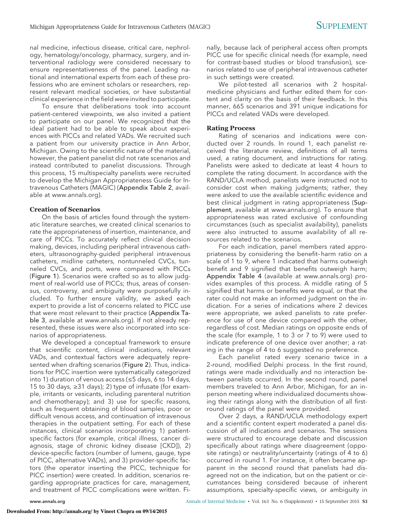nal medicine, infectious disease, critical care, nephrology, hematology/oncology, pharmacy, surgery, and interventional radiology were considered necessary to ensure representativeness of the panel. Leading national and international experts from each of these professions who are eminent scholars or researchers, represent relevant medical societies, or have substantial clinical experience in the field were invited to participate.

To ensure that deliberations took into account patient-centered viewpoints, we also invited a patient to participate on our panel. We recognized that the ideal patient had to be able to speak about experiences with PICCs and related VADs. We recruited such a patient from our university practice in Ann Arbor, Michigan. Owing to the scientific nature of the material, however, the patient panelist did not rate scenarios and instead contributed to panelist discussions. Through this process, 15 multispecialty panelists were recruited to develop the Michigan Appropriateness Guide for Intravenous Catheters (MAGIC) (Appendix Table 2, available at [www.annals.org\)](http://www.annals.org).

## **Creation of Scenarios**

On the basis of articles found through the systematic literature searches, we created clinical scenarios to rate the appropriateness of insertion, maintenance, and care of PICCs. To accurately reflect clinical decision making, devices, including peripheral intravenous catheters, ultrasonography-guided peripheral intravenous catheters, midline catheters, nontunneled CVCs, tunneled CVCs, and ports, were compared with PICCs (Figure 1). Scenarios were crafted so as to allow judgment of real-world use of PICCs; thus, areas of consensus, controversy, and ambiguity were purposefully included. To further ensure validity, we asked each expert to provide a list of concerns related to PICC use that were most relevant to their practice (Appendix Table 3, available at [www.annals.org\)](http://www.annals.org). If not already represented, these issues were also incorporated into scenarios of appropriateness.

We developed a conceptual framework to ensure that scientific content, clinical indications, relevant VADs, and contextual factors were adequately represented when drafting scenarios (Figure 2). Thus, indications for PICC insertion were systematically categorized into 1) duration of venous access (≤5 days, 6 to 14 days, 15 to 30 days,  $≥31$  days); 2) type of infusate (for example, irritants or vesicants, including parenteral nutrition and chemotherapy); and 3) use for specific reasons, such as frequent obtaining of blood samples, poor or difficult venous access, and continuation of intravenous therapies in the outpatient setting. For each of these instances, clinical scenarios incorporating 1) patientspecific factors (for example, critical illness, cancer diagnosis, stage of chronic kidney disease [CKD]), 2) device-specific factors (number of lumens, gauge, type of PICC, alternative VADs), and 3) provider-specific factors (the operator inserting the PICC, technique for PICC insertion) were created. In addition, scenarios regarding appropriate practices for care, management, and treatment of PICC complications were written. Fi-

nally, because lack of peripheral access often prompts PICC use for specific clinical needs (for example, need for contrast-based studies or blood transfusion), scenarios related to use of peripheral intravenous catheter in such settings were created.

We pilot-tested all scenarios with 2 hospitalmedicine physicians and further edited them for content and clarity on the basis of their feedback. In this manner, 665 scenarios and 391 unique indications for PICCs and related VADs were developed.

## **Rating Process**

Rating of scenarios and indications were conducted over 2 rounds. In round 1, each panelist received the literature review, definitions of all terms used, a rating document, and instructions for rating. Panelists were asked to dedicate at least 4 hours to complete the rating document. In accordance with the RAND/UCLA method, panelists were instructed not to consider cost when making judgments; rather, they were asked to use the available scientific evidence and best clinical judgment in rating appropriateness (Supplement, available at [www.annals.org\)](http://www.annals.org). To ensure that appropriateness was rated exclusive of confounding circumstances (such as specialist availability), panelists were also instructed to assume availability of all resources related to the scenarios.

For each indication, panel members rated appropriateness by considering the benefit– harm ratio on a scale of 1 to 9, where 1 indicated that harms outweigh benefit and 9 signified that benefits outweigh harm; Appendix Table 4 (available at [www.annals.org\)](http://www.annals.org) provides examples of this process. A middle rating of 5 signified that harms or benefits were equal, or that the rater could not make an informed judgment on the indication. For a series of indications where 2 devices were appropriate, we asked panelists to rate preference for use of one device compared with the other, regardless of cost. Median ratings on opposite ends of the scale (for example, 1 to 3 or 7 to 9) were used to indicate preference of one device over another; a rating in the range of 4 to 6 suggested no preference.

Each panelist rated every scenario twice in a 2-round, modified Delphi process. In the first round, ratings were made individually and no interaction between panelists occurred. In the second round, panel members traveled to Ann Arbor, Michigan, for an inperson meeting where individualized documents showing their ratings along with the distribution of all firstround ratings of the panel were provided.

Over 2 days, a RAND/UCLA methodology expert and a scientific content expert moderated a panel discussion of all indications and scenarios. The sessions were structured to encourage debate and discussion specifically about ratings where disagreement (opposite ratings) or neutrality/uncertainty (ratings of 4 to 6) occurred in round 1. For instance, it often became apparent in the second round that panelists had disagreed not on the indication, but on the patient or circumstances being considered because of inherent assumptions, specialty-specific views, or ambiguity in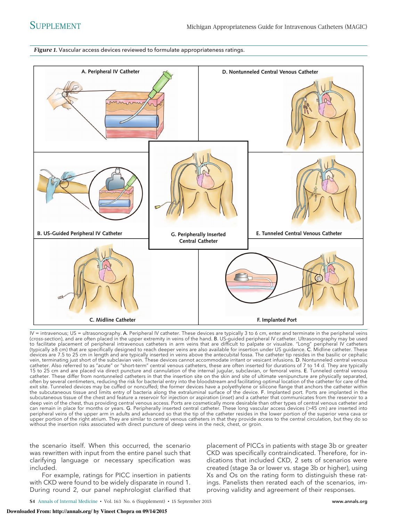*Figure 1.* Vascular access devices reviewed to formulate appropriateness ratings.



IV = intravenous; US = ultrasonography. A. Peripheral IV catheter. These devices are typically 3 to 6 cm, enter and terminate in the peripheral veins (*cross-section*), and are often placed in the upper extremity in veins of the hand. B. US-guided peripheral IV catheter. Ultrasonography may be used to facilitate placement of peripheral intravenous catheters in arm veins that are difficult to palpate or visualize. "Long" peripheral IV catheters<br>(typically ≥8 cm) that are specifically designed to reach deeper veins ar devices are 7.5 to 25 cm in length and are typically inserted in veins above the antecubital fossa. The catheter tip resides in the basilic or cephalic vein, terminating just short of the subclavian vein. These devices cannot accommodate irritant or vesicant infusions. D. Nontunneled central venous catheter. Also referred to as "acute" or "short-term" central venous catheters, these are often inserted for durations of 7 to 14 d. They are typically<br>15 to 25 cm and are placed via direct puncture and cannulation of the catheter. These differ from nontunneled catheters in that the insertion site on the skin and site of ultimate venipuncture are physically separated, often by several centimeters, reducing the risk for bacterial entry into the bloodstream and facilitating optimal location of the catheter for care of the exit site. Tunneled devices may be cuffed or noncuffed; the former devices have a polyethylene or silicone flange that anchors the catheter within the subcutaneous tissue and limits entry of bacteria along the extraluminal surface of the device. F. Implanted port. Ports are implanted in the subcutaneous tissue of the chest and feature a reservoir for injection or aspiration (*inset*) and a catheter that communicates from the reservoir to a deep vein of the chest, thus providing central venous access. Ports are cosmetically more desirable than other types of central venous catheter and can remain in place for months or years. G. Peripherally inserted central catheter. These long vascular access devices (>45 cm) are inserted into peripheral veins of the upper arm in adults and advanced so that the tip of the catheter resides in the lower portion of the superior vena cava or upper portion of the right atrium. They are similar to central venous catheters in that they provide access to the central circulation, but they do so without the insertion risks associated with direct puncture of deep veins in the neck, chest, or groin.

the scenario itself. When this occurred, the scenario was rewritten with input from the entire panel such that clarifying language or necessary specification was included.

For example, ratings for PICC insertion in patients with CKD were found to be widely disparate in round 1. During round 2, our panel nephrologist clarified that

placement of PICCs in patients with stage 3b or greater CKD was specifically contraindicated. Therefore, for indications that included CKD, 2 sets of scenarios were created (stage 3a or lower vs. stage 3b or higher), using Xs and Os on the rating form to distinguish these ratings. Panelists then rerated each of the scenarios, improving validity and agreement of their responses.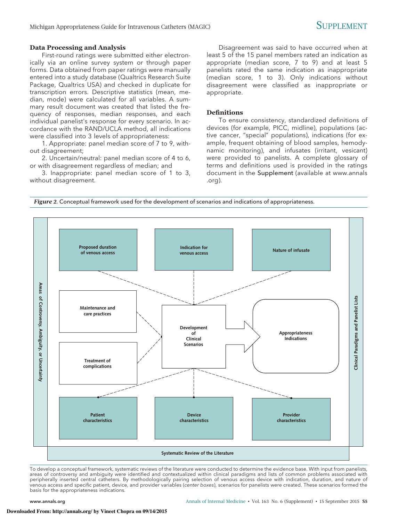## **Data Processing and Analysis**

First-round ratings were submitted either electronically via an online survey system or through paper forms. Data obtained from paper ratings were manually entered into a study database (Qualtrics Research Suite Package, Qualtrics USA) and checked in duplicate for transcription errors. Descriptive statistics (mean, median, mode) were calculated for all variables. A summary result document was created that listed the frequency of responses, median responses, and each individual panelist's response for every scenario. In accordance with the RAND/UCLA method, all indications were classified into 3 levels of appropriateness:

1. Appropriate: panel median score of 7 to 9, without disagreement;

2. Uncertain/neutral: panel median score of 4 to 6, or with disagreement regardless of median; and

3. Inappropriate: panel median score of 1 to 3, without disagreement.

Disagreement was said to have occurred when at least 5 of the 15 panel members rated an indication as appropriate (median score, 7 to 9) and at least 5 panelists rated the same indication as inappropriate (median score, 1 to 3). Only indications without disagreement were classified as inappropriate or appropriate.

## **Definitions**

To ensure consistency, standardized definitions of devices (for example, PICC, midline), populations (active cancer, "special" populations), indications (for example, frequent obtaining of blood samples, hemodynamic monitoring), and infusates (irritant, vesicant) were provided to panelists. A complete glossary of terms and definitions used is provided in the ratings document in the Supplement (available at [www.annals](http://www.annals.org) [.org\)](http://www.annals.org).





To develop a conceptual framework, systematic reviews of the literature were conducted to determine the evidence base. With input from panelists, areas of controversy and ambiguity were identified and contextualized within clinical paradigms and lists of common problems associated with peripherally inserted central catheters. By methodologically pairing selection of venous access device with indication, duration, and nature of venous access and specific patient, device, and provider variables (*center boxes*), scenarios for panelists were created. These scenarios formed the basis for the appropriateness indications.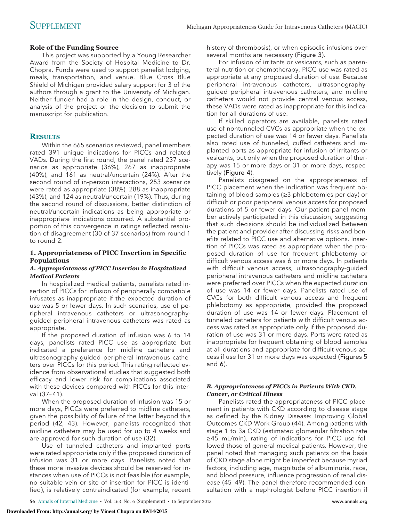## **Role of the Funding Source**

This project was supported by a Young Researcher Award from the Society of Hospital Medicine to Dr. Chopra. Funds were used to support panelist lodging, meals, transportation, and venue. Blue Cross Blue Shield of Michigan provided salary support for 3 of the authors through a grant to the University of Michigan. Neither funder had a role in the design, conduct, or analysis of the project or the decision to submit the manuscript for publication.

## **RESULTS**

Within the 665 scenarios reviewed, panel members rated 391 unique indications for PICCs and related VADs. During the first round, the panel rated 237 scenarios as appropriate (36%), 267 as inappropriate (40%), and 161 as neutral/uncertain (24%). After the second round of in-person interactions, 253 scenarios were rated as appropriate (38%), 288 as inappropriate (43%), and 124 as neutral/uncertain (19%). Thus, during the second round of discussions, better distinction of neutral/uncertain indications as being appropriate or inappropriate indications occurred. A substantial proportion of this convergence in ratings reflected resolution of disagreement (30 of 37 scenarios) from round 1 to round 2.

## **1. Appropriateness of PICC Insertion in Specific Populations**

## *A. Appropriateness of PICC Insertion in Hospitalized Medical Patients*

In hospitalized medical patients, panelists rated insertion of PICCs for infusion of peripherally compatible infusates as inappropriate if the expected duration of use was 5 or fewer days. In such scenarios, use of peripheral intravenous catheters or ultrasonographyguided peripheral intravenous catheters was rated as appropriate.

If the proposed duration of infusion was 6 to 14 days, panelists rated PICC use as appropriate but indicated a preference for midline catheters and ultrasonography-guided peripheral intravenous catheters over PICCs for this period. This rating reflected evidence from observational studies that suggested both efficacy and lower risk for complications associated with these devices compared with PICCs for this interval (37– 41).

When the proposed duration of infusion was 15 or more days, PICCs were preferred to midline catheters, given the possibility of failure of the latter beyond this period (42, 43). However, panelists recognized that midline catheters may be used for up to 4 weeks and are approved for such duration of use (32).

Use of tunneled catheters and implanted ports were rated appropriate only if the proposed duration of infusion was 31 or more days. Panelists noted that these more invasive devices should be reserved for instances when use of PICCs is not feasible (for example, no suitable vein or site of insertion for PICC is identified), is relatively contraindicated (for example, recent

history of thrombosis), or when episodic infusions over several months are necessary (Figure 3).

For infusion of irritants or vesicants, such as parenteral nutrition or chemotherapy, PICC use was rated as appropriate at any proposed duration of use. Because peripheral intravenous catheters, ultrasonographyguided peripheral intravenous catheters, and midline catheters would not provide central venous access, these VADs were rated as inappropriate for this indication for all durations of use.

If skilled operators are available, panelists rated use of nontunneled CVCs as appropriate when the expected duration of use was 14 or fewer days. Panelists also rated use of tunneled, cuffed catheters and implanted ports as appropriate for infusion of irritants or vesicants, but only when the proposed duration of therapy was 15 or more days or 31 or more days, respectively (Figure 4).

Panelists disagreed on the appropriateness of PICC placement when the indication was frequent obtaining of blood samples (≥3 phlebotomies per day) or difficult or poor peripheral venous access for proposed durations of 5 or fewer days. Our patient panel member actively participated in this discussion, suggesting that such decisions should be individualized between the patient and provider after discussing risks and benefits related to PICC use and alternative options. Insertion of PICCs was rated as appropriate when the proposed duration of use for frequent phlebotomy or difficult venous access was 6 or more days. In patients with difficult venous access, ultrasonography-guided peripheral intravenous catheters and midline catheters were preferred over PICCs when the expected duration of use was 14 or fewer days. Panelists rated use of CVCs for both difficult venous access and frequent phlebotomy as appropriate, provided the proposed duration of use was 14 or fewer days. Placement of tunneled catheters for patients with difficult venous access was rated as appropriate only if the proposed duration of use was 31 or more days. Ports were rated as inappropriate for frequent obtaining of blood samples at all durations and appropriate for difficult venous access if use for 31 or more days was expected (Figures 5 and 6).

## *B. Appropriateness of PICCs in Patients With CKD, Cancer, or Critical Illness*

Panelists rated the appropriateness of PICC placement in patients with CKD according to disease stage as defined by the Kidney Disease: Improving Global Outcomes CKD Work Group (44). Among patients with stage 1 to 3a CKD (estimated glomerular filtration rate ≥45 mL/min), rating of indications for PICC use followed those of general medical patients. However, the panel noted that managing such patients on the basis of CKD stage alone might be imperfect because myriad factors, including age, magnitude of albuminuria, race, and blood pressure, influence progression of renal disease (45– 49). The panel therefore recommended consultation with a nephrologist before PICC insertion if

**S6** Annals of Internal Medicine • Vol. 163 No. 6 (Supplement) • 15 September 2015 www.annals.org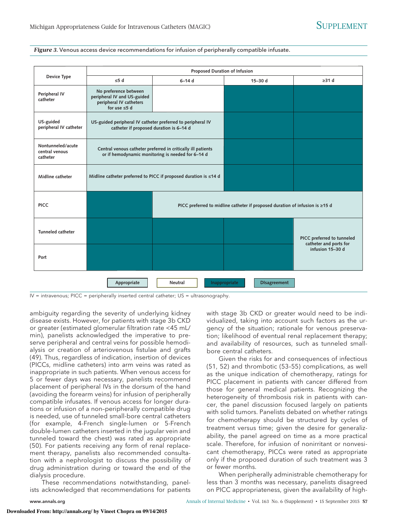### *Figure 3.* Venous access device recommendations for infusion of peripherally compatible infusate.

|                                                 |                                                                                                        | Proposed Duration of Infusion                                                                                     |                                                                              |                                                      |
|-------------------------------------------------|--------------------------------------------------------------------------------------------------------|-------------------------------------------------------------------------------------------------------------------|------------------------------------------------------------------------------|------------------------------------------------------|
| Device Type                                     | $\leq 5$ d                                                                                             | $6-14d$                                                                                                           | $15 - 30 d$                                                                  | $\geq$ 31 d                                          |
| Peripheral IV<br>catheter                       | No preference between<br>peripheral IV and US-guided<br>peripheral IV catheters<br>for use $\leq 5$ d  |                                                                                                                   |                                                                              |                                                      |
| US-guided<br>peripheral IV catheter             | US-guided peripheral IV catheter preferred to peripheral IV<br>catheter if proposed duration is 6-14 d |                                                                                                                   |                                                                              |                                                      |
| Nontunneled/acute<br>central venous<br>catheter |                                                                                                        | Central venous catheter preferred in critically ill patients<br>or if hemodynamic monitoring is needed for 6-14 d |                                                                              |                                                      |
| Midline catheter                                |                                                                                                        | Midline catheter preferred to PICC if proposed duration is ≤14 d                                                  |                                                                              |                                                      |
| <b>PICC</b>                                     |                                                                                                        |                                                                                                                   | PICC preferred to midline catheter if proposed duration of infusion is ≥15 d |                                                      |
| <b>Tunneled catheter</b>                        |                                                                                                        |                                                                                                                   |                                                                              | PICC preferred to tunneled<br>catheter and ports for |
| Port                                            |                                                                                                        |                                                                                                                   |                                                                              | infusion 15-30 d                                     |
|                                                 | Appropriate                                                                                            | Neutral                                                                                                           | Inappropriate<br><b>DIsagreement</b>                                         |                                                      |

 $IV =$  intravenous; PICC = peripherally inserted central catheter;  $US =$  ultrasonography.

ambiguity regarding the severity of underlying kidney disease exists. However, for patients with stage 3b CKD or greater (estimated glomerular filtration rate <45 mL/ min), panelists acknowledged the imperative to preserve peripheral and central veins for possible hemodialysis or creation of arteriovenous fistulae and grafts (49). Thus, regardless of indication, insertion of devices (PICCs, midline catheters) into arm veins was rated as inappropriate in such patients. When venous access for 5 or fewer days was necessary, panelists recommend placement of peripheral IVs in the dorsum of the hand (avoiding the forearm veins) for infusion of peripherally compatible infusates. If venous access for longer durations or infusion of a non–peripherally compatible drug is needed, use of tunneled small-bore central catheters (for example, 4-French single-lumen or 5-French double-lumen catheters inserted in the jugular vein and tunneled toward the chest) was rated as appropriate (50). For patients receiving any form of renal replacement therapy, panelists also recommended consultation with a nephrologist to discuss the possibility of drug administration during or toward the end of the dialysis procedure.

These recommendations notwithstanding, panelists acknowledged that recommendations for patients with stage 3b CKD or greater would need to be individualized, taking into account such factors as the urgency of the situation; rationale for venous preservation; likelihood of eventual renal replacement therapy; and availability of resources, such as tunneled smallbore central catheters.

Given the risks for and consequences of infectious (51, 52) and thrombotic (53–55) complications, as well as the unique indication of chemotherapy, ratings for PICC placement in patients with cancer differed from those for general medical patients. Recognizing the heterogeneity of thrombosis risk in patients with cancer, the panel discussion focused largely on patients with solid tumors. Panelists debated on whether ratings for chemotherapy should be structured by cycles of treatment versus time; given the desire for generalizability, the panel agreed on time as a more practical scale. Therefore, for infusion of nonirritant or nonvesicant chemotherapy, PICCs were rated as appropriate only if the proposed duration of such treatment was 3 or fewer months.

When peripherally administrable chemotherapy for less than 3 months was necessary, panelists disagreed on PICC appropriateness, given the availability of high-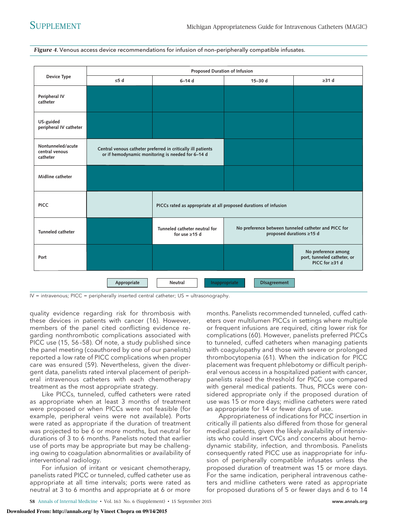### *Figure 4.* Venous access device recommendations for infusion of non–peripherally compatible infusates.

|                                                 |             | Proposed Duration of Infusion                                                                                     |                                                                                  |                                                                      |
|-------------------------------------------------|-------------|-------------------------------------------------------------------------------------------------------------------|----------------------------------------------------------------------------------|----------------------------------------------------------------------|
| Device Type                                     | $\leq 5$ d  | $6-14d$                                                                                                           | $15 - 30d$                                                                       | $\geq$ 31 d                                                          |
| Peripheral IV<br>catheter                       |             |                                                                                                                   |                                                                                  |                                                                      |
| US-guided<br>peripheral IV catheter             |             |                                                                                                                   |                                                                                  |                                                                      |
| Nontunneled/acute<br>central venous<br>catheter |             | Central venous catheter preferred in critically ill patients<br>or if hemodynamic monitoring is needed for 6-14 d |                                                                                  |                                                                      |
| Midline catheter                                |             |                                                                                                                   |                                                                                  |                                                                      |
| <b>PICC</b>                                     |             | PICCs rated as appropriate at all proposed durations of infusion                                                  |                                                                                  |                                                                      |
| <b>Tunneled catheter</b>                        |             | Tunneled catheter neutral for<br>for use ≥15 d                                                                    | No preference between tunneled catheter and PICC for<br>proposed durations ≥15 d |                                                                      |
| Port                                            |             |                                                                                                                   |                                                                                  | No preference among<br>port, tunneled catheter, or<br>PICC for ≥31 d |
|                                                 | Appropriate | Neutral                                                                                                           | Inappropriate<br><b>DIsagreement</b>                                             |                                                                      |

 $IV =$  intravenous; PICC = peripherally inserted central catheter;  $US =$  ultrasonography.

quality evidence regarding risk for thrombosis with these devices in patients with cancer (16). However, members of the panel cited conflicting evidence regarding nonthrombotic complications associated with PICC use (15, 56 –58). Of note, a study published since the panel meeting (coauthored by one of our panelists) reported a low rate of PICC complications when proper care was ensured (59). Nevertheless, given the divergent data, panelists rated interval placement of peripheral intravenous catheters with each chemotherapy treatment as the most appropriate strategy.

Like PICCs, tunneled, cuffed catheters were rated as appropriate when at least 3 months of treatment were proposed or when PICCs were not feasible (for example, peripheral veins were not available). Ports were rated as appropriate if the duration of treatment was projected to be 6 or more months, but neutral for durations of 3 to 6 months. Panelists noted that earlier use of ports may be appropriate but may be challenging owing to coagulation abnormalities or availability of interventional radiology.

For infusion of irritant or vesicant chemotherapy, panelists rated PICC or tunneled, cuffed catheter use as appropriate at all time intervals; ports were rated as neutral at 3 to 6 months and appropriate at 6 or more

months. Panelists recommended tunneled, cuffed catheters over multilumen PICCs in settings where multiple or frequent infusions are required, citing lower risk for complications (60). However, panelists preferred PICCs to tunneled, cuffed catheters when managing patients with coagulopathy and those with severe or prolonged thrombocytopenia (61). When the indication for PICC placement was frequent phlebotomy or difficult peripheral venous access in a hospitalized patient with cancer, panelists raised the threshold for PICC use compared with general medical patients. Thus, PICCs were considered appropriate only if the proposed duration of use was 15 or more days; midline catheters were rated as appropriate for 14 or fewer days of use.

Appropriateness of indications for PICC insertion in critically ill patients also differed from those for general medical patients, given the likely availability of intensivists who could insert CVCs and concerns about hemodynamic stability, infection, and thrombosis. Panelists consequently rated PICC use as inappropriate for infusion of peripherally compatible infusates unless the proposed duration of treatment was 15 or more days. For the same indication, peripheral intravenous catheters and midline catheters were rated as appropriate for proposed durations of 5 or fewer days and 6 to 14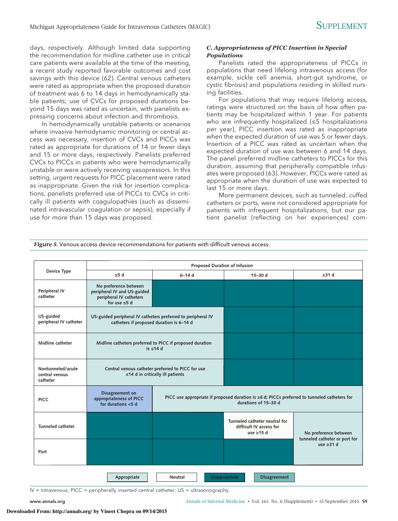days, respectively. Although limited data supporting the recommendation for midline catheter use in critical care patients were available at the time of the meeting, a recent study reported favorable outcomes and cost savings with this device (62). Central venous catheters were rated as appropriate when the proposed duration of treatment was 6 to 14 days in hemodynamically stable patients; use of CVCs for proposed durations beyond 15 days was rated as uncertain, with panelists expressing concerns about infection and thrombosis.

In hemodynamically unstable patients or scenarios where invasive hemodynamic monitoring or central access was necessary, insertion of CVCs and PICCs was rated as appropriate for durations of 14 or fewer days and 15 or more days, respectively. Panelists preferred CVCs to PICCs in patients who were hemodynamically unstable or were actively receiving vasopressors. In this setting, urgent requests for PICC placement were rated as inappropriate. Given the risk for insertion complications, panelists preferred use of PICCs to CVCs in critically ill patients with coagulopathies (such as disseminated intravascular coagulation or sepsis), especially if use for more than 15 days was proposed.

## *C. Appropriateness of PICC Insertion in Special Populations*

Panelists rated the appropriateness of PICCs in populations that need lifelong intravenous access (for example, sickle cell anemia, short-gut syndrome, or cystic fibrosis) and populations residing in skilled nursing facilities.

For populations that may require lifelong access, ratings were structured on the basis of how often patients may be hospitalized within 1 year. For patients who are infrequently hospitalized (≤5 hospitalizations per year), PICC insertion was rated as inappropriate when the expected duration of use was 5 or fewer days. Insertion of a PICC was rated as uncertain when the expected duration of use was between 6 and 14 days. The panel preferred midline catheters to PICCs for this duration, assuming that peripherally compatible infusates were proposed (63). However, PICCs were rated as appropriate when the duration of use was expected to last 15 or more days.

More permanent devices, such as tunneled, cuffed catheters or ports, were not considered appropriate for patients with infrequent hospitalizations, but our patient panelist (reflecting on her experiences) com-

*Figure 5.* Venous access device recommendations for patients with difficult venous access.

|                                                 |                                                                                                          | Proposed Duration of Infusion                                                               |                                                                                                                            |                                                        |
|-------------------------------------------------|----------------------------------------------------------------------------------------------------------|---------------------------------------------------------------------------------------------|----------------------------------------------------------------------------------------------------------------------------|--------------------------------------------------------|
| Device Type                                     | $\leq 5d$                                                                                                | $6-14d$                                                                                     | $15 - 30d$                                                                                                                 | >31 d                                                  |
| Peripheral IV<br>catheter                       | No preference between<br>peripheral IV and US-guided<br>peripheral IV catheters<br>for use $\leq 5$ d    |                                                                                             |                                                                                                                            |                                                        |
| US-guided<br>peripheral IV catheter             | US-guided peripheral IV catheters preferred to peripheral IV<br>catheters if proposed duration is 6-14 d |                                                                                             |                                                                                                                            |                                                        |
| Midline catheter                                |                                                                                                          | Midline catheters preferred to PICC if proposed duration<br>is $\leq 14$ d                  |                                                                                                                            |                                                        |
| Nontunneled/acute<br>central venous<br>catheter |                                                                                                          | Central venous catheter preferred to PICC for use<br>$\leq$ 14 d in critically ill patients |                                                                                                                            |                                                        |
| <b>PICC</b>                                     | Disagreement on<br>appropriateness of PICC<br>for durations $< 5$ d                                      |                                                                                             | PICC use appropriate if proposed duration is $\geq 6$ d; PICCs preferred to tunneled catheters for<br>durations of 15-30 d |                                                        |
| <b>Tunneled catheter</b>                        |                                                                                                          |                                                                                             | Tunneled catheter neutral for<br>difficult IV access for<br>use $\geq$ 15 d                                                | No preference between<br>tunneled catheter or port for |
| Port                                            |                                                                                                          |                                                                                             |                                                                                                                            | use $\geq$ 31 d                                        |
|                                                 | Appropriate                                                                                              | Neutral                                                                                     | Inappropriate<br><b>DIsagreement</b>                                                                                       |                                                        |

 $IV =$  intravenous; PICC = peripherally inserted central catheter;  $US =$  ultrasonography.

**Downloaded From: http://annals.org/ by Vineet Chopra on 09/14/2015**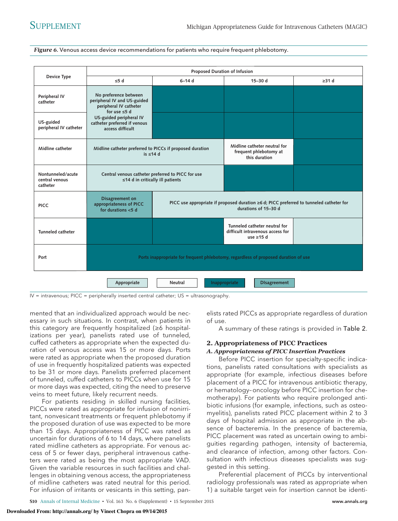### *Figure 6.* Venous access device recommendations for patients who require frequent phlebotomy.

|                                                 |                                                                                                      | Proposed Duration of Infusion                                                       |                                                                                                                       |       |
|-------------------------------------------------|------------------------------------------------------------------------------------------------------|-------------------------------------------------------------------------------------|-----------------------------------------------------------------------------------------------------------------------|-------|
| Device Type                                     | $\leq 5d$                                                                                            | $6-14d$                                                                             | $15 - 30d$                                                                                                            | >31 d |
| Peripheral IV<br>catheter                       | No preference between<br>peripheral IV and US-guided<br>peripheral IV catheter<br>for use $\leq 5$ d |                                                                                     |                                                                                                                       |       |
| US-guided<br>peripheral IV catheter             | US-guided peripheral IV<br>catheter preferred if venous<br>access difficult                          |                                                                                     |                                                                                                                       |       |
| Midline catheter                                | Midline catheter preferred to PICCs if proposed duration<br>is $\leq 14$ d                           |                                                                                     | Midline catheter neutral for<br>frequent phlebotomy at<br>this duration                                               |       |
| Nontunneled/acute<br>central venous<br>catheter | Central venous catheter preferred to PICC for use<br>≤14 d in critically ill patients                |                                                                                     |                                                                                                                       |       |
| <b>PICC</b>                                     | Disagreement on<br>appropriateness of PICC<br>for durations $< 5$ d                                  |                                                                                     | PICC use appropriate if proposed duration $\geq 6$ d; PICC preferred to tunneled catheter for<br>durations of 15-30 d |       |
| <b>Tunneled catheter</b>                        |                                                                                                      |                                                                                     | Tunneled catheter neutral for<br>difficult intravenous access for<br>use $\geq$ 15 d                                  |       |
| Port                                            |                                                                                                      | Ports inappropriate for frequent phlebotomy, regardless of proposed duration of use |                                                                                                                       |       |
|                                                 | Appropriate                                                                                          | Neutral                                                                             | Inappropriate<br><b>DIsagreement</b>                                                                                  |       |

 $IV =$  intravenous; PICC = peripherally inserted central catheter;  $US =$  ultrasonography.

mented that an individualized approach would be necessary in such situations. In contrast, when patients in this category are frequently hospitalized (≥6 hospitalizations per year), panelists rated use of tunneled, cuffed catheters as appropriate when the expected duration of venous access was 15 or more days. Ports were rated as appropriate when the proposed duration of use in frequently hospitalized patients was expected to be 31 or more days. Panelists preferred placement of tunneled, cuffed catheters to PICCs when use for 15 or more days was expected, citing the need to preserve veins to meet future, likely recurrent needs.

For patients residing in skilled nursing facilities, PICCs were rated as appropriate for infusion of nonirritant, nonvesicant treatments or frequent phlebotomy if the proposed duration of use was expected to be more than 15 days. Appropriateness of PICC was rated as uncertain for durations of 6 to 14 days, where panelists rated midline catheters as appropriate. For venous access of 5 or fewer days, peripheral intravenous catheters were rated as being the most appropriate VAD. Given the variable resources in such facilities and challenges in obtaining venous access, the appropriateness of midline catheters was rated neutral for this period. For infusion of irritants or vesicants in this setting, panelists rated PICCs as appropriate regardless of duration of use.

A summary of these ratings is provided in Table 2.

## **2. Appropriateness of PICC Practices**

## *A. Appropriateness of PICC Insertion Practices*

Before PICC insertion for specialty-specific indications, panelists rated consultations with specialists as appropriate (for example, infectious diseases before placement of a PICC for intravenous antibiotic therapy, or hematology–oncology before PICC insertion for chemotherapy). For patients who require prolonged antibiotic infusions (for example, infections, such as osteomyelitis), panelists rated PICC placement within 2 to 3 days of hospital admission as appropriate in the absence of bacteremia. In the presence of bacteremia, PICC placement was rated as uncertain owing to ambiguities regarding pathogen, intensity of bacteremia, and clearance of infection, among other factors. Consultation with infectious diseases specialists was suggested in this setting.

Preferential placement of PICCs by interventional radiology professionals was rated as appropriate when 1) a suitable target vein for insertion cannot be identi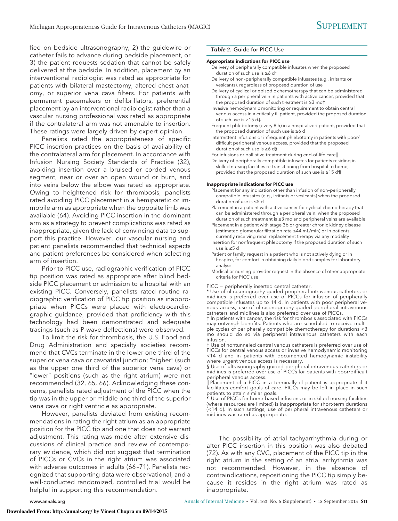fied on bedside ultrasonography, 2) the guidewire or catheter fails to advance during bedside placement, or 3) the patient requests sedation that cannot be safely delivered at the bedside. In addition, placement by an interventional radiologist was rated as appropriate for patients with bilateral mastectomy, altered chest anatomy, or superior vena cava filters. For patients with permanent pacemakers or defibrillators, preferential placement by an interventional radiologist rather than a vascular nursing professional was rated as appropriate if the contralateral arm was not amenable to insertion. These ratings were largely driven by expert opinion.

Panelists rated the appropriateness of specific PICC insertion practices on the basis of availability of the contralateral arm for placement. In accordance with Infusion Nursing Society Standards of Practice (32), avoiding insertion over a bruised or corded venous segment, near or over an open wound or burn, and into veins below the elbow was rated as appropriate. Owing to heightened risk for thrombosis, panelists rated avoiding PICC placement in a hemiparetic or immobile arm as appropriate when the opposite limb was available (64). Avoiding PICC insertion in the dominant arm as a strategy to prevent complications was rated as inappropriate, given the lack of convincing data to support this practice. However, our vascular nursing and patient panelists recommended that technical aspects and patient preferences be considered when selecting arm of insertion.

Prior to PICC use, radiographic verification of PICC tip position was rated as appropriate after blind bedside PICC placement or admission to a hospital with an existing PICC. Conversely, panelists rated routine radiographic verification of PICC tip position as inappropriate when PICCs were placed with electrocardiographic guidance, provided that proficiency with this technology had been demonstrated and adequate tracings (such as P-wave deflections) were observed.

To limit the risk for thrombosis, the U.S. Food and Drug Administration and specialty societies recommend that CVCs terminate in the lower one third of the superior vena cava or cavoatrial junction; "higher" (such as the upper one third of the superior vena cava) or "lower" positions (such as the right atrium) were not recommended (32, 65, 66). Acknowledging these concerns, panelists rated adjustment of the PICC when the tip was in the upper or middle one third of the superior vena cava or right ventricle as appropriate.

However, panelists deviated from existing recommendations in rating the right atrium as an appropriate position for the PICC tip and one that does not warrant adjustment. This rating was made after extensive discussions of clinical practice and review of contemporary evidence, which did not suggest that termination of PICCs or CVCs in the right atrium was associated with adverse outcomes in adults (66 –71). Panelists recognized that supporting data were observational, and a well-conducted randomized, controlled trial would be helpful in supporting this recommendation.

## *Table 2.* Guide for PICC Use

### **Appropriate indications for PICC use**

- Delivery of peripherally compatible infusates when the proposed duration of such use is ≥6 d\*
- Delivery of non–peripherally compatible infusates (e.g., irritants or vesicants), regardless of proposed duration of use

Delivery of cyclical or episodic chemotherapy that can be administered through a peripheral vein in patients with active cancer, provided that the proposed duration of such treatment is ≥3 mo†

Invasive hemodynamic monitoring or requirement to obtain central venous access in a critically ill patient, provided the proposed duration of such use is ≥15 d‡

- Frequent phlebotomy (every 8 h) in a hospitalized patient, provided that the proposed duration of such use is ≥6 d
- Intermittent infusions or infrequent phlebotomy in patients with poor/ difficult peripheral venous access, provided that the proposed duration of such use is ≥6 d§

For infusions or palliative treatment during end-of-life care|| Delivery of peripherally compatible infusates for patients residing in

skilled nursing facilities or transitioning from hospital to home, provided that the proposed duration of such use is ≥15 d¶

#### **Inappropriate indications for PICC use**

- Placement for any indication other than infusion of non-peripherally compatible infusates (e.g., irritants or vesicants) when the proposed duration of use is ≤5 d
- Placement in a patient with active cancer for cyclical chemotherapy that can be administered through a peripheral vein, when the proposed duration of such treatment is ≤3 mo and peripheral veins are available
- Placement in a patient with stage 3b or greater chronic kidney disease (estimated glomerular filtration rate ≤44 mL/min) or in patients currently receiving renal replacement therapy via any modality Insertion for nonfrequent phlebotomy if the proposed duration of such
- use is ≤5 d Patient or family request in a patient who is not actively dying or in hospice, for comfort in obtaining daily blood samples for laboratory

analysis

Medical or nursing provider request in the absence of other appropriate criteria for PICC use

PICC = peripherally inserted central catheter.

\* Use of ultrasonography-guided peripheral intravenous catheters or midlines is preferred over use of PICCs for infusion of peripherally compatible infusates up to 14 d. In patients with poor peripheral venous access, use of ultrasonography-guided peripheral intravenous catheters and midlines is also preferred over use of PICCs.

† In patients with cancer, the risk for thrombosis associated with PICCs may outweigh benefits. Patients who are scheduled to receive multiple cycles of peripherally compatible chemotherapy for durations <3 mo should do so via peripheral intravenous catheters with each infusion.

‡ Use of nontunneled central venous catheters is preferred over use of PICCs for central venous access or invasive hemodynamic monitoring <14 d and in patients with documented hemodynamic instability where urgent venous access is necessary.

§ Use of ultrasonography-guided peripheral intravenous catheters or midlines is preferred over use of PICCs for patients with poor/difficult peripheral venous access.

!! Placement of a PICC in a terminally ill patient is appropriate if it facilitates comfort goals of care. PICCs may be left in place in such patients to attain similar goals.

¶ Use of PICCs for home-based infusions or in skilled nursing facilities (where resources are limited) is inappropriate for short-term durations (<14 d). In such settings, use of peripheral intravenous catheters or midlines was rated as appropriate.

The possibility of atrial tachyarrhythmia during or after PICC insertion in this position was also debated (72). As with any CVC, placement of the PICC tip in the right atrium in the setting of an atrial arrhythmia was not recommended. However, in the absence of contraindications, repositioning the PICC tip simply because it resides in the right atrium was rated as inappropriate.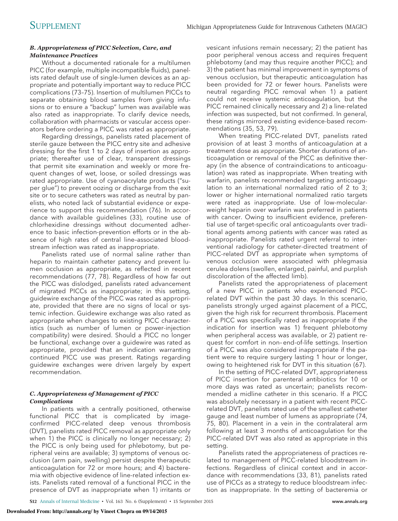## *B. Appropriateness of PICC Selection, Care, and Maintenance Practices*

Without a documented rationale for a multilumen PICC (for example, multiple incompatible fluids), panelists rated default use of single-lumen devices as an appropriate and potentially important way to reduce PICC complications (73–75). Insertion of multilumen PICCs to separate obtaining blood samples from giving infusions or to ensure a "backup" lumen was available was also rated as inappropriate. To clarify device needs, collaboration with pharmacists or vascular access operators before ordering a PICC was rated as appropriate.

Regarding dressings, panelists rated placement of sterile gauze between the PICC entry site and adhesive dressing for the first 1 to 2 days of insertion as appropriate; thereafter use of clear, transparent dressings that permit site examination and weekly or more frequent changes of wet, loose, or soiled dressings was rated appropriate. Use of cyanoacrylate products ("super glue") to prevent oozing or discharge from the exit site or to secure catheters was rated as neutral by panelists, who noted lack of substantial evidence or experience to support this recommendation (76). In accordance with available guidelines (33), routine use of chlorhexidine dressings without documented adherence to basic infection-prevention efforts or in the absence of high rates of central line–associated bloodstream infection was rated as inappropriate.

Panelists rated use of normal saline rather than heparin to maintain catheter patency and prevent lumen occlusion as appropriate, as reflected in recent recommendations (77, 78). Regardless of how far out the PICC was dislodged, panelists rated advancement of migrated PICCs as inappropriate; in this setting, guidewire exchange of the PICC was rated as appropriate, provided that there are no signs of local or systemic infection. Guidewire exchange was also rated as appropriate when changes to existing PICC characteristics (such as number of lumen or power-injection compatibility) were desired. Should a PICC no longer be functional, exchange over a guidewire was rated as appropriate, provided that an indication warranting continued PICC use was present. Ratings regarding guidewire exchanges were driven largely by expert recommendation.

## *C. Appropriateness of Management of PICC Complications*

In patients with a centrally positioned, otherwise functional PICC that is complicated by imageconfirmed PICC-related deep venous thrombosis (DVT), panelists rated PICC removal as appropriate only when 1) the PICC is clinically no longer necessary; 2) the PICC is only being used for phlebotomy, but peripheral veins are available; 3) symptoms of venous occlusion (arm pain, swelling) persist despite therapeutic anticoagulation for 72 or more hours; and 4) bacteremia with objective evidence of line-related infection exists. Panelists rated removal of a functional PICC in the presence of DVT as inappropriate when 1) irritants or

vesicant infusions remain necessary; 2) the patient has poor peripheral venous access and requires frequent phlebotomy (and may thus require another PICC); and 3) the patient has minimal improvement in symptoms of venous occlusion, but therapeutic anticoagulation has been provided for 72 or fewer hours. Panelists were neutral regarding PICC removal when 1) a patient could not receive systemic anticoagulation, but the PICC remained clinically necessary and 2) a line-related infection was suspected, but not confirmed. In general, these ratings mirrored existing evidence-based recommendations (35, 53, 79).

When treating PICC-related DVT, panelists rated provision of at least 3 months of anticoagulation at a treatment dose as appropriate. Shorter durations of anticoagulation or removal of the PICC as definitive therapy (in the absence of contraindications to anticoagulation) was rated as inappropriate. When treating with warfarin, panelists recommended targeting anticoagulation to an international normalized ratio of 2 to 3; lower or higher international normalized ratio targets were rated as inappropriate. Use of low-molecularweight heparin over warfarin was preferred in patients with cancer. Owing to insufficient evidence, preferential use of target-specific oral anticoagulants over traditional agents among patients with cancer was rated as inappropriate. Panelists rated urgent referral to interventional radiology for catheter-directed treatment of PICC-related DVT as appropriate when symptoms of venous occlusion were associated with phlegmasia cerulea dolens (swollen, enlarged, painful, and purplish discoloration of the affected limb).

Panelists rated the appropriateness of placement of a new PICC in patients who experienced PICCrelated DVT within the past 30 days. In this scenario, panelists strongly urged against placement of a PICC, given the high risk for recurrent thrombosis. Placement of a PICC was specifically rated as inappropriate if the indication for insertion was 1) frequent phlebotomy when peripheral access was available, or 2) patient request for comfort in non– end-of-life settings. Insertion of a PICC was also considered inappropriate if the patient were to require surgery lasting 1 hour or longer, owing to heightened risk for DVT in this situation (67).

In the setting of PICC-related DVT, appropriateness of PICC insertion for parenteral antibiotics for 10 or more days was rated as uncertain; panelists recommended a midline catheter in this scenario. If a PICC was absolutely necessary in a patient with recent PICCrelated DVT, panelists rated use of the smallest catheter gauge and least number of lumens as appropriate (74, 75, 80). Placement in a vein in the contralateral arm following at least 3 months of anticoagulation for the PICC-related DVT was also rated as appropriate in this setting.

Panelists rated the appropriateness of practices related to management of PICC-related bloodstream infections. Regardless of clinical context and in accordance with recommendations (33, 81), panelists rated use of PICCs as a strategy to reduce bloodstream infection as inappropriate. In the setting of bacteremia or

S12 Annals of Internal Medicine • Vol. 163 No. 6 (Supplement) • 15 September 2015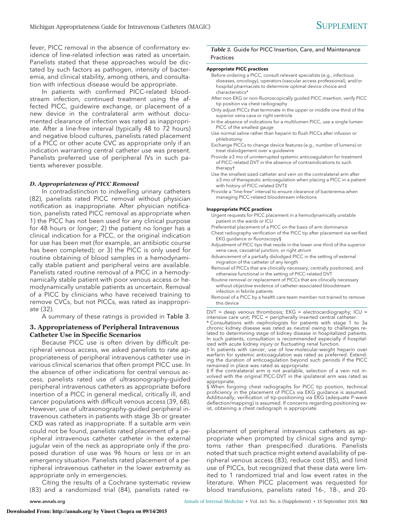fever, PICC removal in the absence of confirmatory evidence of line-related infection was rated as uncertain. Panelists stated that these approaches would be dictated by such factors as pathogen, intensity of bacteremia, and clinical stability, among others, and consultation with infectious disease would be appropriate.

In patients with confirmed PICC-related bloodstream infection, continued treatment using the affected PICC, guidewire exchange, or placement of a new device in the contralateral arm without documented clearance of infection was rated as inappropriate. After a line-free interval (typically 48 to 72 hours) and negative blood cultures, panelists rated placement of a PICC or other acute CVC as appropriate only if an indication warranting central catheter use was present. Panelists preferred use of peripheral IVs in such patients wherever possible.

## *D. Appropriateness of PICC Removal*

In contradistinction to indwelling urinary catheters (82), panelists rated PICC removal without physician notification as inappropriate. After physician notification, panelists rated PICC removal as appropriate when 1) the PICC has not been used for any clinical purpose for 48 hours or longer; 2) the patient no longer has a clinical indication for a PICC, or the original indication for use has been met (for example, an antibiotic course has been completed); or 3) the PICC is only used for routine obtaining of blood samples in a hemodynamically stable patient and peripheral veins are available. Panelists rated routine removal of a PICC in a hemodynamically stable patient with poor venous access or hemodynamically unstable patients as uncertain. Removal of a PICC by clinicians who have received training to remove CVCs, but not PICCs, was rated as inappropriate (32).

A summary of these ratings is provided in Table 3.

## **3. Appropriateness of Peripheral Intravenous Catheter Use in Specific Scenarios**

Because PICC use is often driven by difficult peripheral venous access, we asked panelists to rate appropriateness of peripheral intravenous catheter use in various clinical scenarios that often prompt PICC use. In the absence of other indications for central venous access, panelists rated use of ultrasonography-guided peripheral intravenous catheters as appropriate before insertion of a PICC in general medical, critically ill, and cancer populations with difficult venous access (39, 68). However, use of ultrasonography-guided peripheral intravenous catheters in patients with stage 3b or greater CKD was rated as inappropriate. If a suitable arm vein could not be found, panelists rated placement of a peripheral intravenous catheter catheter in the external jugular vein of the neck as appropriate only if the proposed duration of use was 96 hours or less or in an emergency situation. Panelists rated placement of a peripheral intravenous catheter in the lower extremity as appropriate only in emergencies.

Citing the results of a Cochrane systematic review (83) and a randomized trial (84), panelists rated re-

**Downloaded From: http://annals.org/ by Vineet Chopra on 09/14/2015**

### *Table 3.* Guide for PICC Insertion, Care, and Maintenance **Practices**

#### **Appropriate PICC practices**

- Before ordering a PICC, consult relevant specialists (e.g., infectious diseases, oncology), operators (vascular access professional), and/or hospital pharmacists to determine optimal device choice and characteristics\*
- After non-EKG or non–fluoroscopically guided PICC insertion, verify PICC tip position via chest radiography
- Only adjust PICCs that terminate in the upper or middle one third of the superior vena cava or right ventricle
- In the absence of indications for a multilumen PICC, use a single-lumen PICC of the smallest gauge
- Use normal saline rather than heparin to flush PICCs after infusion or phlebotomy
- Exchange PICCs to change device features (e.g., number of lumens) or treat dislodgement over a guidewire
- Provide ≥3 mo of uninterrupted systemic anticoagulation for treatment of PICC-related DVT in the absence of contraindications to such therapy†
- Use the smallest sized catheter and vein on the contralateral arm after ≥3 mo of therapeutic anticoagulation when placing a PICC in a patient with history of PICC-related DVT‡
- Provide a "line-free" interval to ensure clearance of bacteremia when managing PICC-related bloodstream infections

#### **Inappropriate PICC practices**

- Urgent requests for PICC placement in a hemodynamically unstable patient in the wards or ICU
- Preferential placement of a PICC on the basis of arm dominance Chest radiography verification of the PICC tip after placement via verified
- EKG guidance or fluoroscopy§
- Adjustment of PICC tips that reside in the lower one third of the superior vena cava, cavoatrial junction, or right atrium
- Advancement of a partially dislodged PICC in the setting of external migration of the catheter of any length
- Removal of PICCs that are clinically necessary, centrally positioned, and otherwise functional in the setting of PICC-related DVT
- Routine removal or replacement of PICCs that are clinically necessary without objective evidence of catheter-associated bloodstream infection in febrile patients
- Removal of a PICC by a health care team member not trained to remove this device

 $DVT = deep$  venous thrombosis;  $EKG = electrocardiography$ ;  $ICU =$ intensive care unit; PICC = peripherally inserted central catheter.

\* Consultations with nephrologists for patients with stage 1 to 3a chronic kidney disease was rated as neutral owing to challenges related to determining stage of kidney disease in hospitalized patients. In such patients, consultation is recommended especially if hospitalized with acute kidney injury or fluctuating renal function.

† In patients with cancer, use of low-molecular-weight heparin over warfarin for systemic anticoagulation was rated as preferred. Extending the duration of anticoagulation beyond such periods if the PICC remained in place was rated as appropriate.

‡ If the contralateral arm is not available, selection of a vein not involved with the original PICC-DVT in the ipsilateral arm was rated as appropriate.

§ When forgoing chest radiographs for PICC tip position, technical proficiency in the placement of PICCs via EKG guidance is assumed. Additionally, verification of tip-positioning via EKG (adequate P-wave deflection/mapping) is assumed. If concerns regarding positioning exist, obtaining a chest radiograph is appropriate.

placement of peripheral intravenous catheters as appropriate when prompted by clinical signs and symptoms rather than prespecified durations. Panelists noted that such practice might extend availability of peripheral venous access (83), reduce cost (85), and limit use of PICCs, but recognized that these data were limited to 1 randomized trial and low event rates in the literature. When PICC placement was requested for blood transfusions, panelists rated 16-, 18-, and 20-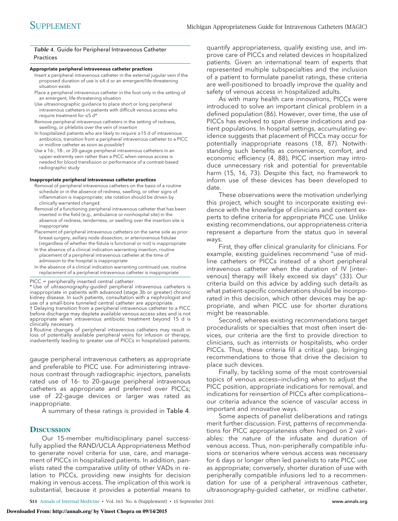*Table 4.* Guide for Peripheral Intravenous Catheter **Practices** 

#### **Appropriate peripheral intravenous catheter practices**

- Insert a peripheral intravenous catheter in the external jugular vein if the proposed duration of use is ≤4 d or an emergent/life-threatening situation exists
- Place a peripheral intravenous catheter in the foot only in the setting of an emergent, life-threatening situation
- Use ultrasonographic guidance to place short or long peripheral intravenous catheters in patients with difficult venous access who require treatment for ≤5 d\*
- Remove peripheral intravenous catheters in the setting of redness, swelling, or phlebitis over the vein of insertion
- In hospitalized patients who are likely to require ≥15 d of intravenous antibiotics, transition from a peripheral intravenous catheter to a PICC or midline catheter as soon as possible†
- Use a 16-, 18-, or 20-gauge peripheral intravenous catheters in an upper-extremity vein rather than a PICC when venous access is needed for blood transfusion or performance of a contrast-based radiographic study

#### **Inappropriate peripheral intravenous catheter practices**

- Removal of peripheral intravenous catheters on the basis of a routine schedule or in the absence of redness, swelling, or other signs of inflammation is inappropriate; site rotation should be driven by clinically warranted change‡
- Removal of a functioning peripheral intravenous catheter that has been inserted in the field (e.g., ambulance or nonhospital site) in the absence of redness, tenderness, or swelling over the insertion site is inappropriate
- Placement of peripheral intravenous catheters on the same side as prior breast surgery, axillary node dissection, or arteriovenous fistulae (regardless of whether the fistula is functional or not) is inappropriate
- In the absence of a clinical indication warranting insertion, routine placement of a peripheral intravenous catheter at the time of admission to the hospital is inappropriate
- In the absence of a clinical indication warranting continued use, routine replacement of a peripheral intravenous catheter is inappropriate

PICC = peripherally inserted central catheter.

† Delaying transition from a peripheral intravenous catheter to a PICC before discharge may deplete available venous access sites and is not appropriate when intravenous antibiotic treatment beyond 15 d is clinically necessary.

‡ Routine changes of peripheral intravenous catheters may result in loss of potentially available peripheral veins for infusion or therapy, inadvertently leading to greater use of PICCs in hospitalized patients.

gauge peripheral intravenous catheters as appropriate and preferable to PICC use. For administering intravenous contrast through radiographic injectors, panelists rated use of 16- to 20-gauge peripheral intravenous catheters as appropriate and preferred over PICCs; use of 22-gauge devices or larger was rated as inappropriate.

A summary of these ratings is provided in Table 4.

## **DISCUSSION**

Our 15-member multidisciplinary panel successfully applied the RAND/UCLA Appropriateness Method to generate novel criteria for use, care, and management of PICCs in hospitalized patients. In addition, panelists rated the comparative utility of other VADs in relation to PICCs, providing new insights for decision making in venous access. The implication of this work is substantial, because it provides a potential means to

quantify appropriateness, qualify existing use, and improve care of PICCs and related devices in hospitalized patients. Given an international team of experts that represented multiple subspecialties and the inclusion of a patient to formulate panelist ratings, these criteria are well-positioned to broadly improve the quality and safety of venous access in hospitalized adults.

As with many health care innovations, PICCs were introduced to solve an important clinical problem in a defined population (86). However, over time, the use of PICCs has evolved to span diverse indications and patient populations. In hospital settings, accumulating evidence suggests that placement of PICCs may occur for potentially inappropriate reasons (18, 87). Notwithstanding such benefits as convenience, comfort, and economic efficiency (4, 88), PICC insertion may introduce unnecessary risk and potential for preventable harm (15, 16, 73). Despite this fact, no framework to inform use of these devices has been developed to date.

These observations were the motivation underlying this project, which sought to incorporate existing evidence with the knowledge of clinicians and content experts to define criteria for appropriate PICC use. Unlike existing recommendations, our appropriateness criteria represent a departure from the status quo in several ways.

First, they offer clinical granularity for clinicians. For example, existing guidelines recommend "use of midline catheters or PICCs instead of a short peripheral intravenous catheter when the duration of IV [intervenous] therapy will likely exceed six days" (33). Our criteria build on this advice by adding such details as what patient-specific considerations should be incorporated in this decision, which other devices may be appropriate, and when PICC use for shorter durations might be reasonable.

Second, whereas existing recommendations target proceduralists or specialties that most often insert devices, our criteria are the first to provide direction to clinicians, such as internists or hospitalists, who order PICCs. Thus, these criteria fill a critical gap, bringing recommendations to those that drive the decision to place such devices.

Finally, by tackling some of the most controversial topics of venous access—including when to adjust the PICC position, appropriate indications for removal, and indications for reinsertion of PICCs after complications our criteria advance the science of vascular access in important and innovative ways.

Some aspects of panelist deliberations and ratings merit further discussion. First, patterns of recommendations for PICC appropriateness often hinged on 2 variables: the nature of the infusate and duration of venous access. Thus, non–peripherally compatible infusions or scenarios where venous access was necessary for 6 days or longer often led panelists to rate PICC use as appropriate; conversely, shorter duration of use with peripherally compatible infusions led to a recommendation for use of a peripheral intravenous catheter, ultrasonography-guided catheter, or midline catheter.

S14 Annals of Internal Medicine • Vol. 163 No. 6 (Supplement) • 15 September 2015

<sup>\*</sup> Use of ultrasonography-guided peripheral intravenous catheters is inappropriate in patients with advanced (stage 3b or greater) chronic kidney disease. In such patients, consultation with a nephrologist and use of a small-bore tunneled central catheter are appropriate.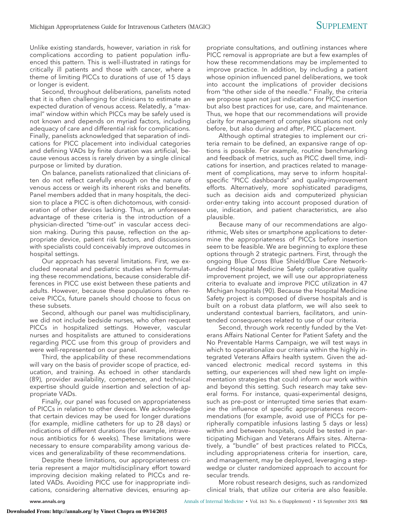Unlike existing standards, however, variation in risk for complications according to patient population influenced this pattern. This is well-illustrated in ratings for critically ill patients and those with cancer, where a theme of limiting PICCs to durations of use of 15 days or longer is evident.

Second, throughout deliberations, panelists noted that it is often challenging for clinicians to estimate an expected duration of venous access. Relatedly, a "maximal" window within which PICCs may be safely used is not known and depends on myriad factors, including adequacy of care and differential risk for complications. Finally, panelists acknowledged that separation of indications for PICC placement into individual categories and defining VADs by finite duration was artificial, because venous access is rarely driven by a single clinical purpose or limited by duration.

On balance, panelists rationalized that clinicians often do not reflect carefully enough on the nature of venous access or weigh its inherent risks and benefits. Panel members added that in many hospitals, the decision to place a PICC is often dichotomous, with consideration of other devices lacking. Thus, an unforeseen advantage of these criteria is the introduction of a physician-directed "time-out" in vascular access decision making. During this pause, reflection on the appropriate device, patient risk factors, and discussions with specialists could conceivably improve outcomes in hospital settings.

Our approach has several limitations. First, we excluded neonatal and pediatric studies when formulating these recommendations, because considerable differences in PICC use exist between these patients and adults. However, because these populations often receive PICCs, future panels should choose to focus on these subsets.

Second, although our panel was multidisciplinary, we did not include bedside nurses, who often request PICCs in hospitalized settings. However, vascular nurses and hospitalists are attuned to considerations regarding PICC use from this group of providers and were well-represented on our panel.

Third, the applicability of these recommendations will vary on the basis of provider scope of practice, education, and training. As echoed in other standards (89), provider availability, competence, and technical expertise should guide insertion and selection of appropriate VADs.

Finally, our panel was focused on appropriateness of PICCs in relation to other devices. We acknowledge that certain devices may be used for longer durations (for example, midline catheters for up to 28 days) or indications of different durations (for example, intravenous antibiotics for 6 weeks). These limitations were necessary to ensure comparability among various devices and generalizability of these recommendations.

Despite these limitations, our appropriateness criteria represent a major multidisciplinary effort toward improving decision making related to PICCs and related VADs. Avoiding PICC use for inappropriate indications, considering alternative devices, ensuring ap-

propriate consultations, and outlining instances where PICC removal is appropriate are but a few examples of how these recommendations may be implemented to improve practice. In addition, by including a patient whose opinion influenced panel deliberations, we took into account the implications of provider decisions from "the other side of the needle." Finally, the criteria we propose span not just indications for PICC insertion but also best practices for use, care, and maintenance. Thus, we hope that our recommendations will provide clarity for management of complex situations not only before, but also during and after, PICC placement.

Although optimal strategies to implement our criteria remain to be defined, an expansive range of options is possible. For example, routine benchmarking and feedback of metrics, such as PICC dwell time, indications for insertion, and practices related to management of complications, may serve to inform hospitalspecific "PICC dashboards" and quality-improvement efforts. Alternatively, more sophisticated paradigms, such as decision aids and computerized physician order-entry taking into account proposed duration of use, indication, and patient characteristics, are also plausible.

Because many of our recommendations are algorithmic, Web sites or smartphone applications to determine the appropriateness of PICCs before insertion seem to be feasible. We are beginning to explore these options through 2 strategic partners. First, through the ongoing Blue Cross Blue Shield/Blue Care Network– funded Hospital Medicine Safety collaborative quality improvement project, we will use our appropriateness criteria to evaluate and improve PICC utilization in 47 Michigan hospitals (90). Because the Hospital Medicine Safety project is composed of diverse hospitals and is built on a robust data platform, we will also seek to understand contextual barriers, facilitators, and unintended consequences related to use of our criteria.

Second, through work recently funded by the Veterans Affairs National Center for Patient Safety and the No Preventable Harms Campaign, we will test ways in which to operationalize our criteria within the highly integrated Veterans Affairs health system. Given the advanced electronic medical record systems in this setting, our experiences will shed new light on implementation strategies that could inform our work within and beyond this setting. Such research may take several forms. For instance, quasi-experimental designs, such as pre–post or interrupted time series that examine the influence of specific appropriateness recommendations (for example, avoid use of PICCs for peripherally compatible infusions lasting 5 days or less) within and between hospitals, could be tested in participating Michigan and Veterans Affairs sites. Alternatively, a "bundle" of best practices related to PICCs, including appropriateness criteria for insertion, care, and management, may be deployed, leveraging a stepwedge or cluster randomized approach to account for secular trends.

More robust research designs, such as randomized clinical trials, that utilize our criteria are also feasible.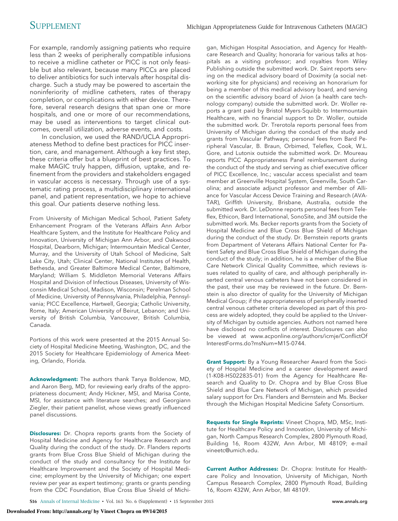For example, randomly assigning patients who require less than 2 weeks of peripherally compatible infusions to receive a midline catheter or PICC is not only feasible but also relevant, because many PICCs are placed to deliver antibiotics for such intervals after hospital discharge. Such a study may be powered to ascertain the noninferiority of midline catheters, rates of therapy completion, or complications with either device. Therefore, several research designs that span one or more hospitals, and one or more of our recommendations, may be used as interventions to target clinical outcomes, overall utilization, adverse events, and costs.

In conclusion, we used the RAND/UCLA Appropriateness Method to define best practices for PICC insertion, care, and management. Although a key first step, these criteria offer but a blueprint of best practices. To make MAGIC truly happen, diffusion, uptake, and refinement from the providers and stakeholders engaged in vascular access is necessary. Through use of a systematic rating process, a multidisciplinary international panel, and patient representation, we hope to achieve this goal. Our patients deserve nothing less.

From University of Michigan Medical School, Patient Safety Enhancement Program of the Veterans Affairs Ann Arbor Healthcare System, and the Institute for Healthcare Policy and Innovation, University of Michigan Ann Arbor, and Oakwood Hospital, Dearborn, Michigan; Intermountain Medical Center, Murray, and the University of Utah School of Medicine, Salt Lake City, Utah; Clinical Center, National Institutes of Health, Bethesda, and Greater Baltimore Medical Center, Baltimore, Maryland; William S. Middleton Memorial Veterans Affairs Hospital and Division of Infectious Diseases, University of Wisconsin Medical School, Madison, Wisconsin; Perelman School of Medicine, University of Pennsylvania, Philadelphia, Pennsylvania; PICC Excellence, Hartwell, Georgia; Catholic University, Rome, Italy; American University of Beirut, Lebanon; and University of British Columbia, Vancouver, British Columbia, Canada.

Portions of this work were presented at the 2015 Annual Society of Hospital Medicine Meeting, Washington, DC, and the 2015 Society for Healthcare Epidemiology of America Meeting, Orlando, Florida.

**Acknowledgment:** The authors thank Tanya Boldenow, MD, and Aaron Berg, MD, for reviewing early drafts of the appropriateness document; Andy Hickner, MSI, and Marisa Conte, MSI, for assistance with literature searches; and Georgiann Ziegler, their patient panelist, whose views greatly influenced panel discussions.

**Disclosures:** Dr. Chopra reports grants from the Society of Hospital Medicine and Agency for Healthcare Research and Quality during the conduct of the study. Dr. Flanders reports grants from Blue Cross Blue Shield of Michigan during the conduct of the study and consultancy for the Institute for Healthcare Improvement and the Society of Hospital Medicine; employment by the University of Michigan; one expert review per year as expert testimony; grants or grants pending from the CDC Foundation, Blue Cross Blue Shield of Michi-

gan, Michigan Hospital Association, and Agency for Healthcare Research and Quality; honoraria for various talks at hospitals as a visiting professor; and royalties from Wiley Publishing outside the submitted work. Dr. Saint reports serving on the medical advisory board of Doximity (a social networking site for physicians) and receiving an honorarium for being a member of this medical advisory board, and serving on the scientific advisory board of Jvion (a health care technology company) outside the submitted work. Dr. Woller reports a grant paid by Bristol Myers-Squibb to Intermountain Healthcare, with no financial support to Dr. Woller, outside the submitted work. Dr. Trerotola reports personal fees from University of Michigan during the conduct of the study and grants from Vascular Pathways; personal fees from Bard Peripheral Vascular, B. Braun, Orbimed, Teleflex, Cook, W.L. Gore, and Lutonix outside the submitted work. Dr. Moureau reports PICC Appropriateness Panel reimbursement during the conduct of the study and serving as chief executive officer of PICC Excellence, Inc.; vascular access specialist and team member at Greenville Hospital System, Greenville, South Carolina; and associate adjunct professor and member of Alliance for Vascular Access Device Training and Research (AVA-TAR), Griffith University, Brisbane, Australia, outside the submitted work. Dr. LeDonne reports personal fees from Teleflex, Ethicon, Bard International, SonoSite, and 3M outside the submitted work. Ms. Becker reports grants from the Society of Hospital Medicine and Blue Cross Blue Shield of Michigan during the conduct of the study. Dr. Bernstein reports grants from Department of Veterans Affairs National Center for Patient Safety and Blue Cross Blue Shield of Michigan during the conduct of the study; in addition, he is a member of the Blue Care Network Clinical Quality Committee, which reviews issues related to quality of care, and although peripherally inserted central venous catheters have not been considered in the past, their use may be reviewed in the future. Dr. Bernstein is also director of quality for the University of Michigan Medical Group; if the appropriateness of peripherally inserted central venous catheter criteria developed as part of this process are widely adopted, they could be applied to the University of Michigan by outside agencies. Authors not named here have disclosed no conflicts of interest. Disclosures can also be viewed at [www.acponline.org/authors/icmje/ConflictOf](http://www.acponline.org/authors/icmje/ConflictOfInterestForms.do?msNum=M15-0744) [InterestForms.do?msNum=M15-0744.](http://www.acponline.org/authors/icmje/ConflictOfInterestForms.do?msNum=M15-0744)

**Grant Support:** By a Young Researcher Award from the Society of Hospital Medicine and a career development award (1-K08-HS022835-01) from the Agency for Healthcare Research and Quality to Dr. Chopra and by Blue Cross Blue Shield and Blue Care Network of Michigan, which provided salary support for Drs. Flanders and Bernstein and Ms. Becker through the Michigan Hospital Medicine Safety Consortium.

**Requests for Single Reprints:** Vineet Chopra, MD, MSc, Institute for Healthcare Policy and Innovation, University of Michigan, North Campus Research Complex, 2800 Plymouth Road, Building 16, Room 432W, Ann Arbor, MI 48109; e-mail [vineetc@umich.edu.](mailto:vineetc@umich.edu)

**Current Author Addresses:** Dr. Chopra: Institute for Healthcare Policy and Innovation, University of Michigan, North Campus Research Complex, 2800 Plymouth Road, Building 16, Room 432W, Ann Arbor, MI 48109.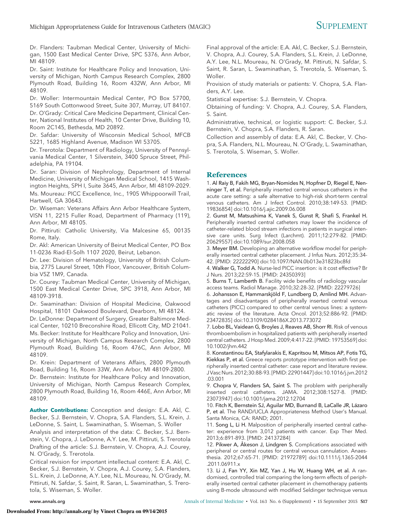Dr. Flanders: Taubman Medical Center, University of Michigan, 1500 East Medical Center Drive, SPC 5376, Ann Arbor, MI 48109.

Dr. Saint: Institute for Healthcare Policy and Innovation, University of Michigan, North Campus Research Complex, 2800 Plymouth Road, Building 16, Room 432W, Ann Arbor, MI 48109.

Dr. Woller: Intermountain Medical Center, PO Box 57700, 5169 South Cottonwood Street, Suite 307, Murray, UT 84107. Dr. O'Grady: Critical Care Medicine Department, Clinical Center, National Institutes of Health, 10 Center Drive, Building 10, Room 2C145, Bethesda, MD 20892.

Dr. Safdar: University of Wisconsin Medical School, MFCB 5221, 1685 Highland Avenue, Madison WI 53705.

Dr. Trerotola: Department of Radiology, University of Pennsylvania Medical Center, 1 Silverstein, 3400 Spruce Street, Philadelphia, PA 19104.

Dr. Saran: Division of Nephrology, Department of Internal Medicine, University of Michigan Medical School, 1415 Washington Heights, SPH I, Suite 3645, Ann Arbor, MI 48109-2029. Ms. Moureau: PICC Excellence, Inc., 1905 Whippoorwill Trail, Hartwell, GA 30643.

Dr. Wiseman: Veterans Affairs Ann Arbor Healthcare System, VISN 11, 2215 Fuller Road, Department of Pharmacy (119), Ann Arbor, MI 48105.

Dr. Pittiruti: Catholic University, Via Malcesine 65, 00135 Rome, Italy.

Dr. Akl: American University of Beirut Medical Center, PO Box 11-0236 Riad-El-Solh 1107 2020, Beirut, Lebanon.

Dr. Lee: Division of Hematology, University of British Columbia, 2775 Laurel Street, 10th Floor, Vancouver, British Columbia V5Z 1M9, Canada.

Dr. Courey: Taubman Medical Center, University of Michigan, 1500 East Medical Center Drive, SPC 3918, Ann Arbor, MI 48109-3918.

Dr. Swaminathan: Division of Hospital Medicine, Oakwood Hospital, 18101 Oakwood Boulevard, Dearborn, MI 48124.

Dr. LeDonne: Department of Surgery, Greater Baltimore Medical Center, 10210 Breconshire Road, Ellicott City, MD 21041. Ms. Becker: Institute for Healthcare Policy and Innovation, University of Michigan, North Campus Research Complex, 2800 Plymouth Road, Building 16, Room 476C, Ann Arbor, MI 48109.

Dr. Krein: Department of Veterans Affairs, 2800 Plymouth Road, Building 16, Room 33W, Ann Arbor, MI 48109-2800.

Dr. Bernstein: Institute for Healthcare Policy and Innovation, University of Michigan, North Campus Research Complex, 2800 Plymouth Road, Building 16, Room 446E, Ann Arbor, MI 48109.

**Author Contributions:** Conception and design: E.A. Akl, C. Becker, S.J. Bernstein, V. Chopra, S.A. Flanders, S.L. Krein, J. LeDonne, S. Saint, L. Swaminathan, S. Wiseman, S. Woller

Analysis and interpretation of the data: C. Becker, S.J. Bernstein, V. Chopra, J. LeDonne, A.Y. Lee, M. Pittiruti, S. Trerotola Drafting of the article: S.J. Bernstein, V. Chopra, A.J. Courey, N. O'Grady, S. Trerotola.

Critical revision for important intellectual content: E.A. Akl, C. Becker, S.J. Bernstein, V. Chopra, A.J. Courey, S.A. Flanders, S.L. Krein, J. LeDonne, A.Y. Lee, N.L. Moureau, N. O'Grady, M. Pittiruti, N. Safdar, S. Saint, R. Saran, L. Swaminathan, S. Trerotola, S. Wiseman, S. Woller.

Final approval of the article: E.A. Akl, C. Becker, S.J. Bernstein, V. Chopra, A.J. Courey, S.A. Flanders, S.L. Krein, J. LeDonne, A.Y. Lee, N.L. Moureau, N. O'Grady, M. Pittiruti, N. Safdar, S. Saint, R. Saran, L. Swaminathan, S. Trerotola, S. Wiseman, S. Woller.

Provision of study materials or patients: V. Chopra, S.A. Flanders, A.Y. Lee.

Statistical expertise: S.J. Bernstein, V. Chopra.

Obtaining of funding: V. Chopra, A.J. Courey, S.A. Flanders, S. Saint.

Administrative, technical, or logistic support: C. Becker, S.J. Bernstein, V. Chopra, S.A. Flanders, R. Saran.

Collection and assembly of data: E.A. Akl, C. Becker, V. Chopra, S.A. Flanders, N.L. Moureau, N. O'Grady, L. Swaminathan, S. Trerotola, S. Wiseman, S. Woller.

## **References**

1. Al Raiy B, Fakih MG, Bryan-Nomides N, Hopfner D, Riegel E, Nenninger T, et al. Peripherally inserted central venous catheters in the acute care setting: a safe alternative to high-risk short-term central venous catheters. Am J Infect Control. 2010;38:149-53. [PMID: 19836854] doi:10.1016/j.ajic.2009.06.008

2. Gunst M, Matsushima K, Vanek S, Gunst R, Shafi S, Frankel H. Peripherally inserted central catheters may lower the incidence of catheter-related blood stream infections in patients in surgical intensive care units. Surg Infect (Larchmt). 2011;12:279-82. [PMID: 20629557] doi:10.1089/sur.2008.058

3. Meyer BM. Developing an alternative workflow model for peripherally inserted central catheter placement. J Infus Nurs. 2012;35:34- 42. [PMID: 22222290] doi:10.1097/NAN.0b013e31823bc8fd

4. Walker G, Todd A. Nurse-led PICC insertion: is it cost effective? Br J Nurs. 2013;22:S9-15. [PMID: 24350393]

5. Burns T, Lamberth B. Facility wide benefits of radiology vascular access teams. Radiol Manage. 2010;32:28-32. [PMID: 22279726]

6. Johansson E, Hammarskjöld F, Lundberg D, Arnlind MH. Advantages and disadvantages of peripherally inserted central venous catheters (PICC) compared to other central venous lines: a systematic review of the literature. Acta Oncol. 2013;52:886-92. [PMID: 23472835] doi:10.3109/0284186X.2013.773072

7. Lobo BL, Vaidean G, Broyles J, Reaves AB, Shorr RI. Risk of venous thromboembolism in hospitalized patients with peripherally inserted central catheters. J Hosp Med. 2009;4:417-22. [PMID: 19753569] doi: 10.1002/jhm.442

8. Konstantinou EA, Stafylarakis E, Kapritsou M, Mitsos AP, Fotis TG, Kiekkas P, et al. Greece reports prototype intervention with first peripherally inserted central catheter: case report and literature review. JVascNurs. 2012;30:88-93. [PMID: 22901447]doi:10.1016/j.jvn.2012 .03.001

9. Chopra V, Flanders SA, Saint S. The problem with peripherally inserted central catheters. JAMA. 2012;308:1527-8. [PMID: 23073947] doi:10.1001/jama.2012.12704

10. Fitch K, Bernstein SJ, Aguilar MD, Burnand B, LaCalle JR, Lázaro P, et al. The RAND/UCLA Appropriateness Method User's Manual. Santa Monica, CA: RAND; 2001.

11. Song L, Li H. Malposition of peripherally inserted central catheter: experience from 3,012 patients with cancer. Exp Ther Med. 2013;6:891-893. [PMID: 24137284]

12. Pikwer A, Åkeson J, Lindgren S. Complications associated with peripheral or central routes for central venous cannulation. Anaesthesia. 2012;67:65-71. [PMID: 21972789] doi:10.1111/j.1365-2044 .2011.06911.x

13. Li J, Fan YY, Xin MZ, Yan J, Hu W, Huang WH, et al. A randomised, controlled trial comparing the long-term effects of peripherally inserted central catheter placement in chemotherapy patients using B-mode ultrasound with modified Seldinger technique versus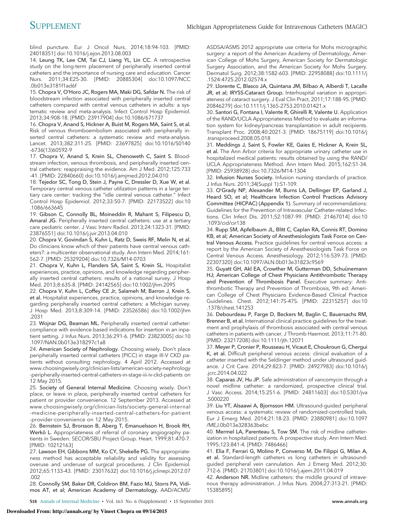blind puncture. Eur J Oncol Nurs. 2014;18:94-103. [PMID: 24018351] doi:10.1016/j.ejon.2013.08.003

14. Leung TK, Lee CM, Tai CJ, Liang YL, Lin CC. A retrospective study on the long-term placement of peripherally inserted central catheters and the importance of nursing care and education. Cancer Nurs. 2011;34:E25-30. [PMID: 20885304] doi:10.1097/NCC .0b013e3181f1ad6f

15. Chopra V, O'Horo JC, Rogers MA, Maki DG, Safdar N. The risk of bloodstream infection associated with peripherally inserted central catheters compared with central venous catheters in adults: a systematic review and meta-analysis. Infect Control Hosp Epidemiol. 2013;34:908-18. [PMID: 23917904] doi:10.1086/671737

16. Chopra V, Anand S, Hickner A, Buist M, Rogers MA, Saint S, et al. Risk of venous thromboembolism associated with peripherally inserted central catheters: a systematic review and meta-analysis. Lancet. 2013;382:311-25. [PMID: 23697825] doi:10.1016/S0140 -6736(13)60592-9

17. Chopra V, Anand S, Krein SL, Chenoweth C, Saint S. Bloodstream infection, venous thrombosis, and peripherally inserted central catheters: reappraising the evidence. Am J Med. 2012;125:733 -41. [PMID: 22840660] doi:10.1016/j.amjmed.2012.04.010

18. Tejedor SC, Tong D, Stein J, Payne C, Dressler D, Xue W, et al. Temporary central venous catheter utilization patterns in a large tertiary care center: tracking the "idle central venous catheter." Infect Control Hosp Epidemiol. 2012;33:50-7. [PMID: 22173522] doi:10 .1086/663645

19. Gibson C, Connolly BL, Moineddin R, Mahant S, Filipescu D, Amaral JG. Peripherally inserted central catheters: use at a tertiary care pediatric center. J Vasc Interv Radiol. 2013;24:1323-31. [PMID: 23876551] doi:10.1016/j.jvir.2013.04.010

20. Chopra V, Govindan S, Kuhn L, Ratz D, Sweis RF, Melin N, et al. Do clinicians know which of their patients have central venous catheters?: a multicenter observational study. Ann Intern Med. 2014;161: 562-7. [PMID: 25329204] doi:10.7326/M14-0703

21. Chopra V, Kuhn L, Flanders SA, Saint S, Krein SL. Hospitalist experiences, practice, opinions, and knowledge regarding peripherally inserted central catheters: results of a national survey. J Hosp Med. 2013;8:635-8. [PMID: 24142565] doi:10.1002/jhm.2095

22. Chopra V, Kuhn L, Coffey CE Jr, Salameh M, Barron J, Krein S, et al. Hospitalist experiences, practice, opinions, and knowledge regarding peripherally inserted central catheters: a Michigan survey. J Hosp Med. 2013;8:309-14. [PMID: 23526586] doi:10.1002/jhm .2031

23. Wojnar DG, Beaman ML. Peripherally inserted central catheter: compliance with evidence-based indications for insertion in an inpatient setting. J Infus Nurs. 2013;36:291-6. [PMID: 23823005] doi:10 .1097/NAN.0b013e318297c1a8

24. American Society of Nephrology. Choosing wisely. Don't place peripherally inserted central catheters (PICC) in stage III-V CKD patients without consulting nephrology. 4 April 2012. Accessed at [www.choosingwisely.org/clinician-lists/american-society-nephrology](http://www.choosingwisely.org/clinician-lists/american-society-nephrology-peripherally-inserted-central-catheters-in-stage-iii-iv-ckd-patients) [-peripherally-inserted-central-catheters-in-stage-iii-iv-ckd-patients](http://www.choosingwisely.org/clinician-lists/american-society-nephrology-peripherally-inserted-central-catheters-in-stage-iii-iv-ckd-patients) on 12 May 2015.

25. Society of General Internal Medicine. Choosing wisely. Don't place, or leave in place, peripherally inserted central catheters for patient or provider convenience. 12 September 2013. Accessed at [www.choosingwisely.org/clinician-lists/society-general-internal](http://www.choosingwisely.org/clinician-lists/society-general-internal-medicine-peripherally-inserted-central-catheters-for-patient-provider-convenience) [-medicine-peripherally-inserted-central-catheters-for-patient](http://www.choosingwisely.org/clinician-lists/society-general-internal-medicine-peripherally-inserted-central-catheters-for-patient-provider-convenience) [-provider-convenience](http://www.choosingwisely.org/clinician-lists/society-general-internal-medicine-peripherally-inserted-central-catheters-for-patient-provider-convenience) on 12 May 2015.

26. Bernstein SJ, Brorsson B, Aberg T, Emanuelsson H, Brook RH, Werkö L. Appropriateness of referral of coronary angiography patients in Sweden. SECOR/SBU Project Group. Heart. 1999;81:470-7. [PMID: 10212163]

27. Lawson EH, Gibbons MM, Ko CY, Shekelle PG. The appropriateness method has acceptable reliability and validity for assessing overuse and underuse of surgical procedures. J Clin Epidemiol. 2012;65:1133-43. [PMID: 23017632] doi:10.1016/j.jclinepi.2012.07 .002

28. Connolly SM, Baker DR, Coldiron BM, Fazio MJ, Storrs PA, Vidimos AT, et al; American Academy of Dermatology. AAD/ACMS/ ASDSA/ASMS 2012 appropriate use criteria for Mohs micrographic surgery: a report of the American Academy of Dermatology, American College of Mohs Surgery, American Society for Dermatologic Surgery Association, and the American Society for Mohs Surgery. Dermatol Surg. 2012;38:1582-603. [PMID: 22958088] doi:10.1111/j .1524-4725.2012.02574.x

29. Llorente C, Blasco JA, Quintana JM, Bilbao A, Alberdi T, Lacalle JR, et al; IRYSS-Cataract Group. Interhospital variation in appropriateness of cataract surgery. J Eval Clin Pract. 2011;17:188-95. [PMID: 20846279] doi:10.1111/j.1365-2753.2010.01421.x

30. Santori G, Fontana I, Valente R, Ghirelli R, Valente U. Application of the RAND/UCLA Appropriateness Method to evaluate an information system for kidney/pancreas transplantation in adult recipients. Transplant Proc. 2008;40:2021-3. [PMID: 18675119] doi:10.1016/j .transproceed.2008.05.018

31. Meddings J, Saint S, Fowler KE, Gaies E, Hickner A, Krein SL, et al. The Ann Arbor criteria for appropriate urinary catheter use in hospitalized medical patients: results obtained by using the RAND/ UCLA Appropriateness Method. Ann Intern Med. 2015;162:S1-34. [PMID: 25938928] doi:10.7326/M14-1304

32. Infusion Nurses Society. Infusion nursing standards of practice. J Infus Nurs. 2011;34(Suppl 1):S1-109.

33. O'Grady NP, Alexander M, Burns LA, Dellinger EP, Garland J, Heard SO, et al; Healthcare Infection Control Practices Advisory Committee (HICPAC) (Appendix 1). Summary of recommendations: Guidelines for the Prevention of Intravascular Catheter-related Infections. Clin Infect Dis. 2011;52:1087-99. [PMID: 21467014] doi:10 .1093/cid/cir138

34. Rupp SM, Apfelbaum JL, Blitt C, Caplan RA, Connis RT, Domino KB, et al; American Society of Anesthesiologists Task Force on Central Venous Access. Practice guidelines for central venous access: a report by the American Society of Anesthesiologists Task Force on Central Venous Access. Anesthesiology. 2012;116:539-73. [PMID: 22307320] doi:10.1097/ALN.0b013e31823c9569

35. Guyatt GH, Akl EA, Crowther M, Gutterman DD, Schuünemann HJ; American College of Chest Physicians Antithrombotic Therapy and Prevention of Thrombosis Panel. Executive summary: Antithrombotic Therapy and Prevention of Thrombosis, 9th ed: American College of Chest Physicians Evidence-Based Clinical Practice Guidelines. Chest. 2012;141:7S-47S. [PMID: 22315257] doi:10 .1378/chest.1412S3

36. Debourdeau P, Farge D, Beckers M, Baglin C, Bauersachs RM, Brenner B, et al. International clinical practice guidelines for the treatment and prophylaxis of thrombosis associated with central venous catheters in patients with cancer. J Thromb Haemost. 2013;11:71-80. [PMID: 23217208] doi:10.1111/jth.12071

37. Meyer P, Cronier P, Rousseau H, Vicaut E, Choukroun G, Chergui K, et al. Difficult peripheral venous access: clinical evaluation of a catheter inserted with the Seldinger method under ultrasound guidance. J Crit Care. 2014;29:823-7. [PMID: 24927983] doi:10.1016/j .jcrc.2014.04.022

38. Caparas JV, Hu JP. Safe administration of vancomycin through a novel midline catheter: a randomized, prospective clinical trial. J Vasc Access. 2014;15:251-6. [PMID: 24811603] doi:10.5301/jva .5000220

39. Liu YT, Alsaawi A, Bjornsson HM. Ultrasound-guided peripheral venous access: a systematic review of randomized-controlled trials. Eur J Emerg Med. 2014;21:18-23. [PMID: 23880981] doi:10.1097 /MEJ.0b013e328363bebc

40. Mermel LA, Parenteau S, Tow SM. The risk of midline catheterization in hospitalized patients. A prospective study. Ann Intern Med. 1995;123:841-4. [PMID: 7486466]

41. Elia F, Ferrari G, Molino P, Converso M, De Filippi G, Milan A, et al. Standard-length catheters vs long catheters in ultrasoundguided peripheral vein cannulation. Am J Emerg Med. 2012;30: 712-6. [PMID: 21703801] doi:10.1016/j.ajem.2011.04.019

42. Anderson NR. Midline catheters: the middle ground of intravenous therapy administration. J Infus Nurs. 2004;27:313-21. [PMID: 15385895]

S18 Annals of Internal Medicine • Vol. 163 No. 6 (Supplement) • 15 September 2015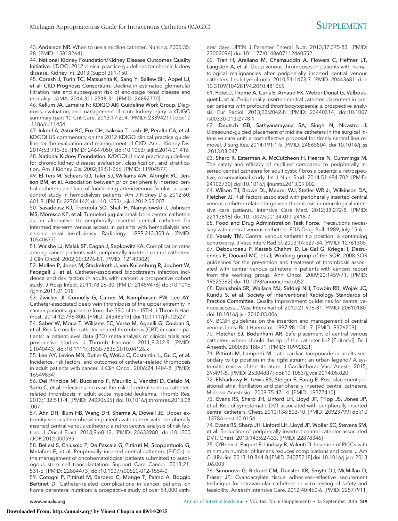43. Anderson NR. When to use a midline catheter. Nursing. 2005;35: 28. [PMID: 15818264]

44. National Kidney Foundation/Kidney Disease Outcomes Quality Initiative. KDOQI 2012 clinical practice guidelines for chronic kidney disease. Kidney Int. 2013;(Suppl 3):1-150.

45. Coresh J, Turin TC, Matsushita K, Sang Y, Ballew SH, Appel LJ, et al; CKD Prognosis Consortium. Decline in estimated glomerular filtration rate and subsequent risk of end-stage renal disease and mortality. JAMA. 2014;311:2518-31. [PMID: 24892770]

46. Kellum JA, Lameire N; KDIGO AKI Guideline Work Group. Diagnosis, evaluation, and management of acute kidney injury: a KDIGO summary (part 1). Crit Care. 2013;17:204. [PMID: 23394211] doi:10 .1186/cc11454

47. Inker LA, Astor BC, Fox CH, Isakova T, Lash JP, Peralta CA, et al. KDOQI US commentary on the 2012 KDIGO clinical practice guideline for the evaluation and management of CKD. Am J Kidney Dis. 2014;63:713-35. [PMID: 24647050] doi:10.1053/j.ajkd.2014.01.416 48. National Kidney Foundation. K/DOQI clinical practice guidelines for chronic kidney disease: evaluation, classification, and stratification. Am J Kidney Dis. 2002;39:S1-266. [PMID: 11904577]

49. El Ters M, Schears GJ, Taler SJ, Williams AW, Albright RC, Jenson BM, et al. Association between prior peripherally inserted central catheters and lack of functioning arteriovenous fistulas: a casecontrol study in hemodialysis patients. Am J Kidney Dis. 2012;60: 601-8. [PMID: 22704142] doi:10.1053/j.ajkd.2012.05.007

50. Sasadeusz KJ, Trerotola SO, Shah H, Namyslowski J, Johnson MS, Moresco KP, et al. Tunneled jugular small-bore central catheters as an alternative to peripherally inserted central catheters for intermediate-term venous access in patients with hemodialysis and chronic renal insufficiency. Radiology. 1999;213:303-6. [PMID: 10540677]

51. Walshe LJ, Malak SF, Eagan J, Sepkowitz KA. Complication rates among cancer patients with peripherally inserted central catheters. J Clin Oncol. 2002;20:3276-81. [PMID: 12149302]

52. Mollee P, Jones M, Stackelroth J, van Kuilenburg R, Joubert W, Faoagali J, et al. Catheter-associated bloodstream infection incidence and risk factors in adults with cancer: a prospective cohort study. J Hosp Infect. 2011;78:26-30. [PMID: 21459476] doi:10.1016 /j.jhin.2011.01.018

53. Zwicker JI, Connolly G, Carrier M, Kamphuisen PW, Lee AY. Catheter-associated deep vein thrombosis of the upper extremity in cancer patients: guidance from the SSC of the ISTH. J Thromb Haemost. 2014;12:796-800. [PMID: 24548519] doi:10.1111/jth.12527

54. Saber W, Moua T, Williams EC, Verso M, Agnelli G, Couban S, et al. Risk factors for catheter-related thrombosis (CRT) in cancer patients: a patient-level data (IPD) meta-analysis of clinical trials and prospective studies. J Thromb Haemost. 2011;9:312-9. [PMID: 21040443] doi:10.1111/j.1538-7836.2010.04126.x

55. Lee AY, Levine MN, Butler G, Webb C, Costantini L, Gu C, et al. Incidence, risk factors, and outcomes of catheter-related thrombosis in adult patients with cancer. J Clin Oncol. 2006;24:1404-8. [PMID: 16549834]

56. Del Principe MI, Buccisano F, Maurillo L, Venditti D, Cefalo M, Sarlo C, et al. Infections increase the risk of central venous catheterrelated thrombosis in adult acute myeloid leukemia. Thromb Res. 2013;132:511-4. [PMID: 24090605] doi:10.1016/j.thromres.2013.08 .007

57. Ahn DH, Illum HB, Wang DH, Sharma A, Dowell JE. Upper extremity venous thrombosis in patients with cancer with peripherally inserted central venous catheters: a retrospective analysis of risk factors. J Oncol Pract. 2013;9:e8-12. [PMID: 23633980] doi:10.1200 /JOP.2012.000595

58. Bellesi S, Chiusolo P, De Pascale G, Pittiruti M, Scoppettuolo G, Metafuni E, et al. Peripherally inserted central catheters (PICCs) in the management of oncohematological patients submitted to autologous stem cell transplantation. Support Care Cancer. 2013;21: 531-5. [PMID: 22864473] doi:10.1007/s00520-012-1554-0

59. Cotogni P, Pittiruti M, Barbero C, Monge T, Palmo A, Boggio Bertinet D. Catheter-related complications in cancer patients on home parenteral nutrition: a prospective study of over 51,000 catheter days. JPEN J Parenter Enteral Nutr. 2013;37:375-83. [PMID: 23002096] doi:10.1177/0148607112460552

60. Tran H, Arellano M, Chamsuddin A, Flowers C, Heffner LT, Langston A, et al. Deep venous thromboses in patients with hematological malignancies after peripherally inserted central venous catheters. Leuk Lymphoma. 2010;51:1473-7. [PMID: 20443681] doi: 10.3109/10428194.2010.481065

61. Potet J, Thome A, Curis E, Arnaud FX, Weber-Donat G, Valbousquet L, et al. Peripherally inserted central catheter placement in cancer patients with profound thrombocytopaenia: a prospective analysis. Eur Radiol. 2013;23:2042-8. [PMID: 23440314] doi:10.1007 /s00330-013-2778-1

62. Deutsch GB, Sathyanarayana SA, Singh N, Nicastro J. Ultrasound-guided placement of midline catheters in the surgical intensive care unit: a cost-effective proposal for timely central line removal. J Surg Res. 2014;191:1-5. [PMID: 24565504] doi:10.1016/j.jss .2013.03.047

63. Sharp R, Esterman A, McCutcheon H, Hearse N, Cummings M. The safety and efficacy of midlines compared to peripherally inserted central catheters for adult cystic fibrosis patients: a retrospective, observational study. Int J Nurs Stud. 2014;51:694-702. [PMID: 24103730] doi:10.1016/j.ijnurstu.2013.09.002

64. Wilson TJ, Brown DL, Meurer WJ, Stetler WR Jr, Wilkinson DA, Fletcher JJ. Risk factors associated with peripherally inserted central venous catheter-related large vein thrombosis in neurological intensive care patients. Intensive Care Med. 2012;38:272-8. [PMID: 22113818] doi:10.1007/s00134-011-2418-7

65. Food and Drug Administration Task Force. Precautions necessary with central venous catheters. FDA Drug Bull. 1989;July:15-6.

66. Vesely TM. Central venous catheter tip position: a continuing controversy. J Vasc Interv Radiol. 2003;14:527-34. [PMID: 12761305] 67. Debourdeau P, Kassab Chahmi D, Le Gal G, Kriegel I, Desruennes E, Douard MC, et al; Working group of the SOR. 2008 SOR guidelines for the prevention and treatment of thrombosis associated with central venous catheters in patients with cancer: report from the working group. Ann Oncol. 2009;20:1459-71. [PMID: 19525362] doi:10.1093/annonc/mdp052

68. Dariushnia SR, Wallace MJ, Siddiqi NH, Towbin RB, Wojak JC, Kundu S, et al; Society of Interventional Radiology Standards of Practice Committee. Quality improvement guidelines for central venous access. J Vasc Interv Radiol. 2010;21:976-81. [PMID: 20610180] doi:10.1016/j.jvir.2010.03.006

69. BCSH guidelines on the insertion and management of central venous lines. Br J Haematol. 1997;98:1041-7. [PMID: 9326209]

70. Fletcher SJ, Bodenham AR. Safe placement of central venous catheters: where should the tip of the catheter lie? [Editorial]. Br J Anaesth. 2000;85:188-91. [PMID: 10992821]

71. Pittiruti M, Lamperti M. Late cardiac tamponade in adults secondary to tip position in the right atrium: an urban legend? A systematic review of the literature. J Cardiothorac Vasc Anesth. 2015; 29:491-5. [PMID: 25304887] doi:10.1053/j.jvca.2014.05.020

72. Elsharkawy H, Lewis BS, Steiger E, Farag E. Post placement positional atrial fibrillation and peripherally inserted central catheters. Minerva Anestesiol. 2009;75:471-4. [PMID: 19377410]

73. Evans RS, Sharp JH, Linford LH, Lloyd JF, Tripp JS, Jones JP, et al. Risk of symptomatic DVT associated with peripherally inserted central catheters. Chest. 2010;138:803-10. [PMID: 20923799] doi:10 .1378/chest.10-0154

74. Evans RS, Sharp JH, Linford LH, Lloyd JF, Woller SC, Stevens SM, et al. Reduction of peripherally inserted central catheter-associated DVT. Chest. 2013;143:627-33. [PMID: 22878346]

75. O'Brien J, Paquet F, Lindsay R, Valenti D. Insertion of PICCs with minimum number of lumens reduces complications and costs. J Am CollRadiol.2013;10:864-8. [PMID:24075218]doi:10.1016/j.jacr.2013 .06.003

76. Simonova G, Rickard CM, Dunster KR, Smyth DJ, McMillan D, Fraser JF. Cyanoacrylate tissue adhesives—effective securement technique for intravascular catheters: in vitro testing of safety and feasibility. Anaesth Intensive Care. 2012;40:460-6. [PMID: 22577911]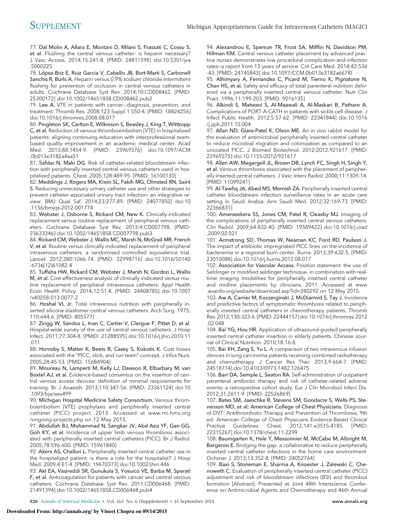77. Dal Molin A, Allara E, Montani D, Milani S, Frassati C, Cossu S, et al. Flushing the central venous catheter: is heparin necessary? J Vasc Access. 2014;15:241-8. [PMID: 24811598] doi:10.5301/jva .5000225

78. López-Briz E, Ruiz Garcia V, Cabello JB, Bort-Marti S, Carbonell Sanchis R, Burls A. Heparin versus 0.9% sodium chloride intermittent flushing for prevention of occlusion in central venous catheters in adults. Cochrane Database Syst Rev. 2014;10:CD008462. [PMID: 25300172] doi:10.1002/14651858.CD008462.pub2

79. Lee A. VTE in patients with cancer—diagnosis, prevention, and treatment. Thromb Res. 2008;123 Suppl 1:S50-4. [PMID: 18824256] doi:10.1016/j.thromres.2008.08.017

80. Pingleton SK, Carlton E, Wilkinson S, Beasley J, King T, Wittkopp C, et al. Reduction of venous thromboembolism (VTE) in hospitalized patients: aligning continuing education with interprofessional teambased quality improvement in an academic medical center. Acad Med. 2013;88:1454-9. [PMID: 23969376] doi:10.1097/ACM .0b013e3182a4aa51

81. Safdar N, Maki DG. Risk of catheter-related bloodstream infection with peripherally inserted central venous catheters used in hospitalized patients. Chest. 2005;128:489-95. [PMID: 16100130]

82. Meddings J, Rogers MA, Krein SL, Fakih MG, Olmsted RN, Saint S. Reducing unnecessary urinary catheter use and other strategies to prevent catheter-associated urinary tract infection: an integrative review. BMJ Qual Saf. 2014;23:277-89. [PMID: 24077850] doi:10 .1136/bmjqs-2012-001774

83. Webster J, Osborne S, Rickard CM, New K. Clinically-indicated replacement versus routine replacement of peripheral venous catheters. Cochrane Database Syst Rev. 2013;4:CD007798. [PMID: 23633346] doi:10.1002/14651858.CD007798.pub3

84. Rickard CM, Webster J, Wallis MC, Marsh N, McGrail MR, French V, et al. Routine versus clinically indicated replacement of peripheral intravenous catheters: a randomised controlled equivalence trial. Lancet. 2012;380:1066-74. [PMID: 22998716] doi:10.1016/S0140 -6736(12)61082-4

85. Tuffaha HW, Rickard CM, Webster J, Marsh N, Gordon L, Wallis M, et al. Cost-effectiveness analysis of clinically indicated versus routine replacement of peripheral intravenous catheters. Appl Health Econ Health Policy. 2014;12:51-8. [PMID: 24408785] doi:10.1007 /s40258-013-0077-2

86. Hoshal VL Jr. Total intravenous nutrition with peripherally inserted silicone elastomer central venous catheters. Arch Surg. 1975; 110:644-6. [PMID: 805577]

87. Zingg W, Sandoz L, Inan C, Cartier V, Clergue F, Pittet D, et al. Hospital-wide survey of the use of central venous catheters. J Hosp Infect. 2011;77:304-8. [PMID: 21288595] doi:10.1016/j.jhin.2010.11 .011

88. Hornsby S, Matter K, Beets B, Casey S, Kokotis K. Cost losses associated with the "PICC, stick, and run team" concept. J Infus Nurs. 2005;28:45-53. [PMID: 15684904]

89. Moureau N, Lamperti M, Kelly LJ, Dawson R, Elbarbary M, van Boxtel AJ, et al. Evidence-based consensus on the insertion of central venous access devices: definition of minimal requirements for training. Br J Anaesth. 2013;110:347-56. [PMID: 23361124] doi:10 .1093/bja/aes499

90. Michigan Hospital Medicine Safety Consortium. Venous thromboembolism (VTE) prophylaxis and peripherally inserted central catheter (PICC) project. 2013. Accessed at [www.mi-hms.org](http://www.mi-hms.org/ongoing-projects.php) [/ongoing-projects.php](http://www.mi-hms.org/ongoing-projects.php) on 12 May 2015.

91. Abdullah BJ, Mohammad N, Sangkar JV, Abd Aziz YF, Gan GG, Goh KY, et al. Incidence of upper limb venous thrombosis associated with peripherally inserted central catheters (PICC). Br J Radiol. 2005;78:596-600. [PMID: 15961840]

92. Akers AS, Chelluri L. Peripherally inserted central catheter use in the hospitalized patient: is there a role for the hospitalist? J Hosp Med. 2009;4:E1-4. [PMID: 19670373] doi:10.1002/jhm.446

93. Akl EA, Vasireddi SR, Gunukula S, Yosuico VE, Barba M, Sperati F, et al. Anticoagulation for patients with cancer and central venous catheters. Cochrane Database Syst Rev. 2011:CD006468. [PMID: 21491394] doi:10.1002/14651858.CD006468.pub4

94. Alexandrou E, Spencer TR, Frost SA, Mifflin N, Davidson PM, Hillman KM. Central venous catheter placement by advanced practice nurses demonstrates low procedural complication and infection rates—a report from 13 years of service. Crit Care Med. 2014;42:536 -43. [PMID: 24145843] doi:10.1097/CCM.0b013e3182a667f0

95. Alhimyary A, Fernandez C, Picard M, Tierno K, Pignatone N, Chan HS, et al. Safety and efficacy of total parenteral nutrition delivered via a peripherally inserted central venous catheter. Nutr Clin Pract. 1996;11:199-203. [PMID: 9016135]

96. Alkindi S, Matwani S, Al-Maawali A, Al-Maskari B, Pathare A. Complications of PORT-A-CATH in patients with sickle cell disease. J Infect Public Health. 2012;5:57-62. [PMID: 22341844] doi:10.1016 /j.jiph.2011.10.004

97. Allan ND, Giare-Patel K, Olson ME. An in vivo rabbit model for the evaluation of antimicrobial peripherally inserted central catheter to reduce microbial migration and colonization as compared to an uncoated PICC. J Biomed Biotechnol. 2012;2012:921617. [PMID: 22969275] doi:10.1155/2012/921617

98. Allen AW, Megargell JL, Brown DB, Lynch FC, Singh H, Singh Y, et al. Venous thrombosis associated with the placement of peripherally inserted central catheters. J Vasc Interv Radiol. 2000;11:1309-14. [PMID: 11099241]

99. Al-Tawfiq JA, Abed MS, Memish ZA. Peripherally inserted central catheter bloodstream infection surveillance rates in an acute care setting in Saudi Arabia. Ann Saudi Med. 2012;32:169-73. [PMID: 22366831]

100. Amerasekera SS, Jones CM, Patel R, Cleasby MJ. Imaging of the complications of peripherally inserted central venous catheters. Clin Radiol. 2009;64:832-40. [PMID: 19589422] doi:10.1016/j.crad .2009.02.021

101. Armstrong SD, Thomas W, Neaman KC, Ford RD, Paulson J. The impact of antibiotic impregnated PICC lines on the incidence of bacteremia in a regional burn center. Burns. 2013;39:632-5. [PMID: 23010088] doi:10.1016/j.burns.2012.08.017

102. Association for Vascular Access. Position statement: the use of Seldinger or modified seldinger technique, in combination with realtime imaging modalities for peripherally inserted central catheter and midline placements by clinicians. 2011. Accessed at [www](http://www.avainfo.org/website/download.asp?id=280292) [.avainfo.org/website/download.asp?id=280292](http://www.avainfo.org/website/download.asp?id=280292) on 12 May 2015.

103. Aw A, Carrier M, Koczerginski J, McDiarmid S, Tay J. Incidence and predictive factors of symptomatic thrombosis related to peripherally inserted central catheters in chemotherapy patients. Thromb Res. 2012;130:323-6. [PMID: 22444157] doi:10.1016/j.thromres.2012 .02.048

104. Bai YG, Hou HR. Application of ultrasound-guided peripherally inserted central catheter insertion in elderly patients. Chinese Journal of Clinical Nutrition. 2010;18:16-8.

105. Bai XH, Zang S, Yu L. A comparison of two intravenous infusion devices in lung carcinoma patients receiving combined radiotherapy and chemotherapy. J Cancer Res Ther. 2013;9:664-7. [PMID: 24518714] doi:10.4103/0973-1482.126475

106. Barr DA, Semple L, Seaton RA. Self-administration of outpatient parenteral antibiotic therapy and risk of catheter-related adverse events: a retrospective cohort study. Eur J Clin Microbiol Infect Dis. 2012;31:2611-9. [PMID: 22526869]

107. Bates SM, Jaeschke R, Stevens SM, Goodacre S, Wells PS, Stevenson MD, et al; American College of Chest Physicians. Diagnosis of DVT: Antithrombotic Therapy and Prevention of Thrombosis, 9th ed: American College of Chest Physicians Evidence-Based Clinical<br>Practice - Guidelines. - Chest. - 2012:141:e351S-418S. - IPMID: Practice Guidelines. Chest. 2012;141:e351S-418S. [PMID: 22315267] doi:10.1378/chest.11-2299

108. Baumgarten K, Hale Y, Messonnier M, McCabe M, Albright M, Bergeron E. Bridging the gap: a collaborative to reduce peripherally inserted central catheter infections in the home care environment. Ochsner J. 2013;13:352-8. [PMID: 24052764]

109. Baxi S, Stoneman E, Sharma A, Knoester J, Zalewski C, Chenoweth C. Evaluation of peripherally inserted central catheter (PICC) adjustment and risk of bloodstream infections (BSI) and thrombus formation [Abstract]. Presented at Joint 48th Interscience Conference on Antimicrobial Agents and Chemotherapy and 46th Annual

**S20** Annals of Internal Medicine • Vol. 163 No. 6 (Supplement) • 15 September 2015 www.annals.org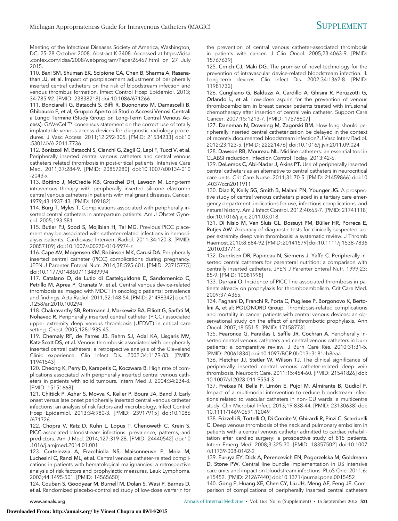Meeting of the Infectious Diseases Society of America, Washington, DC, 25–28 October 2008. Abstract K-3408. Accessed at [https://idsa](https://idsa.confex.com/idsa/2008/webprogram/Paper26467.html) [.confex.com/idsa/2008/webprogram/Paper26467.html](https://idsa.confex.com/idsa/2008/webprogram/Paper26467.html) on 27 July 2015.

110. Baxi SM, Shuman EK, Scipione CA, Chen B, Sharma A, Rasanathan JJ, et al. Impact of postplacement adjustment of peripherally inserted central catheters on the risk of bloodstream infection and venous thrombus formation. Infect Control Hosp Epidemiol. 2013; 34:785-92. [PMID: 23838218] doi:10.1086/671266

111. Bonciarelli G, Batacchi S, Biffi R, Buononato M, Damascelli B, Ghibaudo F, et al; Gruppo Aperto di Studio Accessi Venosi Centrali a Lungo Termine (Study Group on Long-Term Central Venous Access). GAVeCeLT\* consensus statement on the correct use of totally implantable venous access devices for diagnostic radiology procedures. J Vasc Access. 2011;12:292-305. [PMID: 21534233] doi:10 .5301/JVA.2011.7736

112. Bonizzoli M, Batacchi S, Cianchi G, Zagli G, Lapi F, Tucci V, et al. Peripherally inserted central venous catheters and central venous catheters related thrombosis in post-critical patients. Intensive Care Med. 2011;37:284-9. [PMID: 20857280] doi:10.1007/s00134-010 -2043-x

113. Bottino J, McCredie KB, Groschel DH, Lawson M. Long-term intravenous therapy with peripherally inserted silicone elastomer central venous catheters in patients with malignant diseases. Cancer. 1979;43:1937-43. [PMID: 109182]

114. Burg T, Myles T. Complications associated with peripherally inserted central catheters in antepartum patients. Am J Obstet Gynecol. 2005;193:S81.

115. Butler PJ, Sood S, Mojibian H, Tal MG. Previous PICC placement may be associated with catheter-related infections in hemodialysis patients. Cardiovasc Intervent Radiol. 2011;34:120-3. [PMID: 20857109] doi:10.1007/s00270-010-9974-z

116. Cape AV, Mogensen KM, Robinson MK, Carusi DA. Peripherally inserted central catheter (PICC) complications during pregnancy. JPEN J Parenter Enteral Nutr. 2014;38:595-601. [PMID: 23715775] doi:10.1177/0148607113489994

117. Catalano O, de Lutio di Castelguidone E, Sandomenico C, Petrillo M, Aprea P, Granata V, et al. Central venous device-related thrombosis as imaged with MDCT in oncologic patients: prevalence and findings. Acta Radiol. 2011;52:148-54. [PMID: 21498342] doi:10 .1258/ar.2010.100294

118. Chakravarthy SB, Rettmann J, Markewitz BA, Elliott G, Sarfati M, Nohavec R. Peripherally inserted central catheter (PICC) associated upper extremity deep venous thrombosis (UEDVT) in critical care setting. Chest. 2005;128:193S-4S.

119. Chemaly RF, de Parres JB, Rehm SJ, Adal KA, Lisgaris MV, Katz-Scott DS, et al. Venous thrombosis associated with peripherally inserted central catheters: a retrospective analysis of the Cleveland Clinic experience. Clin Infect Dis. 2002;34:1179-83. [PMID: 11941543]

120. Cheong K, Perry D, Karapetis C, Koczwara B. High rate of complications associated with peripherally inserted central venous catheters in patients with solid tumours. Intern Med J. 2004;34:234-8. [PMID: 15151668]

121. Chittick P, Azhar S, Movva K, Keller P, Boura JA, Band J. Early onset versus late onset peripherally inserted central venous catheter infections: an analysis of risk factors and microbiology. Infect Control Hosp Epidemiol. 2013;34:980-3. [PMID: 23917915] doi:10.1086 /671726

122. Chopra V, Ratz D, Kuhn L, Lopus T, Chenoweth C, Krein S. PICC-associated bloodstream infections: prevalence, patterns, and predictors. Am J Med. 2014;127:319-28. [PMID: 24440542] doi:10 .1016/j.amjmed.2014.01.001

123. Cortelezzia A, Fracchiolla NS, Maisonneuve P, Moia M, Luchesini C, Ranzi ML, et al. Central venous catheter-related complications in patients with hematological malignancies: a retrospective analysis of risk factors and prophylactic measures. Leuk Lymphoma. 2003;44:1495-501. [PMID: 14565650]

124. Couban S, Goodyear M, Burnell M, Dolan S, Wasi P, Barnes D, et al. Randomized placebo-controlled study of low-dose warfarin for the prevention of central venous catheter-associated thrombosis in patients with cancer. J Clin Oncol. 2005;23:4063-9. [PMID: 15767639]

125. Crnich CJ, Maki DG. The promise of novel technology for the prevention of intravascular device-related bloodstream infection. II. Long-term devices. Clin Infect Dis. 2002;34:1362-8. [PMID: 11981732]

126. Curigliano G, Balduzzi A, Cardillo A, Ghisini R, Peruzzotti G, Orlando L, et al. Low-dose aspirin for the prevention of venous thromboembolism in breast cancer patients treated with infusional chemotherapy after insertion of central vein catheter. Support Care Cancer. 2007;15:1213-7. [PMID: 17578607]

127. Daneman N, Downing M, Zagorski BM. How long should peripherally inserted central catheterization be delayed in the context of recently documented bloodstream infection? J Vasc Interv Radiol. 2012;23:123-5. [PMID: 22221476] doi:10.1016/j.jvir.2011.09.024

128. Dawson RB, Moureau NL. Midline catheters: an essential tool in CLABSI reduction. Infection Control Today. 2013:42-6.

129. DeLemos C, Abi-Nader J, Akins PT. Use of peripherally inserted central catheters as an alternative to central catheters in neurocritical care units. Crit Care Nurse. 2011;31:70-5. [PMID: 21459866] doi:10 .4037/ccn2011911

130. Diaz K, Kelly SG, Smith B, Malani PN, Younger JG. A prospective study of central venous catheters placed in a tertiary care emergency department: indications for use, infectious complications, and natural history. Am J Infect Control. 2012;40:65-7. [PMID: 21741118] doi:10.1016/j.ajic.2011.03.018

131. Di Nisio M, Van Sluis GL, Bossuyt PM, Büller HR, Porreca E, Rutjes AW. Accuracy of diagnostic tests for clinically suspected upper extremity deep vein thrombosis: a systematic review. J Thromb Haemost.2010;8:684-92. [PMID:20141579]doi:10.1111/j.1538-7836 .2010.03771.x

132. Duerksen DR, Papineau N, Siemens J, Yaffe C. Peripherally inserted central catheters for parenteral nutrition: a comparison with centrally inserted catheters. JPEN J Parenter Enteral Nutr. 1999;23: 85-9. [PMID: 10081998]

133. Durrani O. Incidence of PICC line associated thrombosis in patients already on prophylaxis for thromboembolism. Crit Care Med. 2009;37:A365.

134. Fagnani D, Franchi R, Porta C, Pugliese P, Borgonovo K, Bertolini A, et al; POLONORD Group. Thrombosis-related complications and mortality in cancer patients with central venous devices: an observational study on the effect of antithrombotic prophylaxis. Ann Oncol. 2007;18:551-5. [PMID: 17158773]

135. Fearonce G, Faraklas I, Saffle JR, Cochran A. Peripherally inserted central venous catheters and central venous catheters in burn patients: a comparative review. J Burn Care Res. 2010;31:31-5. [PMID: 20061834] doi:10.1097/BCR.0b013e3181cb8eaa

136. Fletcher JJ, Stetler W, Wilson TJ. The clinical significance of peripherally inserted central venous catheter-related deep vein thrombosis. Neurocrit Care. 2011;15:454-60. [PMID: 21541826] doi: 10.1007/s12028-011-9554-3

137. Freixas N, Bella F, Limón E, Pujol M, Almirante B, Gudiol F. Impact of a multimodal intervention to reduce bloodstream infections related to vascular catheters in non-ICU wards: a multicentre study. Clin Microbiol Infect. 2013;19:838-44. [PMID: 23130638] doi: 10.1111/1469-0691.12049

138. Frizzelli R, Tortelli O, Di Comite V, Ghirardi R, Pinzi C, Scarduelli C. Deep venous thrombosis of the neck and pulmonary embolism in patients with a central venous catheter admitted to cardiac rehabilitation after cardiac surgery: a prospective study of 815 patients. Intern Emerg Med. 2008;3:325-30. [PMID: 18357502] doi:10.1007 /s11739-008-0142-2

139. Furuya EY, Dick A, Perencevich EN, Pogorzelska M, Goldmann D, Stone PW. Central line bundle implementation in US intensive care units and impact on bloodstream infections. PLoS One. 2011;6: e15452. [PMID: 21267440] doi:10.1371/journal.pone.0015452

140. Gong P, Huang XE, Chen CY, Liu JH, Meng AF, Feng JF. Comparison of complications of peripherally inserted central catheters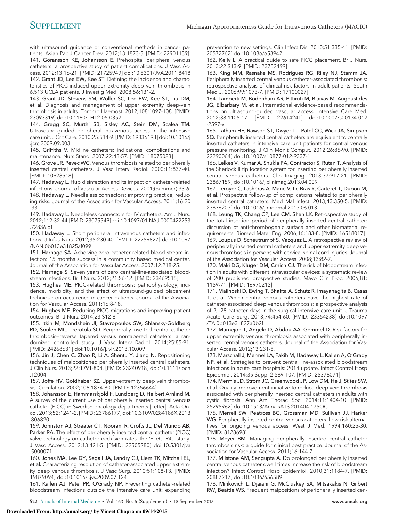with ultrasound guidance or conventional methods in cancer patients. Asian Pac J Cancer Prev. 2012;13:1873-5. [PMID: 22901139] 141. Göransson KE, Johansson E. Prehospital peripheral venous catheters: a prospective study of patient complications. J Vasc Access. 2012;13:16-21. [PMID: 21725949] doi:10.5301/JVA.2011.8418 142. Grant JD, Lee EW, Kee ST. Defining the incidence and characteristics of PICC-induced upper extremity deep vein thrombosis in 6,513 UCLA patients. J Investig Med. 2008;56:131-2.

143. Grant JD, Stevens SM, Woller SC, Lee EW, Kee ST, Liu DM, et al. Diagnosis and management of upper extremity deep-vein thrombosis in adults. Thromb Haemost. 2012;108:1097-108. [PMID: 23093319] doi:10.1160/TH12-05-0352

144. Gregg SC, Murthi SB, Sisley AC, Stein DM, Scalea TM. Ultrasound-guided peripheral intravenous access in the intensive care unit. J Crit Care. 2010;25:514-9. [PMID: 19836193] doi:10.1016/j .jcrc.2009.09.003

145. Griffiths V. Midline catheters: indications, complications and maintenance. Nurs Stand. 2007;22:48-57. [PMID: 18075023]

146. Grove JR, Pevec WC. Venous thrombosis related to peripherally inserted central catheters. J Vasc Interv Radiol. 2000;11:837-40. [PMID: 10928518]

147. Hadaway L. Hub disinfection and its impact on catheter-related infections. Journal of Vascular Access Devices. 2001;(Summer):33-6. 148. Hadaway L. Needleless connectors: improving practice, reducing risks. Journal of the Association for Vascular Access. 2011;16:20 -33.

149. Hadaway L. Needleless connectors for IV catheters. Am J Nurs. 2012;112:32-44.[PMID:23075549]doi:10.1097/01.NAJ.0000422253 .72836.c1

150. Hadaway L. Short peripheral intravenous catheters and infections. J Infus Nurs. 2012;35:230-40. [PMID: 22759827] doi:10.1097 /NAN.0b013e31825af099

151. Harnage SA. Acheiving zero catheter related blood stream infection: 15 months success in a community based medical center. Journal of the Association for Vascular Access. 2007;12:218-25.

152. Harnage S. Seven years of zero central-line-associated bloodstream infections. Br J Nurs. 2012;21:S6-12. [PMID: 23469515]

153. Hughes ME. PICC-related thrombosis: pathophysiology, incidence, morbidity, and the effect of ultrasound-guided placement technique on occurrence in cancer patients. Journal of the Association for Vascular Access. 2011;16:8-18.

154. Hughes ME. Reducing PICC migrations and improving patient outcomes. Br J Nurs. 2014;23:S12-8.

155. Itkin M, Mondshein JI, Stavropoulos SW, Shlansky-Goldberg RD, Soulen MC, Trerotola SO. Peripherally inserted central catheter thrombosis—reverse tapered versus nontapered catheters: a randomized controlled study. J Vasc Interv Radiol. 2014;25:85-91. [PMID: 24268631] doi:10.1016/j.jvir.2013.10.009

156. Jin J, Chen C, Zhao R, Li A, Shentu Y, Jiang N. Repositioning techniques of malpositioned peripherally inserted central catheters. J Clin Nurs. 2013;22:1791-804. [PMID: 23240918] doi:10.1111/jocn .12004

157. Joffe HV, Goldhaber SZ. Upper-extremity deep vein thrombosis. Circulation. 2002;106:1874-80. [PMID: 12356644]

158. Johansson E, Hammarskjöld F, Lundberg D, Heibert Arnlind M. A survey of the current use of peripherally inserted central venous catheter (PICC) in Swedish oncology departments [Letter]. Acta Oncol. 2013;52:1241-2. [PMID: 23786177] doi:10.3109/0284186X.2013 .806820

159. Johnston AJ, Streater CT, Noorani R, Crofts JL, Del Mundo AB, Parker RA. The effect of peripherally inserted central catheter (PICC) valve technology on catheter occlusion rates—the 'ELeCTRiC' study. J Vasc Access. 2012;13:421-5. [PMID: 22505280] doi:10.5301/jva .5000071

160. Jones MA, Lee DY, Segall JA, Landry GJ, Liem TK, Mitchell EL, et al. Characterizing resolution of catheter-associated upper extremity deep venous thrombosis. J Vasc Surg. 2010;51:108-13. [PMID: 19879094] doi:10.1016/j.jvs.2009.07.124

161. Kallen AJ, Patel PR, O'Grady NP. Preventing catheter-related bloodstream infections outside the intensive care unit: expanding prevention to new settings. Clin Infect Dis. 2010;51:335-41. [PMID: 20572762] doi:10.1086/653942

162. Kelly L. A practical guide to safe PICC placement. Br J Nurs. 2013;22:S13-9. [PMID: 23752499]

163. King MM, Rasnake MS, Rodriguez RG, Riley NJ, Stamm JA. Peripherally inserted central venous catheter-associated thrombosis: retrospective analysis of clinical risk factors in adult patients. South Med J. 2006;99:1073-7. [PMID: 17100027]

164. Lamperti M, Bodenham AR, Pittiruti M, Blaivas M, Augoustides JG, Elbarbary M, et al. International evidence-based recommendations on ultrasound-guided vascular access. Intensive Care Med. 2012;38:1105-17. [PMID: 22614241] doi:10.1007/s00134-012 -2597-x

165. Latham HE, Rawson ST, Dwyer TT, Patel CC, Wick JA, Simpson SQ. Peripherally inserted central catheters are equivalent to centrally inserted catheters in intensive care unit patients for central venous pressure monitoring. J Clin Monit Comput. 2012;26:85-90. [PMID: 22290064] doi:10.1007/s10877-012-9337-1

166. Lelkes V, Kumar A, Shukla PA, Contractor S, Rutan T. Analysis of the Sherlock II tip location system for inserting peripherally inserted central venous catheters. Clin Imaging. 2013;37:917-21. [PMID: 23867159] doi:10.1016/j.clinimag.2013.04.009

167. Leroyer C, Lashéras A, Marie V, Le Bras Y, Carteret T, Dupon M, et al. Prospective follow-up of complications related to peripherally inserted central catheters. Med Mal Infect. 2013;43:350-5. [PMID: 23876203] doi:10.1016/j.medmal.2013.06.013

168. Leung TK, Chang CP, Lee CM, Shen LK. Retrospective study of the total insertion period of peripherally inserted central catheter: discussion of anti-thrombogenic surface and other biomaterial requirements. Biomed Mater Eng. 2006;16:183-8. [PMID: 16518017]

169. Loupus D, Scheutrumpf S, Vazquez L. A retrospective review of peripherally inserted central catheters and upper extremity deep venous thrombosis in persons with cervical spinal cord injuries. Journal of the Association for Vascular Access. 2008;13:82-7.

170. Maki DG, Kluger DM, Crnich CJ. The risk of bloodstream infection in adults with different intravascular devices: a systematic review of 200 published prospective studies. Mayo Clin Proc. 2006;81: 1159-71. [PMID: 16970212]

171. Malinoski D, Ewing T, Bhakta A, Schutz R, Imayanagita B, Casas T, et al. Which central venous catheters have the highest rate of catheter-associated deep venous thrombosis: a prospective analysis of 2,128 catheter days in the surgical intensive care unit. J Trauma Acute Care Surg. 2013;74:454-60. [PMID: 23354238] doi:10.1097 /TA.0b013e31827a0b2f

172. Marnejon T, Angelo D, Abdou AA, Gemmel D. Risk factors for upper extremity venous thrombosis associated with peripherally inserted central venous catheters. Journal of the Association for Vascular Access. 2012;13:231-8.

173. Marschall J, Mermel LA, Fakih M, Hadaway L, Kallen A, O'Grady NP, et al. Strategies to prevent central line-associated bloodstream infections in acute care hospitals: 2014 update. Infect Control Hosp Epidemiol. 2014;35 Suppl 2:S89-107. [PMID: 25376071]

174. Mermis JD, Strom JC, Greenwood JP, Low DM, He J, Stites SW, et al. Quality improvement initiative to reduce deep vein thrombosis associated with peripherally inserted central catheters in adults with cystic fibrosis. Ann Am Thorac Soc. 2014;11:1404-10. [PMID: 25295962] doi:10.1513/AnnalsATS.201404-175OC

175. Merrell SW, Peatross BG, Grossman MD, Sullivan JJ, Harker WG. Peripherally inserted central venous catheters. Low-risk alternatives for ongoing venous access. West J Med. 1994;160:25-30. [PMID: 8128698]

176. Meyer BM. Managing peripherally inserted central catheter thrombosis risk: a guide for clinical best practice. Journal of the Association for Vascular Access. 2011;16:144-7.

177. Milstone AM, Sengupta A. Do prolonged peripherally inserted central venous catheter dwell times increase the risk of bloodstream infection? Infect Control Hosp Epidemiol. 2010;31:1184-7. [PMID: 20887217] doi:10.1086/656589

178. Minkovich L, Djaiani G, McCluskey SA, Mitsakakis N, Gilbert RW, Beattie WS. Frequent malpositions of peripherally inserted cen-

S22 Annals of Internal Medicine • Vol. 163 No. 6 (Supplement) • 15 September 2015 www.annals.org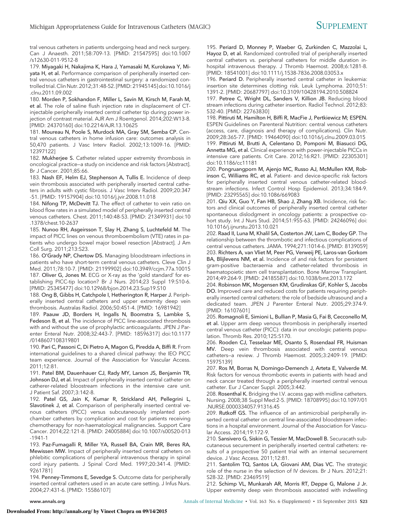tral venous catheters in patients undergoing head and neck surgery. Can J Anaesth. 2011;58:709-13. [PMID: 21547595] doi:10.1007 /s12630-011-9512-8

179. Miyagaki H, Nakajima K, Hara J, Yamasaki M, Kurokawa Y, Miyata H, et al. Performance comparison of peripherally inserted central venous catheters in gastrointestinal surgery: a randomized controlled trial. ClinNutr. 2012;31:48-52. [PMID: 21945145]doi:10.1016/j .clnu.2011.09.002

180. Morden P, Sokhandon F, Miller L, Savin M, Kirsch M, Farah M, et al. The role of saline flush injection rate in displacement of CTinjectable peripherally inserted central catheter tip during power injection of contrast material. AJR Am J Roentgenol. 2014;202:W13-8. [PMID: 24370160] doi:10.2214/AJR.13.10625

181. Moureau N, Poole S, Murdock MA, Gray SM, Semba CP. Central venous catheters in home infusion care: outcomes analysis in 50,470 patients. J Vasc Interv Radiol. 2002;13:1009-16. [PMID: 12397122]

182. Mukherjee S. Catheter related upper extremity thrombosis in oncological practice—a study on incidence and risk factors [Abstract]. Br J Cancer. 2001;85:66.

183. Nash EF, Helm EJ, Stephenson A, Tullis E. Incidence of deep vein thrombosis associated with peripherally inserted central catheters in adults with cystic fibrosis. J Vasc Interv Radiol. 2009;20:347 -51. [PMID: 19157904] doi:10.1016/j.jvir.2008.11.018

184. Nifong TP, McDevitt TJ. The effect of catheter to vein ratio on blood flow rates in a simulated model of peripherally inserted central venous catheters. Chest. 2011;140:48-53. [PMID: 21349931] doi:10 .1378/chest.10-2637

185. Nunoo RH, Asgeirsson T, Slay H, Zhang S, Luchtefeld M. The impact of PICC lines on venous thromboembolism (VTE) rates in patients who undergo bowel major bowel resection [Abstract]. J Am Coll Surg. 2011;213:S23.

186. O'Grady NP, Chertow DS. Managing bloodstream infections in patients who have short-term central venous catheters. Cleve Clin J Med. 2011;78:10-7. [PMID: 21199902] doi:10.3949/ccjm.77a.10015 187. Oliver G, Jones M. ECG or X-ray as the 'gold standard' for establishing PICC-tip location? Br J Nurs. 2014;23 Suppl 19:S10-6. [PMID: 25345477] doi:10.12968/bjon.2014.23.Sup19.S10

188. Ong B, Gibbs H, Catchpole I, Hetherington R, Harper J. Peripherally inserted central catheters and upper extremity deep vein thrombosis. Australas Radiol. 2006;50:451-4. [PMID: 16981942]

189. Paauw JD, Borders H, Ingalls N, Boomstra S, Lambke S, Fedeson B, et al. The incidence of PICC line-associated thrombosis with and without the use of prophylactic anticoagulants. JPEN J Parenter Enteral Nutr. 2008;32:443-7. [PMID: 18596317] doi:10.1177 /0148607108319801

190. Pari C, Passoni C, Di Pietro A, Magon G, Piredda A, Biffi R. From international guidelines to a shared clinical pathway: the IEO PICC team experience. Journal of the Association for Vascular Access. 2011;12:81.

191. Patel BM, Dauenhauer CJ, Rady MY, Larson JS, Benjamin TR, Johnson DJ, et al. Impact of peripherally inserted central catheter on catherer-related bloostream infections in the intensive care unit. J Patient Saf. 2007;3:142-8.

192. Patel GS, Jain K, Kumar R, Strickland AH, Pellegrini L, Slavotinek J, et al. Comparison of peripherally inserted central venous catheters (PICC) versus subcutaneously implanted portchamber catheters by complication and cost for patients receiving chemotherapy for non-haematological malignancies. Support Care Cancer. 2014;22:121-8. [PMID: 24005884] doi:10.1007/s00520-013 -1941-1

193. Paz-Fumagalli R, Miller YA, Russell BA, Crain MR, Beres RA, Mewissen MW. Impact of peripherally inserted central catheters on phlebitic complications of peripheral intravenous therapy in spinal cord injury patients. J Spinal Cord Med. 1997;20:341-4. [PMID: 9261781]

194. Penney-Timmons E, Sevedge S. Outcome data for peripherally inserted central catheters used in an acute care setting. J Infus Nurs. 2004;27:431-6. [PMID: 15586107]

195. Periard D, Monney P, Waeber G, Zurkinden C, Mazzolai L, Hayoz D, et al. Randomized controlled trial of peripherally inserted central catheters vs. peripheral catheters for middle duration inhospital intravenous therapy. J Thromb Haemost. 2008;6:1281-8. [PMID: 18541001] doi:10.1111/j.1538-7836.2008.03053.x

196. Periard D. Peripherally inserted central catheter in leukemia: insertion site determines clotting risk. Leuk Lymphoma. 2010;51: 1391-2. [PMID: 20687797] doi:10.3109/10428194.2010.508824

197. Petree C, Wright DL, Sanders V, Killion JB. Reducing blood stream infections during catheter insertion. Radiol Technol. 2012;83: 532-40. [PMID: 22763830]

198. Pittiruti M, Hamilton H, Biffi R, MacFie J, Pertkiewicz M; ESPEN. ESPEN Guidelines on Parenteral Nutrition: central venous catheters (access, care, diagnosis and therapy of complications). Clin Nutr. 2009;28:365-77. [PMID: 19464090] doi:10.1016/j.clnu.2009.03.015 199. Pittiruti M, Brutti A, Celentano D, Pomponi M, Biasucci DG, Annetta MG, et al. Clinical experience with power-injectable PICCs in intensive care patients. Crit Care. 2012;16:R21. [PMID: 22305301]

doi:10.1186/cc11181 200. Pongruangporn M, Ajenjo MC, Russo AJ, McMullen KM, Robinson C, Williams RC, et al. Patient- and device-specific risk factors for peripherally inserted central venous catheter-related bloodstream infections. Infect Control Hosp Epidemiol. 2013;34:184-9. [PMID: 23295565] doi:10.1086/669083

201. Qiu XX, Guo Y, Fan HB, Shao J, Zhang XB. Incidence, risk factors and clinical outcomes of peripherally inserted central catheter spontaneous dislodgment in oncology patients: a prospective cohort study. Int J Nurs Stud. 2014;51:955-63. [PMID: 24246096] doi: 10.1016/j.ijnurstu.2013.10.021

202. Raad II, Luna M, Khalil SA, Costerton JW, Lam C, Bodey GP. The relationship between the thrombotic and infectious complications of central venous catheters. JAMA. 1994;271:1014-6. [PMID: 8139059]

203. Richters A, van Vliet M, Peer PG, Verweij PE, Laros-van Gorkom BA, Blijlevens NM, et al. Incidence of and risk factors for persistent gram-positive bacteraemia and catheter-related thrombosis in haematopoietic stem cell transplantation. Bone Marrow Transplant. 2014;49:264-9. [PMID: 24185587] doi:10.1038/bmt.2013.172

204. Robinson MK, Mogensen KM, Grudinskas GF, Kohler S, Jacobs DO. Improved care and reduced costs for patients requiring peripherally inserted central catheters: the role of bedside ultrasound and a dedicated team. JPEN J Parenter Enteral Nutr. 2005;29:374-9. [PMID: 16107601]

205. Romagnoli E, Simioni L, Bullian P, Masia G, Fai B, Cecconello M, et al. Upper arm deep venous thrombosis in peripherally inserted central venous catheter (PICC): data in our oncologic patients population. Thromb Res. 2010;125:S170.

206. Rooden CJ, Tesselaar ME, Osanto S, Rosendaal FR, Huisman MV. Deep vein thrombosis associated with central venous catheters—a review. J Thromb Haemost. 2005;3:2409-19. [PMID: 15975139]

207. Ros M, Borras N, Domingo-Demench J, Arteta E, Valverde M. Risk factors for venous thrombotic events in patients with head and neck cancer treated through a peripherally inserted central venous catheter. Eur J Cancer Suppl. 2005;3:442.

208. Rosenthal K. Bridging the I.V. access gap with midline catheters. Nursing. 2008;38 Suppl Med:2-5. [PMID: 18708995] doi:10.1097/01 .NURSE.0000334057.91316.45

209. Rutkoff GS. The influence of an antimicrobial peripherally inserted central catheter on central line-associated bloodstream infections in a hospital environment. Journal of the Association for Vascular Access. 2014;19:172-9.

210. Sansivero G, Siskin G, Tessier M, MacDowell B. Securacath subcutaneous securement in peripherally inserted central catheters: results of a prospective 50 patient trial with an internal securement device. J Vasc Access. 2011;12:81.

211. Santolim TQ, Santos LA, Giovani AM, Dias VC. The strategic role of the nurse in the selection of IV devices. Br J Nurs. 2012;21: S28-32. [PMID: 23469519]

212. Schimp VL, Munkarah AR, Morris RT, Deppe G, Malone J Jr. Upper extremity deep vein thrombosis associated with indwelling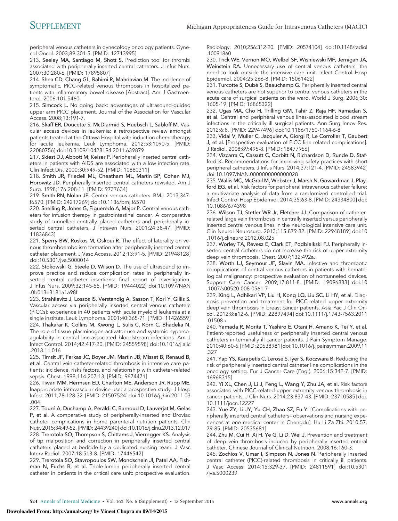peripheral venous catheters in gynecology oncology patients. Gynecol Oncol. 2003;89:301-5. [PMID: 12713995]

213. Seeley MA, Santiago M, Shott S. Prediction tool for thrombi associated with peripherally inserted central catheters. J Infus Nurs. 2007;30:280-6. [PMID: 17895807]

214. Shea CD, Chang GL, Rahimi R, Mahdavian M. The incidence of symptomatic, PICC-related venous thrombosis in hospitalized patients with inflammatory bowel disease [Abstract]. Am J Gastroenterol. 2006;101:S460.

215. Simcock L. No going back: advantages of ultrasound-guided upper arm PICC placement. Journal of the Association for Vascular Access. 2008;13:191-7.

216. Skaff ER, Doucette S, McDiarmid S, Huebsch L, Sabloff M. Vascular access devices in leukemia: a retrospective review amongst patients treated at the Ottawa Hospital with induction chemotherapy for acute leukemia. Leuk Lymphoma. 2012;53:1090-5. [PMID: 22080756] doi:10.3109/10428194.2011.639879

217. Skiest DJ, Abbott M, Keiser P. Peripherally inserted central catheters in patients with AIDS are associated with a low infection rate. Clin Infect Dis. 2000;30:949-52. [PMID: 10880311]

218. Smith JR, Friedell ML, Cheatham ML, Martin SP, Cohen MJ, Horowitz JD. Peripherally inserted central catheters revisited. Am J Surg. 1998;176:208-11. [PMID: 9737634]

219. Smith RN, Nolan JP. Central venous catheters. BMJ. 2013;347: f6570. [PMID: 24217269] doi:10.1136/bmj.f6570

220. Snelling R, Jones G, Figueredo A, Major P. Central venous catheters for infusion therapy in gastrointestinal cancer. A comparative study of tunnelled centrally placed catheters and peripherally inserted central catheters. J Intraven Nurs. 2001;24:38-47. [PMID: 11836843]

221. Sperry BW, Roskos M, Oskoui R. The effect of laterality on venous thromboembolism formation after peripherally inserted central catheter placement. J Vasc Access. 2012;13:91-5. [PMID: 21948128] doi:10.5301/jva.5000014

222. Stokowski G, Steele D, Wilson D. The use of ultrasound to improve practice and reduce complication rates in peripherally inserted central catheter insertions: final report of investigation. J Infus Nurs. 2009;32:145-55. [PMID: 19444022] doi:10.1097/NAN .0b013e3181a1a98f

223. Strahilevitz J, Lossos IS, Verstandig A, Sasson T, Kori Y, Gillis S. Vascular access via peripherally inserted central venous catheters (PICCs): experience in 40 patients with acute myeloid leukemia at a single institute. Leuk Lymphoma. 2001;40:365-71. [PMID: 11426559] 224. Thakarar K, Collins M, Kwong L, Sulis C, Korn C, Bhadelia N. The role of tissue plasminogen activator use and systemic hypercoagulability in central line-associated bloodstream infections. Am J

Infect Control. 2014;42:417-20. [PMID: 24559598] doi:10.1016/j.ajic .2013.11.016 225. Timsit JF, Farkas JC, Boyer JM, Martin JB, Misset B, Renaud B, et al. Central vein catheter-related thrombosis in intensive care pa-

tients: incidence, risks factors, and relationship with catheter-related sepsis. Chest. 1998;114:207-13. [PMID: 9674471]

226. Tiwari MM, Hermsen ED, Charlton ME, Anderson JR, Rupp ME. Inappropriate intravascular device use: a prospective study. J Hosp Infect. 2011;78:128-32. [PMID: 21507524] doi:10.1016/j.jhin.2011.03 .004

227. Touré A, Duchamp A, Peraldi C, Barnoud D, Lauverjat M, Gelas P, et al. A comparative study of peripherally-inserted and Broviac catheter complications in home parenteral nutrition patients. Clin Nutr. 2015;34:49-52. [PMID: 24439240] doi:10.1016/j.clnu.2013.12.017 228. Trerotola SO, Thompson S, Chittams J, Vierregger KS. Analysis of tip malposition and correction in peripherally inserted central catheters placed at bedside by a dedicated nursing team. J Vasc Interv Radiol. 2007;18:513-8. [PMID: 17446542]

229. Trerotola SO, Stavropoulos SW, Mondschein JI, Patel AA, Fishman N, Fuchs B, et al. Triple-lumen peripherally inserted central catheter in patients in the critical care unit: prospective evaluation. Radiology. 2010;256:312-20. [PMID: 20574104] doi:10.1148/radiol .10091860

230. Trick WE, Vernon MO, Welbel SF, Wisniewski MF, Jernigan JA, Weinstein RA. Unnecessary use of central venous catheters: the need to look outside the intensive care unit. Infect Control Hosp Epidemiol. 2004;25:266-8. [PMID: 15061422]

231. Turcotte S, Dubé S, Beauchamp G. Peripherally inserted central venous catheters are not superior to central venous catheters in the acute care of surgical patients on the ward. World J Surg. 2006;30: 1605-19. [PMID: 16865322]

232. Ugas MA, Cho H, Trilling GM, Tahir Z, Raja HF, Ramadan S, et al. Central and peripheral venous lines-associated blood stream infections in the critically ill surgical patients. Ann Surg Innov Res. 2012;6:8. [PMID: 22947496] doi:10.1186/1750-1164-6-8

233. Vidal V, Muller C, Jacquier A, Giorgi R, Le Corroller T, Gaubert J, et al. [Prospective evaluation of PICC line related complications]. J Radiol. 2008;89:495-8. [PMID: 18477956]

234. Vizcarra C, Cassutt C, Corbitt N, Richardson D, Runde D, Stafford K. Recommendations for improving safety practices with short peripheral catheters. J Infus Nurs. 2014;37:121-4. [PMID: 24583942] doi:10.1097/NAN.0000000000000028

235. Wallis MC, McGrail M, Webster J, Marsh N, Gowardman J, Playford EG, et al. Risk factors for peripheral intravenous catheter failure: a multivariate analysis of data from a randomized controlled trial. Infect Control Hosp Epidemiol. 2014;35:63-8. [PMID: 24334800] doi: 10.1086/674398

236. Wilson TJ, Stetler WR Jr, Fletcher JJ. Comparison of catheterrelated large vein thrombosis in centrally inserted versus peripherally inserted central venous lines in the neurological intensive care unit. Clin Neurol Neurosurg. 2013;115:879-82. [PMID: 22948189] doi:10 .1016/j.clineuro.2012.08.025

237. Worley TA, Revesz E, Clark ET, Podbielkski FJ. Peripherally inserted central catheters do not increase the risk of upper extremity deep vein thrombosis. Chest. 2007;132:492a.

238. Worth LJ, Seymour JF, Slavin MA. Infective and thrombotic complications of central venous catheters in patients with hematological malignancy: prospective evaluation of nontunneled devices. Support Care Cancer. 2009;17:811-8. [PMID: 19096883] doi:10 .1007/s00520-008-0561-7

239. Xing L, Adhikari VP, Liu H, Kong LQ, Liu SC, Li HY, et al. Diagnosis prevention and treatment for PICC-related upper extremity deep vein thrombosis in breast cancer patients. Asia Pac J Clin Oncol. 2012;8:e12-6. [PMID: 22897494] doi:10.1111/j.1743-7563.2011 .01508.x

240. Yamada R, Morita T, Yashiro E, Otani H, Amano K, Tei Y, et al. Patient-reported usefulness of peripherally inserted central venous catheters in terminally ill cancer patients. J Pain Symptom Manage. 2010;40:60-6.[PMID:20638981]doi:10.1016/j.jpainsymman.2009.11 .327

241. Yap YS, Karapetis C, Lerose S, Iyer S, Koczwara B. Reducing the risk of peripherally inserted central catheter line complications in the oncology setting. Eur J Cancer Care (Engl). 2006;15:342-7. [PMID: 16968315]

242. Yi XL, Chen J, Li J, Feng L, Wang Y, Zhu JA, et al. Risk factors associated with PICC-related upper extremity venous thrombosis in cancer patients. J Clin Nurs. 2014;23:837-43. [PMID: 23710585] doi: 10.1111/jocn.12227

243. Yue ZY, Li JY, Yu CH, Zhao SZ, Fu Y. [Complications with peripherally inserted central catheters—observations and nursing experiences at one medical center in Chengdu]. Hu Li Za Zhi. 2010;57: 79-85. [PMID: 20535681]

244. Zhu M, Cui H, Xi H, Ye G, Li D, Wei J. Prevention and treatment of deep vein thrombosis induced by peripherally inserted enteral catheter. Chinese Journal of Clinical Nutrition. 2008;16:160-3.

245. Zochios V, Umar I, Simpson N, Jones N. Peripherally inserted central catheter (PICC)-related thrombosis in critically ill patients. J Vasc Access. 2014;15:329-37. [PMID: 24811591] doi:10.5301 /jva.5000239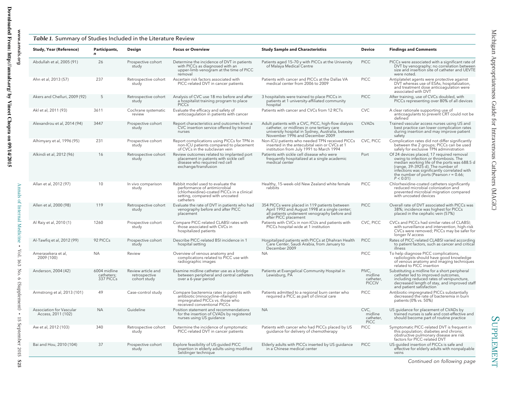## *Table 1.* Summary of Studies Included in the Literature Review

| <b>Study, Year (Reference)</b>                 | Participants,                           | Design                                              | <b>Focus or Overview</b>                                                                                                                                        | <b>Study Sample and Characteristics</b>                                                                                                                                                   | <b>Device</b>                                  | <b>Findings and Comments</b>                                                                                                                                                                                                                                                         |
|------------------------------------------------|-----------------------------------------|-----------------------------------------------------|-----------------------------------------------------------------------------------------------------------------------------------------------------------------|-------------------------------------------------------------------------------------------------------------------------------------------------------------------------------------------|------------------------------------------------|--------------------------------------------------------------------------------------------------------------------------------------------------------------------------------------------------------------------------------------------------------------------------------------|
| Abdullah et al, 2005 (91)                      | 26                                      | Prospective cohort<br>study                         | Determine the incidence of DVT in patients<br>with PICCs as diagnosed with an<br>upper-limb venogram at the time of PICC<br>removal                             | Patients aged 15-70 y with PICCs at the University<br>of Malaya Medical Centre                                                                                                            | <b>PICC</b>                                    | PICCs were associated with a significant rate of<br>DVT by venography; no correlation between<br>size and insertion site of catheter and UEVTE<br>were noted.                                                                                                                        |
| Ahn et al, 2013 (57)                           | 237                                     | Retrospective cohort<br>study                       | Ascertain risk factors associated with<br>PICC-related DVT in cancer patients                                                                                   | Patients with cancer and PICCs at the Dallas VA<br>medical center from 2006 to 2009                                                                                                       | <b>PICC</b>                                    | Antiplatelet agents were protective against<br>DVT whereas use of ESAs, hospitalization,<br>and treatment dose anticoagulation were<br>associated with DVT                                                                                                                           |
| Akers and Chelluri, 2009 (92)                  | 5                                       | Retrospective cohort<br>study                       | Analysis of CVC use 18 mo before and after<br>a hospitalist training program to place<br><b>PICCs</b>                                                           | 3 hospitalists were trained to place PICCs in<br>patients at 1 university-affiliated community<br>hospital                                                                                | <b>PICC</b>                                    | After training, use of CVCs doubled, with<br>PICCs representing over 80% of all devices                                                                                                                                                                                              |
| Akl et al, 2011 (93)                           | 3611                                    | Cochrane systematic<br>review                       | Evaluate the efficacy and safety of<br>anticoaqulation in patients with cancer                                                                                  | Patients with cancer and CVCs from 12 RCTs                                                                                                                                                | <b>CVC</b>                                     | A clear rationale supporting use of<br>anticoaqulants to prevent CRT could not be<br>defined                                                                                                                                                                                         |
| Alexandrou et al, 2014 (94)                    | 3447                                    | Prospective cohort<br>study                         | Report characteristics and outcomes from a<br>CVC insertion service offered by trained<br>nurses                                                                | Adult patients with a CVC, PICC, high-flow dialysis<br>catheter, or midlines in one tertiary care<br>university hospital in Sydney, Australia, between<br>November 1996 and December 2009 | <b>CVADs</b>                                   | Trained vascular access nurses using US and<br>best practice can lower complication rates<br>during insertion and may improve patient<br>safety                                                                                                                                      |
| Alhimyary et al, 1996 (95)                     | 231                                     | Prospective cohort<br>study                         | Report complications using PICCs for TPN in<br>non-ICU patients compared to placement<br>of CVCs in the subclavian vein                                         | Non-ICU patients who needed TPN received PICCs<br>inserted in the antecubital vein or CVCs at 1<br>institution from July 1991 to March 1994                                               | CVC, PICC                                      | Complication rates did not differ significantly<br>between the 2 groups; PICCs can be used<br>safely for exclusive TPN administration                                                                                                                                                |
| Alkindi et al, 2012 (96)                       | 16                                      | Retrospective cohort<br>study                       | Review outcomes related to implanted port<br>placement in patients with sickle cell<br>disease who required red cell<br>exchange/transfusion                    | Patients with sickle cell disease who were<br>frequently hospitalized at a single academic<br>medical center                                                                              | Port                                           | Of 24 devices placed, 17 required removal<br>owing to infection or thrombosis. The<br>median working life of the ports was 688.5 d<br>(range, 39-3925 d). The number of<br>infections was significantly correlated with<br>the number of ports (Pearson $r = 0.66$ ;<br>$P < 0.01$ ) |
| Allan et al, 2012 (97)                         | 10                                      | In vivo comparison<br>study                         | Rabbit model used to evaluate the<br>performance of antimicrobial<br>(chlorhexidine)-coated PICCs in a clinical<br>setting, compared with uncoated<br>catheters | Healthy, 15-week-old New Zealand white female<br>rabbits                                                                                                                                  | <b>PICC</b>                                    | Chlorhexidine-coated catheters significantly<br>reduced microbial colonization and<br>prevented microbial migration compared<br>with uncoated devices                                                                                                                                |
| Allen et al, 2000 (98)                         | 119                                     | Retrospective cohort<br>study                       | Evaluate the rate of DVT in patients who had<br>venography before and after PICC<br>placement                                                                   | 354 PICCs were placed in 119 patients between<br>April 1992 and August 1998 at a single center;<br>all patients underwent venography before and<br>after PICC placement                   | <b>PICC</b>                                    | Overall rate of DVT associated with PICCs was<br>38%; incidence was highest for PICCs<br>placed in the cephalic vein (57%)                                                                                                                                                           |
| Al Raiy et al, 2010 (1)                        | 1260                                    | Prospective cohort<br>study                         | Compare PICC-related CLABSI rates with<br>those associated with CVCs in<br>hospitalized patients                                                                | Patients with CVCs in non-ICUs and patients with<br>PICCs hospital-wide at 1 institution                                                                                                  | CVC, PICC                                      | CVCs and PICCs had similar rates of CLABSI;<br>with surveillance and intervention, high-risk<br>CVCs were removed; PICCs may be safer for<br>longer IV access                                                                                                                        |
| Al-Tawfig et al, 2012 (99)                     | 92 PICCs                                | Prospective cohort<br>study                         | Describe PICC-related BSI incidence in 1<br>hospital setting                                                                                                    | Hospitalized patients with PICCs at Dhahran Health<br>Care Center, Saudi Arabia, from January to<br>December 2009                                                                         | <b>PICC</b>                                    | Rates of PICC-related CLABSI varied according<br>to patient factors, such as cancer and critical<br>illness                                                                                                                                                                          |
| Amerasekera et al.<br>2009 (100)               | <b>NA</b>                               | Review                                              | Overview of venous anatomy and<br>complications related to PICC use with<br>radiographic images                                                                 | <b>NA</b>                                                                                                                                                                                 | <b>PICC</b>                                    | To help diagnose PICC complications,<br>radiologists should have good knowledge<br>of venous anatomy and imaging techniques<br>related to PICC insertion                                                                                                                             |
| Anderson, 2004 (42)                            | 6004 midline<br>catheters;<br>337 PICCs | Review article and<br>retrospective<br>cohort study | Examine midline catheter use as a bridge<br>between peripheral and central catheters<br>over a 6-year period                                                    | Patients at Evangelical Community Hospital in<br>Lewisburg, PA                                                                                                                            | PIVC,<br>midline<br>catheter,<br><b>PICCIV</b> | Substituting a midline for a short peripheral<br>catheter led to improved outcomes,<br>including reduced rates of venipuncture,<br>decreased length of stay, and improved staf<br>and patient satisfaction                                                                           |
| Armstrong et al, 2013 (101)                    | 49                                      | Case-control study                                  | Compare bacteremia rates in patients with<br>antibiotic (minocycline-rifampin)<br>impregnated PICCs vs. those who<br>received conventional PICCs                | Patients admitted to a regional burn center who<br>required a PICC as part of clinical care                                                                                               | <b>PICC</b>                                    | Antibiotic-impregnated PICCs substantially<br>decreased the rate of bacteremia in burn<br>patients (0% vs. 50%)                                                                                                                                                                      |
| Association for Vascular<br>Access, 2011 (102) | <b>NA</b>                               | Guideline                                           | Position statement and recommendations<br>for the insertion of CVADs by registered<br>nurses using US guidance                                                  | <b>NA</b>                                                                                                                                                                                 | CVC,<br>midline<br>catheter,<br><b>PICC</b>    | US guidance for placement of CVADs by<br>trained nurses is safe and cost-effective and<br>should become part of routine practice                                                                                                                                                     |
| Aw et al, 2012 (103)                           | 340                                     | Retrospective cohort<br>study                       | Determine the incidence of symptomatic<br>PICC-related DVT in cancer patients                                                                                   | Patients with cancer who had PICCs placed by US<br>guidance for delivery of chemotherapy                                                                                                  | <b>PICC</b>                                    | Symptomatic PICC-related DVT is frequent in<br>this population; diabetes and chronic<br>obstructive pulmonary disease are risk<br>factors for PICC-related DVT                                                                                                                       |
| Bai and Hou, 2010 (104)                        | 37                                      | Prospective cohort<br>study                         | Explore feasibility of US-guided PICC<br>insertion in elderly adults using modified<br>Seldinger technique                                                      | Elderly adults with PICCs inserted by US guidance<br>in a Chinese medical center                                                                                                          | <b>PICC</b>                                    | US-guided insertion of PICCs is safe and<br>effective for elderly adults with nonpalpable<br>veins                                                                                                                                                                                   |

SUPPLEMENT

SUPPLEMENT

*Continued on following page*

www.annals.org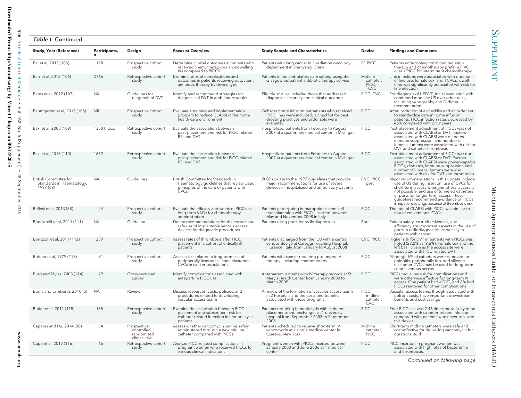### *Table 1*—Continued

**S26**

Annals of Internal

Medicine

Downloaded From: http://annals.org/ by Vineet Chopra on 09/14/2015 **Downloaded From: http://annals.org/ by Vineet Chopra on 09/14/2015**

• Vol.

163 No. 6

(Supplement)

 $\frac{1}{51}$ 

September

2015

| <b>Study, Year (Reference)</b>                                         | Participants,<br>n | Design                                                      | <b>Focus or Overview</b>                                                                                                                 | <b>Study Sample and Characteristics</b>                                                                                                                 | <b>Device</b>                               | <b>Findings and Comments</b>                                                                                                                                                                                                                                                                                                       |
|------------------------------------------------------------------------|--------------------|-------------------------------------------------------------|------------------------------------------------------------------------------------------------------------------------------------------|---------------------------------------------------------------------------------------------------------------------------------------------------------|---------------------------------------------|------------------------------------------------------------------------------------------------------------------------------------------------------------------------------------------------------------------------------------------------------------------------------------------------------------------------------------|
| Bai et al, 2013 (105)                                                  | 128                | Prospective cohort<br>study                                 | Determine clinical outcomes in patients who<br>received chemotherapy via an indwelling<br>IVs compared to PICCs                          | Patients with lung cancer in 1 radiation oncology<br>department in Shenyang, China                                                                      | IV, PICC                                    | Patients undergoing combined radiation<br>therapy and chemotherapy prefer a PIVC<br>over a PICC for intermittent chemotherapy                                                                                                                                                                                                      |
| Barr et al, 2012 (106)                                                 | 2766               | Retrospective cohort<br>study                               | Examine rates of complications and<br>outcomes in patients receiving outpatient<br>antibiotic therapy by device type                     | Patients in the ambulatory care setting using the<br>Glasgow outpatient antibiotic therapy service                                                      | Midline<br>catheter,<br>PICC,<br>TCVC       | Line infections were associated with duration<br>of line use, female sex, and TCVCs; dwell<br>time was significantly associated with risk for<br>line infection                                                                                                                                                                    |
| Bates et al, 2012 (107)                                                | <b>NA</b>          | Guidelines for<br>diagnosis of DVT                          | Identify and recommend strategies for<br>diagnosis of DVT in ambulatory adults                                                           | Eligible studies included those that addressed<br>diagnostic accuracy and clinical outcomes                                                             | PICC, CVC                                   | For diagnosis of UEDVT, initial evaluation with<br>combined modality US over other tests,<br>including venography and D-dimer, is<br>recommended                                                                                                                                                                                   |
| Baumgarten et al, 2013 (108)                                           | <b>NR</b>          | Prospective cohort<br>study                                 | Evaluate a training and implementation<br>program to reduce CLABSI in the home<br>health care environment                                | Ochsner home infusion outpatients who received<br>PICC lines were included; a checklist for best<br>dressing practices and order sets were<br>evaluated | <b>PICC</b>                                 | After institution of a checklist and an order set<br>to standardize care in home infusion<br>patients, PICC infection rates decreased by<br>46% compared with prior years                                                                                                                                                          |
| Baxi et al, 2008 (109)                                                 | <b>1350 PICCs</b>  | Retrospective cohort<br>study                               | Evaluate the association between<br>post-placement and risk for PICC-related<br><b>BSI and DVT</b>                                       | Hospitalized patients from February to August<br>2007 at a quaternary medical center in Michigan                                                        | <b>PICC</b>                                 | Post-placement adjustment of PICCs was not<br>associated with CLABSI or DVT. Factors<br>associated with CLABSI were diabetes,<br>immune suppression, and number of<br>lumens; lumens were associated with risk for<br>DVT and catheter thrombosis                                                                                  |
| Baxi et al, 2013 (110)                                                 | 1652               | Retrospective cohort<br>study                               | Evaluate the association between<br>post-placement and risk for PICC-related<br><b>BSI and DVT</b>                                       | Hospitalized patients from February to August<br>2007 at a quaternary medical center in Michigan                                                        | <b>PICC</b>                                 | Post-placement adjustment of PICCs was not<br>associated with CLABSI or DVT. Factors<br>associated with CLABSI were power-capable<br>PICCs, diabetes, immune-suppression and<br>number of lumens; lumens were also<br>associated with risk for DVT and thrombosis                                                                  |
| <b>British Committee for</b><br>Standards in Haematology,<br>1997 (69) | <b>NA</b>          | Guidelines                                                  | British Committee for Standards in<br>Haematology guidelines that review basic<br>principles of the care of patients with<br><b>CVCs</b> | 2007 update to the 1997 guidelines that provide<br>major recommendations for use of several<br>devices in hospitalized and ambulatory patients          | CVC, PICC,<br>port                          | Major recommendations in this update include<br>use of US during insertion, use of CVCs for<br>short-term access when peripheral access is<br>not possible, and use of tunneled catheters<br>or ports for longer-term access. These<br>guidelines recommend avoidance of PICCs<br>in inpatient settings because of thrombosis risk |
| Bellesi et al, 2013 (58)                                               | 24                 | Prospective cohort<br>study                                 | Evaluate the efficacy and safety of PICCs as<br>long-term VADs for chemotherapy<br>administration                                        | Patients undergoing hematopoietic stem cell<br>transplantation with PICCs inserted between<br>May and November 2008 in Italy                            | <b>PICC</b>                                 | The rate of CLABSI with PICCs was similar to<br>that of conventional CVCs                                                                                                                                                                                                                                                          |
| Bonciarelli et al, 2011 (111)                                          | <b>NA</b>          | Guideline                                                   | Define recommendations for the correct and<br>safe use of implantable venous access<br>devices for diagnostic procedures                 | Patients using ports for radiodiagnostics                                                                                                               | Port                                        | Patient safety, cost-effectiveness, and<br>efficiency are important aspects in the use of<br>ports in radiodiagnostics, especially in<br>patients with cancer                                                                                                                                                                      |
| Bonizzoli et al, 2011 (112)                                            | 239                | Prospective cohort<br>study                                 | Assess rates of thrombosis after PICC<br>placement in a cohort of critically ill<br>patients                                             | Patients discharged from the ICU with a central<br>venous device at Careggi Teaching Hospital,<br>Florence, Italy, from January to August 2008          | CVC, PICC                                   | Higher risk for DVT in patients with PICCs was<br>noted (27.2% vs. 9.6%). Female sex and the<br>left basilic vein as the access site were<br>associated with PICC-related DVT                                                                                                                                                      |
| Bottino et al, 1979 (113)                                              | 81                 | Prospective cohort<br>study                                 | Assess risks related to long-term use of<br>peripherally inserted silicone elastomer<br>CVCs in cancer populations                       | Patients with cancer requiring prolonged IV<br>therapy, including chemotherapy                                                                          | <b>PICC</b>                                 | Although 6% of catheters were removed for<br>phlebitis, peripherally inserted silicone<br>elastomer CVCs may be used for long-term<br>central venous access                                                                                                                                                                        |
| Burg and Myles, 2005 (114)                                             | 79                 | Cross-sectional<br>survey                                   | Identify complications associated with<br>antepartum PICC use                                                                            | Antepartum patients with IV therapy records at St.<br>Mary's Health Center from January 2000 to<br>March 2005                                           | <b>PICC</b>                                 | PICCs had a low risk for complications and<br>were otherwise effective for long-term IV<br>access. One patient had a DVT, and 6% had<br>PICCs removed for other complications                                                                                                                                                      |
| Burns and Lamberth, 2010 (5)                                           | <b>NA</b>          | Review                                                      | Discuss resources, costs, policies, and<br>procedures related to developing<br>vascular access teams                                     | A review of the formation of vascular access teams<br>in 2 hospitals and the costs and benefits<br>associated with these programs                       | PICC,<br>midline<br>catheter,<br><b>CVC</b> | Vascular access teams, though associated with<br>upfront costs, have important downstream<br>benefits and cost savings                                                                                                                                                                                                             |
| Butler et al, 2011 (115)                                               | 185                | Retrospective cohort<br>study                               | Examine the association between PICC<br>placement and subsequent risk for<br>catheter-related infection in hemodialysis<br>patients      | Patients requiring hemodialysis with catheter<br>placements and exchanges at 1 university<br>hospital from September 2003 to September<br>2008          | <b>PICC</b>                                 | Prior PICC use was 2.46 times more likely to be<br>associated with catheter-related infection<br>compared with patients who never received<br>this device                                                                                                                                                                          |
| Caparas and Hu, 2014 (38)                                              | 54                 | Prospective,<br>controlled,<br>randomized<br>clinical trial | Assess whether vancomycin can be safely<br>administered through a new midline<br>catheter compared with PICCs                            | Patients scheduled to receive short-term IV<br>vancomycin at a single medical center in<br>Queens, New York                                             | Midline<br>catheter,<br><b>PICC</b>         | Short-term midline catheters were safe and<br>cost-effective for delivering vancomycin for<br>durations $\leq 6$ d                                                                                                                                                                                                                 |
| Cape et al, 2013 (116)                                                 | 66                 | Retrospective cohort<br>study                               | Analyze PICC-related complications in<br>pregnant women who received PICCs for<br>various clinical indications                           | Pregnant women with PICCs inserted between<br>January 2000 and June 2006 at 1 medical<br>center                                                         | <b>PICC</b>                                 | PICC insertion in pregnant women was<br>associated with high rates of bacteremia<br>and thrombosis.                                                                                                                                                                                                                                |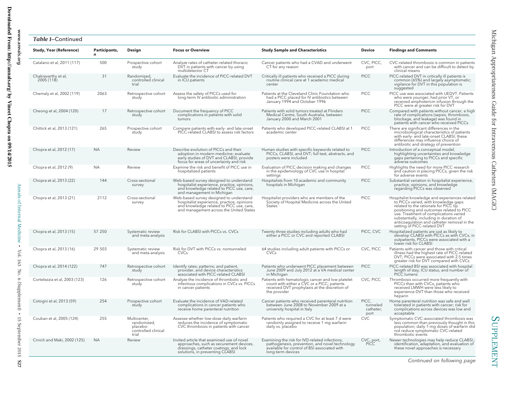### *Table 1*—Continued

| <b>Study, Year (Reference)</b>    | Participants, | Design                                                                  | <b>Focus or Overview</b>                                                                                                                                                     | <b>Study Sample and Characteristics</b>                                                                                                                               | <b>Device</b>                          | <b>Findings and Comments</b>                                                                                                                                                                                                                                                                                                                  |
|-----------------------------------|---------------|-------------------------------------------------------------------------|------------------------------------------------------------------------------------------------------------------------------------------------------------------------------|-----------------------------------------------------------------------------------------------------------------------------------------------------------------------|----------------------------------------|-----------------------------------------------------------------------------------------------------------------------------------------------------------------------------------------------------------------------------------------------------------------------------------------------------------------------------------------------|
| Catalano et al, 2011 (117)        | 500           | Prospective cohort<br>study                                             | Analyze rates of catheter-related thoracic<br>DVT in patients with cancer by using<br>multidetector CT                                                                       | Cancer patients who had a CVAD and underwent<br>CT for any reason                                                                                                     | CVC, PICC,<br>port                     | CVC-related thrombosis is common in patients<br>with cancer and can be difficult to detect by<br>clinical means                                                                                                                                                                                                                               |
| Chakravarthy et al,<br>2005 (118) | 31            | Randomized,<br>controlled clinical<br>trial                             | Evaluate the incidence of PICC-related DVT<br>in ICU patients                                                                                                                | Critically ill patients who received a PICC during<br>routine clinical care at 1 academic medical<br>center                                                           | <b>PICC</b>                            | PICC-related DVT in critically ill patients is<br>common (65%) and largely asymptomatic;<br>vigilance for DVT in this population is<br>suggested                                                                                                                                                                                              |
| Chemaly et al, 2002 (119)         | 2063          | Retrospective cohort<br>study                                           | Assess the safety of PICCs used for<br>long-term IV antibiotic administration                                                                                                | Patients at the Cleveland Clinic Foundation who<br>had a PICC placed for IV antibiotics between<br>January 1994 and October 1996                                      | <b>PICC</b>                            | PICC use was associated with UEDVT. Patients<br>who were younger, had prior VT, or<br>received amphotericin infusion through the<br>PICC were at greater risk for DVT                                                                                                                                                                         |
| Cheong et al, 2004 (120)          | 17            | Retrospective cohort<br>study                                           | Document the frequency of PICC<br>complications in patients with solid<br>tumors                                                                                             | Patients with solid tumors treated at Flinders<br>Medical Centre, South Australia, between<br>January 2000 and March 2001                                             | <b>PICC</b>                            | Compared with patients without cancer, a high<br>rate of complications (sepsis, thrombosis,<br>blockage, and leakage) was found in<br>patients with cancer who received PICCs                                                                                                                                                                 |
| Chittick et al, 2013 (121)        | 265           | Prospective cohort<br>study                                             | Compare patients with early- and late-onset<br>PICC-related CLABSI to assess risk factors                                                                                    | Patients who developed PICC-related CLABSI at 1<br>academic center                                                                                                    | <b>PICC</b>                            | There are significant differences in the<br>microbiological characteristics of patients<br>with early- and late-onset CLABSI; these<br>differences may influence choice of<br>antibiotic and strategy of prevention                                                                                                                           |
| Chopra et al, 2012 (17)           | <b>NA</b>     | Review                                                                  | Describe evolution of PICCs and their<br>adoption in modern medicine; evaluate<br>early studies of DVT and CLABSI; provide<br>focus for areas of uncertainty and risk        | Human studies with specific keywords related to<br>PICCs, CLABSI, and DVT; full text, abstracts, and<br>posters were included                                         | <b>PICC</b>                            | Introduction of a conceptual model,<br>highlighting uncertainties and knowledge<br>gaps pertaining to PICCs and specific<br>adverse outcomes                                                                                                                                                                                                  |
| Chopra et al, 2012 (9)            | <b>NA</b>     | Review                                                                  | Examine the risk and benefit of PICC use in<br>hospitalized patients                                                                                                         | Evaluation of PICC decision making and changes<br>in the epidemiology of CVC use in hospital<br>settings                                                              | <b>PICC</b>                            | Highlights the need for more PICC research<br>and caution in placing PICCs, given the risk<br>for adverse events                                                                                                                                                                                                                              |
| Chopra et al, 2013 (22)           | 144           | Cross-sectional<br>survey                                               | Web-based survey designed to understand<br>hospitalist experience, practice, opinions,<br>and knowledge related to PICC use, care,<br>and management in Michigan             | Hospitalists from 10 academic and community<br>hospitals in Michigan                                                                                                  | <b>PICC</b>                            | Substantial variation in hospitalist experience,<br>practice, opinions, and knowledge<br>regarding PICCs was observed                                                                                                                                                                                                                         |
| Chopra et al, 2013 (21)           | 2112          | Cross-sectional<br>survey                                               | Web-based survey designed to understand<br>hospitalist experience, practice, opinions<br>and knowledge related to PICC use, care,<br>and management across the United States | Hospitalist providers who are members of the<br>Society of Hospital Medicine across the United<br><b>States</b>                                                       | <b>PICC</b>                            | Hospitalist knowledge and experiences related<br>to PICCs varied, with knowledge gaps<br>related to the rationale for PICC tip<br>positioning and outcomes related to PICC<br>use. Treatment of complications varied<br>substantially, including in duration of<br>anticoagulation and catheter removal in the<br>setting of PICC-related DVT |
| Chopra et al, 2013 (15)           | 57 250        | Systematic review<br>and meta-analysis                                  | Risk for CLABSI with PICCs vs. CVCs                                                                                                                                          | Twenty-three studies including adults who had<br>either a PICC or CVC and reported CLABSI                                                                             | PICC, CVC                              | Hospitalized patients are just as likely to<br>develop CLABSI with PICCs as with CVCs; in<br>outpatients, PICCs were associated with a<br>lower risk for CLABSI                                                                                                                                                                               |
| Chopra et al, 2013 (16)           | 29 503        | Systematic review<br>and meta-analysis                                  | Risk for DVT with PICCs vs. nontunneled<br><b>CVCs</b>                                                                                                                       | 64 studies including adult patients with PICCs or<br><b>CVCs</b>                                                                                                      | CVC, PICC                              | Patients with cancer and those with critical<br>illness had the highest rate of PICC-related<br>DVT; PICCs were associated with 2.5 times<br>greater risk for DVT compared with CVCs                                                                                                                                                          |
| Chopra et al, 2014 (122)          | 747           | Retrospective cohort<br>study                                           | Identify rates; patterns; and patient,<br>provider, and device characteristics<br>associated with PICC-related CLABSI                                                        | Patients who underwent PICC placement between<br>June 2009 and July 2012 at a VA medical center<br>in Michigan                                                        | <b>PICC</b>                            | PICC-related BSI was associated with hospital<br>length of stay, ICU status, and number of<br>PICC lumens                                                                                                                                                                                                                                     |
| Cortelezzia et al, 2003 (123)     | 126           | Retrospective cohort<br>study                                           | Analyze the incidence of thrombotic and<br>infectious complications in CVCs vs. PICCs<br>in cancer patients                                                                  | Patients with hematologic cancer and low platelet<br>count with either a CVC or a PICC; patients<br>received DVT prophylaxis at the discretion of<br>the provider     | CVC, PICC                              | Thrombosis occurred more frequently with<br>PICCs than with CVCs; patients who<br>received LMWH were less likely to<br>experience DVT than those who received<br>heparin                                                                                                                                                                      |
| Cotogni et al, 2013 (59)          | 254           | Prospective cohort<br>study                                             | Evaluate the incidence of VAD-related<br>complications in cancer patients who<br>receive home parenteral nutrition                                                           | Cancer patients who received parenteral nutrition<br>between June 2008 to November 2009 at a<br>university hospital in Italy                                          | PICC,<br>tunneled<br>catheter,<br>port | Home parenteral nutrition was safe and well<br>tolerated in patients with cancer; risk for<br>complications across devices was low and<br>acceptable                                                                                                                                                                                          |
| Couban et al, 2005 (124)          | 255           | Multicenter,<br>randomized,<br>placebo-<br>controlled clinical<br>trial | Assesse whether low-dose daily warfarin<br>reduces the incidence of symptomatic<br>CVC thrombosis in patients with cancer                                                    | Patients who required a CVC for at least 7 d were<br>randomly assigned to receive 1 mg warfarin<br>daily vs. placebo                                                  | <b>CVC</b>                             | Symptomatic CVC-associated thrombosis was<br>less common than previously thought in this<br>population; daily 1-mg doses of warfarin did<br>not reduce symptomatic CVC-related<br>thrombotic events                                                                                                                                           |
| Crnich and Maki, 2002 (125)       | <b>NA</b>     | Review                                                                  | Invited article that examined use of novel<br>approaches, such as securement devices,<br>dressings, catheter coatings, and lock<br>solutions, in preventing CLABSI           | Examining the risk for IVD-related infections,<br>pathogenesis, prevention, and novel technology<br>available for control of BSI associated with<br>long-term devices | CVC, port,<br><b>PICC</b>              | Newer technologies may help reduce CLABSI.<br>identification, adaptation, and evaluation of<br>these novel approaches is necessary                                                                                                                                                                                                            |

SUPPLEMENT

SUPPLEMENT

www.annals.org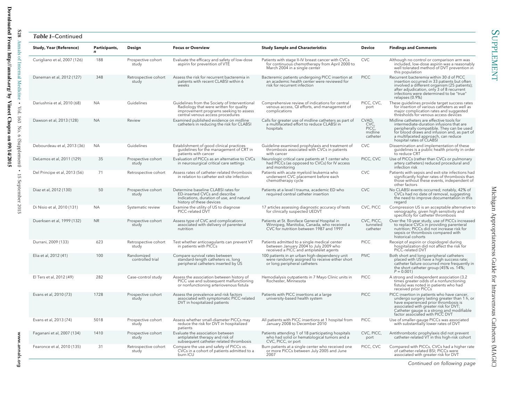| Table 1-Continued              |                              |                                |                                                                                                                                                                        |                                                                                                                                       |                                               |                                                                                                                                                                                                                                                              |
|--------------------------------|------------------------------|--------------------------------|------------------------------------------------------------------------------------------------------------------------------------------------------------------------|---------------------------------------------------------------------------------------------------------------------------------------|-----------------------------------------------|--------------------------------------------------------------------------------------------------------------------------------------------------------------------------------------------------------------------------------------------------------------|
| <b>Study, Year (Reference)</b> | Participants,<br>$\mathbf n$ | Design                         | <b>Focus or Overview</b>                                                                                                                                               | <b>Study Sample and Characteristics</b>                                                                                               | <b>Device</b>                                 | <b>Findings and Comments</b>                                                                                                                                                                                                                                 |
| Curigliano et al, 2007 (126)   | 188                          | Prospective cohort<br>study    | Evaluate the efficacy and safety of low-dose<br>aspirin for prevention of VTÉ                                                                                          | Patients with stage II-IV breast cancer with CVCs<br>for continuous chemotherapy from April 2000 to<br>March 2004 in a single center  | <b>CVC</b>                                    | Although no control or comparison arm was<br>included, low-dose aspirin was a reasonably<br>well tolerated method of DVT prevention in<br>this population                                                                                                    |
| Daneman et al, 2012 (127)      | 348                          | Retrospective cohort<br>study  | Assess the risk for recurrent bacteremia in<br>patients with recent CLABSI within 6<br>weeks                                                                           | Bacteremic patients undergoing PICC insertion at<br>an academic health center were reviewed for<br>risk for recurrent infection       | <b>PICC</b>                                   | Recurrent bacteremia within 30 d of PICC<br>insertion occurred in 33 patients but often<br>involved a different organism (25 patients);<br>after adjudication, only 3 of 8 recurrent<br>infections were determined to be "true"<br>relapses (0.9%)           |
| Dariushnia et al, 2010 (68)    | <b>NA</b>                    | Guidelines                     | Guidelines from the Society of Interventional<br>Radiology that were written for quality<br>improvement programs seeking to assess<br>central venous access procedures | Comprehensive review of indications for central<br>venous access, QI efforts, and management of<br>complications                      | PICC, CVC,<br>port                            | These guidelines provide target success rates<br>for insertion of various catheters as well as<br>major complication rates and suggested<br>thresholds for venous access devices                                                                             |
| Dawson et al, 2013 (128)       | <b>NA</b>                    | Review                         | Examined published evidence on midline<br>catheters in reducing the risk for CLABSI                                                                                    | Calls for greater use of midline catheters as part of<br>a multifaceted effort to reduce CLABSI in<br>hospitals                       | CVAD,<br>CVĆ,<br>PICC,<br>midline<br>catheter | Midline catheters are effective tools for<br>intermediate-duration infusions that are<br>peripherally compatible. They can be used<br>for blood draws and infusion and, as part of<br>a multifaceted approach, can reduce<br>hospital rates of CLABSI        |
| Debourdeau et al, 2013 (36)    | <b>NA</b>                    | Guidelines                     | Establishment of good clinical practices<br>guidelines for the management of CRT in<br>patients with cancer                                                            | Guideline examined prophylaxis and treatment of<br>thrombosis associated with CVCs in patients<br>with cancer                         | <b>CVC</b>                                    | Dissemination and implementation of these<br>guidelines is a public health priority in order<br>to reduce CRT                                                                                                                                                |
| DeLemos et al, 2011 (129)      | 35                           | Prospective cohort<br>study    | Evaluation of PICCs as an alternative to CVCs<br>in neurosurgical critical care settings                                                                               | Neurologic critical care patients at 1 center who<br>had PICCs (as opposed to CVCs) for IV access<br>and monitoring                   | PICC, CVC                                     | Use of PICCs (rather than CVCs or pulmonary<br>artery catheters) reduced procedural and<br>infection risk                                                                                                                                                    |
| Del Principe et al, 2013 (56)  | 71                           | Retrospective cohort           | Assess rates of catheter-related thrombosis<br>in relation to catheter exit site infection                                                                             | Patients with acute myeloid leukemia who<br>underwent CVC placement before each<br>chemotherapy cycle                                 | <b>CVC</b>                                    | Patients with sepsis and exit-site infections had<br>significantly higher rates of thrombosis than<br>those without these events, independent of<br>other factors                                                                                            |
| Diaz et al, 2012 (130)         | 50                           | Prospective cohort<br>study    | Determine baseline CLABSI rates for<br>ED-inserted CVCs and describe<br>indications, duration of use, and natural<br>history of these devices                          | Patients at a level I trauma, academic ED who<br>required central catheter insertion                                                  | <b>CVC</b>                                    | No CLABSI events occurred; notably, 42% of<br>CVCs had no date of removal, suggesting<br>the need to improve documentation in this<br>regard                                                                                                                 |
| Di Nisio et al, 2010 (131)     | <b>NA</b>                    | Systematic review              | Examine the utility of US to diagnose<br>PICC-related DVT                                                                                                              | 17 articles assessing diagnostic accuracy of tests<br>for clinically suspected UEDVT                                                  | CVC, PICC                                     | Compression US is an acceptable alternative to<br>venography, given high sensitivity and<br>specificity for catheter thrombosis                                                                                                                              |
| Duerksen et al, 1999 (132)     | <b>NR</b>                    | Prospective cohort<br>study    | Assess type of CVC and complications<br>associated with delivery of parenteral<br>nutrition                                                                            | Patients at St. Boniface General Hospital in<br>Winnipeg, Manitoba, Canada, who received a<br>CVC for nutrition between 1987 and 1997 | CVC, PICC,<br>tunneled<br>catheter            | Over the 10-year study, use of PICCs increased<br>to replace CVCs in providing parenteral<br>nutrition; PICCs did not increase risk for<br>sepsis or thrombosis compared with<br>historical cohorts                                                          |
| Durrani, 2009 (133)            | 623                          | Retrospective cohort<br>study  | Test whether anticoagulants can prevent VT<br>in patients with PICCs                                                                                                   | Patients admitted to a single medical center<br>between January 2004 to July 2009 who<br>received a PICC and antiplatelet agents      | <b>PICC</b>                                   | Receipt of aspirin or clopidogrel during<br>hospitalization did not affect the risk for<br>PICC-related DVT                                                                                                                                                  |
| Elia et al, 2012 (41)          | 100                          | Randomized<br>controlled trial | Compare survival rates between<br>standard-length catheters vs. long<br>peripheral catheters inserted by US                                                            | 100 patients in an urban high-dependency unit<br>were randomly assigned to receive either short<br>or long peripheral catheters       | <b>PIVC</b>                                   | Both short and long peripheral catheters<br>placed with US have a high success rate;<br>catheter failure occurred more frequently in<br>the short catheter group (45% vs. 14%;<br>$P = 0.001$                                                                |
| El Ters et al, 2012 (49)       | 282                          | Case-control study             | Assess the association between history of<br>PICC use and subsequent malfunctioning<br>or nonfunctioning arteriovenous fistula                                         | Hemodialysis outpatients in 7 Mayo Clinic units in<br>Rochester, Minnesota                                                            | <b>PICC</b>                                   | A strong and independent association (3.2<br>times greater odds of a nonfunctioning<br>fistula) was noted in patients who had<br>received prior PICCs                                                                                                        |
| Evans et al, 2010 (73)         | 1728                         | Prospective cohort<br>study    | Assess the prevalence and risk factors<br>associated with symptomatic PICC-related<br>DVT in hospitalized patients                                                     | Patients with PICC insertions at a large<br>university-based health system                                                            | <b>PICC</b>                                   | PICC insertion in patients who have cancer,<br>undergo surgery lasting greater than 1 h, or<br>have experienced prior thrombosis is<br>associated with greater risk for DVT;<br>Catheter gauge is a strong and modifiable<br>factor associated with PICC DVT |
| Evans et al, 2013 (74)         | 5018                         | Prospective cohort<br>study    | Assess whether small-diameter PICCs may<br>reduce the risk for DVT in hospitalized<br>patients                                                                         | All patients with PICC insertions at 1 hospital from<br>January 2008 to December 2010                                                 | <b>PICC</b>                                   | Use of smaller-gauge PICCs was associated<br>with substantially lower rates of DVT                                                                                                                                                                           |
| Faganani et al, 2007 (134)     | 1410                         | Prospective cohort<br>study    | Evaluate the association between<br>antiplatelet therapy and risk of<br>subsequent catheter-related thrombosis                                                         | Patients attending 1 of 18 participating hospitals<br>who had solid or hematological tumors and a<br>CVC, PICC, or port               | CVC, PICC,<br>port                            | Antithrombotic prophylaxis did not prevent<br>catheter-related VT in this high-risk cohort                                                                                                                                                                   |
| Fearonce et al, 2010 (135)     | 31                           | Retrospective cohort<br>study  | Compare the use and safety of PICCs vs.<br>CVCs in a cohort of patients admitted to a<br>burn ICU                                                                      | Burn patients at a single center who received one<br>or more PICCs between July 2005 and June<br>2007                                 | PICC, CVC                                     | Compared with PICCs, CVCs had a higher rate<br>of catheter-related BSI; PICCs were<br>associated with greater risk for DVT                                                                                                                                   |

Michigan

Appropriateness

Guide for

Intravenous

Catheters

(MAGIC)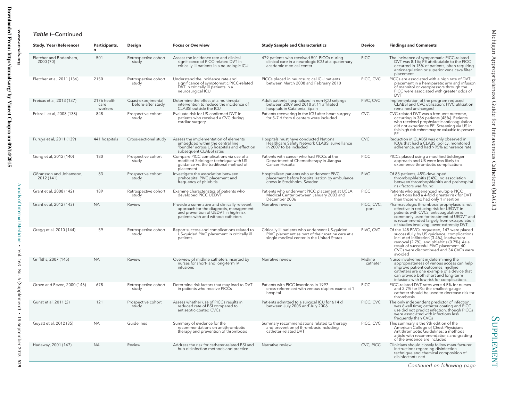## *Table 1*—Continued

| <b>Study, Year (Reference)</b>         | Participants,<br>n             | Design                                   | <b>Focus or Overview</b>                                                                                                                                             | <b>Study Sample and Characteristics</b>                                                                                                            | <b>Device</b>       | <b>Findings and Comments</b>                                                                                                                                                                                                                                                          |
|----------------------------------------|--------------------------------|------------------------------------------|----------------------------------------------------------------------------------------------------------------------------------------------------------------------|----------------------------------------------------------------------------------------------------------------------------------------------------|---------------------|---------------------------------------------------------------------------------------------------------------------------------------------------------------------------------------------------------------------------------------------------------------------------------------|
| Fletcher and Bodenham,<br>2000 (70)    | 501                            | Retrospective cohort<br>study            | Assess the incidence rate and clinical<br>significance of PICC-related DVT in<br>critically ill patients in a neurologic ICU                                         | 479 patients who received 501 PICCs during<br>clinical care in a neurologic ICU at a quaternary<br>academic medical center                         | <b>PICC</b>         | The incidence of symptomatic PICC-related<br>DVT was 8.1%; PE attributable to the PICC<br>occurred in 15% of patients, often requiring<br>anticoagulation or superior vena cava filter<br>placement                                                                                   |
| Fletcher et al, 2011 (136)             | 2150                           | Retrospective cohort<br>study            | Understand the incidence rate and<br>significance of symptomatic PICC-related<br>DVT in critically ill patients in a<br>neurosurgical ICU                            | PICCs placed in neurosurgical ICU patients<br>between March 2008 and February 2010                                                                 | PICC, CVC           | PICCs are associated with a high rate of DVT;<br>placement in a hemiparetic arm and infusion<br>of mannitol or vasopressors through the<br>PICC were associated with greater odds of<br><b>DVT</b>                                                                                    |
| Freixas et al, 2013 (137)              | 2176 health<br>care<br>workers | Quasi-experimental<br>before-after study | Determine the effect of a multimodal<br>intervention to reduce the incidence of<br>CLABSI outside the ICU                                                            | Adult patients hospitalized in non-ICU settings<br>between 2009 and 2010 at 11 affiliated<br>hospitals in Catalonia, Spain                         | PIVC, CVC           | Implementation of the program reduced<br>CLABSI and CVC utilization; PIVC utilization<br>remained unchanged                                                                                                                                                                           |
| Frizzelli et al, 2008 (138)            | 848                            | Prospective cohort<br>study              | Evaluate risk for US-confirmed DVT in<br>patients who received a CVC during<br>cardiac surgery                                                                       | Patients recovering in the ICU after heart surgery<br>for 5-7 d from 6 centers were included                                                       | CVC                 | CVC-related DVT was a frequent outcome,<br>occurring in 386 patients (48%). Patients<br>who received prophylactic anticoagulation<br>did not experience PE. Screening via US in<br>this high-risk cohort may be valuable to prevent<br>PF                                             |
| Furuya et al, 2011 (139)               | 441 hospitals                  | Cross-sectional study                    | Assess the implementation of elements<br>embedded within the central line<br>"bundle" across US hospitals and effect on<br>subsequent CLABSI rates                   | Hospitals must have conducted National<br>Healthcare Safety Network CLABSI surveillance<br>in 2007 to be included                                  | <b>CVC</b>          | Reduction in CLABSI was only observed in<br>ICUs that had a CLABSI policy, monitored<br>adherence, and had >95% adherence rate                                                                                                                                                        |
| Gong et al, 2012 (140)                 | 180                            | Prospective cohort<br>study              | Compare PICC complications via use of a<br>modified Seldinger technique with US<br>guidance vs. the traditional method of<br>placement                               | Patients with cancer who had PICCs at the<br>Department of Chemotherapy in Jiangsu<br>Cancer Hospital                                              | <b>PICC</b>         | PICCs placed using a modified Seldinger<br>approach and US were less likely to<br>experience thrombotic complications                                                                                                                                                                 |
| Göransson and Johansson,<br>2012 (141) | 83                             | Prospective cohort<br>study              | Investigate the association between<br>prehospital PIVC placement and<br>frequency of phlebitis                                                                      | Hospitalized patients who underwent PIVC<br>placement before hospitalization by ambulance<br>crews in Stockholm, Sweden                            | <b>PIVC</b>         | Of 83 patients, 45% developed<br>thrombophlebitis (54%); no association<br>between thrombophlebitis and prehospital<br>risk factors was found                                                                                                                                         |
| Grant et al, 2008 (142)                | 189                            | Retrospective cohort<br>study            | Examine characteristics of patients who<br>developed PICC UEDVT                                                                                                      | Patients who underwent PICC placement at UCLA<br>Medical Center between January 2003 and<br>December 2006                                          | <b>PICC</b>         | Patients who experienced multiple PICC<br>insertions had a 4-fold greater risk for DVT<br>than those who had only 1 insertion                                                                                                                                                         |
| Grant et al, 2012 (143)                | <b>NA</b>                      | Review                                   | Provide a summative and clinically relevant<br>approach for the diagnosis, management<br>and prevention of UEDVT in high-risk<br>patients with and without catheters | Narrative review                                                                                                                                   | PICC, CVC,<br>port  | Pharmacologic thrombosis prophylaxis is not<br>effective in reducing risk for UEDVT in<br>patients with CVCs; anticoagulation is<br>commonly used for treatment of UEDVT and<br>is recommended largely from extrapolation<br>of studies involving lower-extremity DVT                 |
| Gregg et al, 2010 (144)                | 59                             | Retrospective cohort<br>study            | Report success and complications related to<br>US-guided PIVC placement in critically ill<br>patients                                                                | Critically ill patients who underwent US-guided<br>PIVC placement as part of their routine care at a<br>single medical center in the United States | PIVC, CVC           | Of the 148 PIVCs requested, 147 were placed<br>successfully by US guidance; complications<br>included infiltration (3.4%), inadvertent<br>removal (2.7%), and phlebitis (0.7%). As a<br>result of successful PIVC placement, 40<br>CVCs were discontinued and 34 CVCs were<br>avoided |
| Griffiths, 2007 (145)                  | <b>NA</b>                      | Review                                   | Overview of midline catheters inserted by<br>nurses for short- and long-term IV<br>infusions                                                                         | Narrative review                                                                                                                                   | Midline<br>catheter | Nurse involvement in determining the<br>appropriateness of venous access can help<br>improve patient outcomes; midline<br>catheters are one example of a device that<br>can provide both short and long-term<br>infusions with low risk for complications                             |
| Grove and Pevec, 2000 (146)            | 678                            | Retrospective cohort<br>study            | Determine risk factors that may lead to DVT<br>in patients who receive PICCs                                                                                         | Patients with PICC insertions in 1997<br>cross-referenced with venous duplex exams at 1<br>hospital                                                | <b>PICC</b>         | PICC-related DVT rates were 4.5% for nurses<br>and 2.7% for IRs; the smallest-gauge<br>catheter should be used to decrease risk for<br>thrombosis                                                                                                                                     |
| Gunst et al, 2011 (2)                  | 121                            | Prospective cohort<br>study              | Assess whether use of PICCs results in<br>reduced rate of BSI compared to<br>antiseptic-coated CVCs                                                                  | Patients admitted to a surgical ICU for ≥14 d<br>between July 2005 and July 2006                                                                   | PICC, CVC           | The only independent predictor of infection<br>was dwell time; catheter coating and PICC<br>use did not predict infection, though PICCs<br>were associated with infections less<br>frequently than CVCs                                                                               |
| Guyatt et al, 2012 (35)                | <b>NA</b>                      | Guidelines                               | Summary of evidence for the<br>recommendations on antithrombotic<br>therapy and prevention of thrombosis                                                             | Summary recommendations related to therapy<br>and prevention of thrombosis including<br>catheter-related DVT                                       | PICC, CVC           | This summary is the 9th edition of the<br>American College of Chest Physicians<br>Antithrombotic Guidelines; a methods<br>article with recommendations and grading<br>of the evidence are included                                                                                    |
| Hadaway, 2001 (147)                    | <b>NA</b>                      | Review                                   | Address the risk for catheter-related BSI and<br>hub disinfection methods and practice                                                                               | Narrative review                                                                                                                                   | CVC, PICC           | Clinicians should closely follow manufacturer<br>instructions regarding disinfection<br>technique and chemical composition of<br>disinfectant used                                                                                                                                    |

*Continued on following page*

www.annals.org

www.annals.org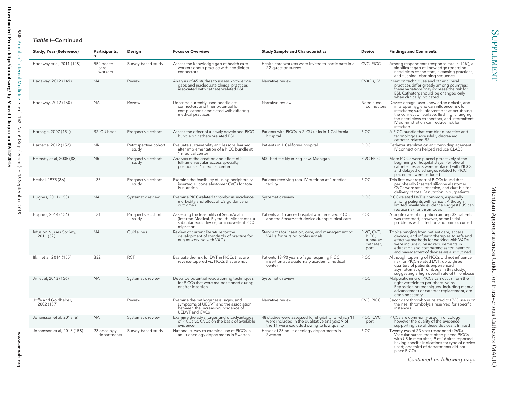## *Table 1*—Continued

| <b>Study, Year (Reference)</b>        | Participants,<br>$\mathbf{r}$ | Design                        | <b>Focus or Overview</b>                                                                                                                       | <b>Study Sample and Characteristics</b>                                                                                                               | <b>Device</b>                                        | <b>Findings and Comments</b>                                                                                                                                                                                                                                                             |
|---------------------------------------|-------------------------------|-------------------------------|------------------------------------------------------------------------------------------------------------------------------------------------|-------------------------------------------------------------------------------------------------------------------------------------------------------|------------------------------------------------------|------------------------------------------------------------------------------------------------------------------------------------------------------------------------------------------------------------------------------------------------------------------------------------------|
| Hadaway et al, 2011 (148)             | 554 health<br>care<br>workers | Survey-based study            | Assess the knowledge gap of health care<br>workers about practice with needleless<br>connectors                                                | Health care workers were invited to participate in a<br>22-question survey                                                                            | CVC, PICC                                            | Among respondents (response rate, $\sim$ 14%), a<br>significant gap of knowledge regarding<br>needleless connectors; cleansing practices;<br>and flushing, clamping sequence                                                                                                             |
| Hadaway, 2012 (149)                   | <b>NA</b>                     | Review                        | Analysis of 45 studies to assess knowledge<br>gaps and inadequate clinical practices<br>associated with catheter-related BSI                   | Narrative review                                                                                                                                      | CVAD <sub>s</sub> , IV                               | Insertion techniques and other clinical<br>practices differ greatly among countries;<br>these variations may increase the risk for<br>BSI. Catheters should be changed only<br>when clinically indicated                                                                                 |
| Hadaway, 2012 (150)                   | <b>NA</b>                     | Review                        | Describe currently used needleless<br>connectors and their potential for<br>complications associated with differing<br>medical practices       | Narrative review                                                                                                                                      | Needleless<br>connectors                             | Device design, user knowledge deficits, and<br>improper hygiene can influence risk for<br>infections; such interventions as scrubbing<br>the connection surface, flushing, changing<br>the needleless connectors, and intermittent<br>IV administration can reduce risk for<br>infection |
| Harnage, 2007 (151)                   | 32 ICU beds                   | Prospective cohort            | Assess the effect of a newly developed PICC<br>bundle on catheter-related BSI                                                                  | Patients with PICCs in 2 ICU units in 1 California<br>hospital                                                                                        | <b>PICC</b>                                          | A PICC bundle that combined practice and<br>technology successfully decreased<br>catheter-related BSI                                                                                                                                                                                    |
| Harnage, 2012 (152)                   | <b>NR</b>                     | Retrospective cohort<br>study | Evaluate sustainability and lessons learned<br>after implementation of a PICC bundle at<br>1 medical center                                    | Patients in 1 California hospital                                                                                                                     | <b>PICC</b>                                          | Catheter stabilization and zero-displacement<br>IV connections helped reduce CLABSI                                                                                                                                                                                                      |
| Hornsby et al, 2005 (88)              | <b>NR</b>                     | Prospective cohort<br>study   | Analysis of the creation and effect of 2<br>full-time vascular access specialty<br>positions at 1 medical center                               | 500-bed facility in Saginaw, Michigan                                                                                                                 | PIVC PICC                                            | More PICCs were placed proactively at the<br>beginning of hospital stays. Peripheral<br>catheter restarts were replaced with PICCs<br>and delayed discharges related to PICC<br>placement were reduced                                                                                   |
| Hoshal, 1975 (86)                     | 35                            | Prospective cohort<br>study   | Examine the feasibility of using peripherally<br>inserted silicone elastomer CVCs for total<br>IV nutrition                                    | Patients receiving total IV nutrition at 1 medical<br>facility                                                                                        | <b>PICC</b>                                          | This first-ever report of PICCs found that<br>peripherally inserted silicone elastomer<br>CVCs were safe, effective, and durable for<br>delivery of total IV nutrition in outpatients                                                                                                    |
| Hughes, 2011 (153)                    | <b>NA</b>                     | Systematic review             | Examine PICC-related thrombosis incidence,<br>morbidity and effect of US guidance on<br>outcomes                                               | Systematic review                                                                                                                                     | <b>PICC</b>                                          | PICC-related DVT is common, especially<br>among patients with cancer. Although<br>limited, available evidence suggests US can<br>reduce risk for thrombosis                                                                                                                              |
| Hughes, 2014 (154)                    | 31                            | Prospective cohort<br>study   | Assessing the feasibility of SecurAcath<br>(Interrad Medical, Plymouth, Minnesota), a<br>subcutaneous device, on inadvertent PICC<br>migration | Patients at 1 cancer hospital who received PICCs<br>and the SecurAcath device during clinical care                                                    | <b>PICC</b>                                          | A single case of migration among 32 patients<br>was recorded; however, some initial<br>problems with infection and pain occurred                                                                                                                                                         |
| Infusion Nurses Society,<br>2011 (32) | <b>NA</b>                     | Guidelines                    | Review of current literature for the<br>development of standards of practice for<br>nurses working with VADs                                   | Standards for insertion, care, and management of<br>VADs for nursing professionals                                                                    | PIVC, CVC,<br>PICC,<br>tunneled<br>catheter,<br>port | Topics ranging from patient care, access<br>devices, and infusion therapies to safe and<br>effective methods for working with VADs<br>were included; basic requirements in<br>education and competencies for insertion<br>and management of devices are also outlined                    |
| Itkin et al, 2014 (155)               | 332                           | <b>RCT</b>                    | Evaluate the risk for DVT in PICCs that are<br>reverse-tapered vs. PICCs that are not                                                          | Patients 18-90 years of age requiring PICC<br>insertion at a quaternary academic medical<br>center                                                    | <b>PICC</b>                                          | Although tapering of PICCs did not influence<br>risk for PICC-related DVT, up to three<br>quarters of patients experienced<br>asymptomatic thrombosis in this study,<br>suggesting a high overall rate of thrombosis                                                                     |
| Jin et al, 2013 (156)                 | <b>NA</b>                     | Systematic review             | Describe potential repositioning techniques<br>for PICCs that were malpositioned during<br>or after insertion                                  | Systematic review                                                                                                                                     | <b>PICC</b>                                          | Malpositioning of PICCs can occur from the<br>right ventricle to peripheral veins.<br>Repositioning techniques, including manual<br>advancement or catheter replacement, are<br>often necessary                                                                                          |
| Joffe and Goldhaber.<br>2002 (157)    |                               | Review                        | Examine the pathogenesis, signs, and<br>symptoms of UEDVT and the association<br>between the increasing incidence of<br>UEDVT and CVCs         | Narrative review                                                                                                                                      | CVC, PICC                                            | Secondary thrombosis related to CVC use is on<br>the rise; thrombolysis reserved for specific<br>instances                                                                                                                                                                               |
| Johansson et al, 2013 (6)             | <b>NA</b>                     | Systematic review             | Examine the advantages and disadvantages<br>of PICCs vs. CVCs on the basis of available<br>evidence                                            | 48 studies were assessed for eligibility, of which 11<br>were included in the qualitative analysis; 9 of<br>the 11 were excluded owing to low quality | PICC, CVC,<br>port                                   | PICCs are commonly used in oncology;<br>however the quality of the evidence<br>supporting use of these devices is limited                                                                                                                                                                |
| Johansson et al, 2013 (158)           | 23 oncology<br>departments    | Survey-based study            | National survey to examine use of PICCs in<br>adult oncology departments in Sweden                                                             | Heads of 23 adult oncology departments in<br>Sweden                                                                                                   | <b>PICC</b>                                          | Twenty-two of 23 sites responded (96%).<br>Vascular nurses most often placed PICCs<br>with US in most sites; 9 of 16 sites reported<br>having specific indications for type of device<br>used; one third of departments did not<br>place PICCs                                           |

*Continued on following page*

**S30**

Annals of Internal

Medicine

• Vol.

163 No. 6

(Supplement)

 $\frac{1}{5}$ 

September

2015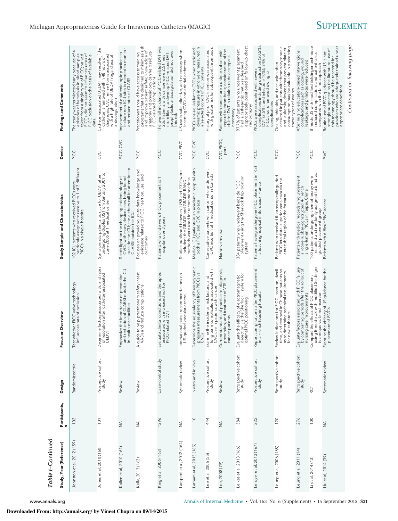| Table 1-Continued          |                    |                               |                                                                                                                                                                                                                                              |                                                                                                                                                                        |                    |                                                                                                                                                                                                                                   |
|----------------------------|--------------------|-------------------------------|----------------------------------------------------------------------------------------------------------------------------------------------------------------------------------------------------------------------------------------------|------------------------------------------------------------------------------------------------------------------------------------------------------------------------|--------------------|-----------------------------------------------------------------------------------------------------------------------------------------------------------------------------------------------------------------------------------|
| Study, Year (Reference)    | Participants,<br>n | Design                        | s or Overview<br>Focu                                                                                                                                                                                                                        | Study Sample and Characteristics                                                                                                                                       | <b>Device</b>      | Findings and Comments                                                                                                                                                                                                             |
| Johnston et al, 2012 (159) | 102                | Randomized trial              | whether PICC valve technology<br>fluences rate of occlusion<br>Test v                                                                                                                                                                        | 102 ICU patients who received PICCs were<br>randomly assigned to receive to 1 of 3 different<br>PICCs in a single hospital                                             | PICC               | The study was terminated early because of 4<br>taken from a single type of PICC; valved<br>PICCs did not seem to influence rates of<br>PICC occlusion on the basis of available<br>episodes of hemolysis in blood samples<br>data |
| Jones et al, 2010 (160)    | 101                | Prospective cohort<br>study   | Determine factors associated with, and rates<br>of resolution after, catheter-associated<br>UEDVT                                                                                                                                            | Symptomatic patients positive for UEDVT after<br>undergoing duplex US from January 2001 to<br>June 2006 at 1 medical center                                            | <b>CYC</b>         | Catheter-associated UEDVT may resolve if the<br>datheter is removed within 48 hours of<br>datheter is removed within 48 hours of<br>with a high rate of UEDVT regardless of<br>anticoagulation                                    |
| Kallen et al, 2010 (161)   | $\lessgtr$         | Review                        | Emphasize the importance of prevention<br>and reduction of CLABSI outside the ICU<br>in health care facilities                                                                                                                               | CVCs, with many devices now being found<br>outside the ICU; the authors call for attention to<br>Sheds light on the changing epidemiology of<br>CLABSI outside the ICU | PICC, CVC          | Improvement of epidemiologic practices to<br>include non-ICU sites is needed to monitor<br>and reduce rates of CLABSI                                                                                                             |
| Kelly, 2013 (162)          | $\lessgtr$         | Review                        | A guide to help practitioners safety insert<br>VADs and reduce complications                                                                                                                                                                 | Focuses on providing up-to-date knowledge and<br>evidence related to PICC insertion, use, and<br>outcomes                                                              | PICC               | risk<br>Practitioners should have access to training<br>programs that are designed to minimize ri<br>and improve patient safety; knowledge of<br>anatomy and physiology can help reduce<br>PICC-related complications             |
| King et al, 2006 (163)     | 1296               | Case-control study            | Evaluate clinical conditions and therapies<br>associated with increased risk for<br>PICC-related DVT                                                                                                                                         | Patients who underwent PICC placement at 1<br>hospital over 3 years                                                                                                    | PICC               | The overall incidence of PICC-related DVT was<br>prophylactic anticoagulation did not lower<br>more likely to develop PICC-related DVT;<br>2%. Patients with cancer were 2.5 times<br>this risk                                   |
| Lamperti et al, 2012 (164) | ≨                  | Systematic review             | International panel recommendations on<br>US-guided vascular access                                                                                                                                                                          | Studies published between 1985 and 2010 were<br>included; the GRADE and GRADE-RAND<br>methods were used for recommendations                                            | CVC, PIVC          | US use is safe, effective, and necessary when<br>inserting CVCs and arterial catheters                                                                                                                                            |
| Latham et al, 2013 (165)   | $\supseteq$        | In vitro and in vivo          |                                                                                                                                                                                                                                              | Medical ICU patients in an academic hospital with<br>both a PICC and CVC in place                                                                                      | PICC, CVC          | PICCs are equivalent to CVCs when static and<br>dynamic pressure in vitro were measured in<br>a selected cohort of ICU patients                                                                                                   |
| Lee et al, 2006 (55)       | 444                | Prospective cohort<br>study   |                                                                                                                                                                                                                                              | Consecutive patients with cancer who underwent<br>CVC insertion at 1 medical center in Canada                                                                          | <b>CVC</b>         | with greater risk for subsequent thrombosis<br>History of prior CVC insertion was associated                                                                                                                                      |
| Lee, 2008 (79)             | $\lessgtr$         | Review                        | Determine the equivalency of hemodynamic<br>EVCs une measurements from PICCs vs.<br>Examine the incidence, risk factors, and<br>Examine the incidence, risk factors, and<br>CVC use in patients with sancer<br>Current standards of practice | Narrative review                                                                                                                                                       | CVC, PICC,<br>port | regard to thrombosis; consideration of the<br>risk for DVT in relation to device type is<br>Patients with cancer are a unique subset with<br>necessary                                                                            |
| Lelkes et al, 2013 (166)   | 384                | Retrospective cohort<br>study | Evaluate the efficacy of electromagnetic<br>detection via the Sherlock II system for<br>optimal PICC positioning                                                                                                                             | 384 patients who underwent bedside PICC<br>placement using the Sherlock II tip location<br>system                                                                      | PICC               | appropriately positioned on follow-up chest<br>97.7% of patients who underwent placement<br>had a catheter tip that was deemed<br>radiography                                                                                     |
| Leroyer et al, 2013 (167)  | 222                | Prospective cohort<br>study   | Report complications after PICC placement<br>in a French teaching hospital                                                                                                                                                                   | Patients having undergone PICC placement in IR at<br>a teaching hospital in Bordeaux, France                                                                           | PICC               | complications including obstruction (20.5%)<br>DVT (2.5%), and infection (10%); 34% of<br>PICCs were associated with several<br>PICCs were removed owing to<br>complications                                                      |
| Leung et al, 2006 (168)    | 120                | Retrospective cohort<br>study | Review indications for PICC insertion, dwell<br>time, and removal in Chinese patients so<br>for new catheters                                                                                                                                | Patients who received fluoroscopically guided<br>PICC into distal superior vena cava via the<br>antecubital region of the forearm                                      | PICC               | Oozing, phlebitis, and occlusion often<br>occurred in patients with thrombocytopenia<br>and leukemia; devices that prevent platelet<br>consumption may be valuable in preventing<br>these types of events                         |
| Leung et al, 2011 (14)     | 276                | Retrospective cohort<br>study |                                                                                                                                                                                                                                              | Patients with medical records who underwent<br>silicone-rubber-constructed 4-French<br>single-lumen PICCs in Taipei, China                                             | PICC               | After nursing education-based interventions,<br>complications such as oozing, wound<br>leakage, and phlebitis were reduced                                                                                                        |
| Li et al, 2014 (13)        | 100                | RCT                           | Evaluate factors associated with PICC failure<br>nursing care improvements<br>nursing care improvements<br>Compare the effects of PICC placement<br>compare the effects of PICC placement<br>technique vs. blind interntion                  | recruited and randomly assigned to blind vs.<br>100 patients undergoing chemotherapy were<br>guided placement group                                                    | PICC               | B-mode US with modified Seldinger technique<br>reduced complications and patient costs<br>compared with the blind approach                                                                                                        |
| Liu et al, 2014 (39)       | $\frac{4}{2}$      | Systematic review             | Examine the efficacy of US guidance for the<br>placement of PIVCs                                                                                                                                                                            | Patients with difficult PIVC access                                                                                                                                    | PIVC               | providers who are adequately trained under<br>strongly supported by the literature; use of<br>Routine use of PIVC guidance with US is not<br>this technology should be reserved for<br>appropriate conditions                     |
|                            |                    |                               |                                                                                                                                                                                                                                              |                                                                                                                                                                        |                    | Continued on following page                                                                                                                                                                                                       |

**Downloaded From: http://annals.org/ by Vineet Chopra on 09/14/2015**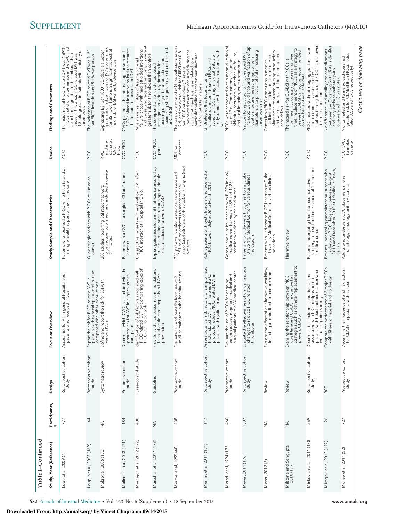| Table 1-Continued                    |                                  |                               |                                                                                                                                                                |                                                                                                                                                                     |                                              |                                                                                                                                                                                                                                                                                                    |
|--------------------------------------|----------------------------------|-------------------------------|----------------------------------------------------------------------------------------------------------------------------------------------------------------|---------------------------------------------------------------------------------------------------------------------------------------------------------------------|----------------------------------------------|----------------------------------------------------------------------------------------------------------------------------------------------------------------------------------------------------------------------------------------------------------------------------------------------------|
| Study, Year (Reference)              | Participants,<br>n               | Design                        | Focus or Overview                                                                                                                                              | Study Sample and Characteristics                                                                                                                                    | Device                                       | Findings and Comments                                                                                                                                                                                                                                                                              |
| Lobo et al, 2009 (7)                 | 777                              | Retrospective cohort<br>study | Assess risk for VT in general hospitalized<br>patients who received PICCs                                                                                      | t<br>Patients who received a PICC while hospitalized<br>single facility as part of their clinic care<br><b>IC</b>                                                   | PICC                                         | The incidence of PICC-related DVT was 4.87%;<br>PICCs that did not terminate in the SVC had<br>a 2.61 times greater for thrombosis than<br>10-fold greater in patients with a history of<br>those in this area. PICC-related DVT was<br>thrombosis                                                 |
| Loupus et al, 2008 (169)             | 44                               | Retrospective cohort<br>study | patients with cervical spine cord injuries<br>Report the risk for PICC-related DVT in<br>compared with other populations                                       | Quadriplegic patients with PICCs at 1 medical<br>center                                                                                                             | PICC                                         | The incidence of PICC-related DVT was 7.1%<br>per PICC insertion and 9.1% per person                                                                                                                                                                                                               |
| Maki et al, 2006 (170)               | ₹                                | Systematic review             | Define and report the risk for BSI with<br>various IVDs                                                                                                        | 200 studies reporting BSI rates that were<br>prospective, published, and included a device<br>of interest                                                           | catheter,<br>CVC<br>PICC<br>midline<br>PIVC, | estimate of risk; all types of IVDs pose a risk<br>for BSI. Dwell time is a significant aspect of<br>risk; risk for BSI varies by device type.<br>Expressing BSI per 1000 IVD-days is a better                                                                                                     |
| Malinoski et al, 2013 (171)          | 184                              | Prospective cohort<br>study   | Determine which CVC is associated with the<br>greatest risk for DVT in surgical critical<br>care patients                                                      | Patients with a CVC in a surgical ICU at 2 trauma<br>centers                                                                                                        | CVC, PICC                                    | CVCs placed in the internal jugular vein and<br>PICCs placed in arm veins had the greatest<br>risk for catheter-associated DVT                                                                                                                                                                     |
| Marnejon et al, 2012 (172)           | 400                              | Case-control study            | PICC-related DVT by comparing cases of<br>PICC-DVT to controls<br>entification of risk factors associated with<br>으                                            | after<br>Consecutive patients with and without DVT<br>PICC insertion at 1 hospital in Ohio                                                                          | PICC                                         | and those who received vancomycin were at<br>failure, those with had left-sided insertions,<br>greater risk for thrombosis than controls<br>Patients with a history of trauma or renal                                                                                                             |
| Marschall et al, 2014 (173)          | $\stackrel{\triangleleft}{\geq}$ | Guideline                     | covide evidence-based recommendations<br>to assist acute care hospitals in CLABSI<br>prevention<br>č                                                           | à<br>Expert-guidance document that was sponsored<br>multiple medical societies aiming to identify<br>best practices to prevent CLABSI                               | CVC, PICC,<br>port                           | maximizing strategies proven to reduce risk<br>for CLABSI<br>strategies provides key direction for<br>focusing on high-risk populations and<br>This compendium of evidence-based                                                                                                                   |
| Memel et al, 1995 (40)               | 238                              | Prospective cohort<br>study   | Evaluate risk and benefits from use of 2<br>midline catheters in the hospital setting                                                                          | 8 patients in a single medical center received<br>251 midline catheters to assess the risk<br>associated with use of this device in hospitalized<br>patients<br>238 | catheter<br>Midline                          | was<br>unexpected reactions occurred during the<br>The mean duration of midline catheter use w<br>9 d, and the overall risk for CRBSI was 0.8<br>per 1000 catheter-days; 2 severe<br>particular midline catheter manufacturer<br>study that may have been related to a<br>and/or catheter material |
| Mermis et al, 2014 (174)             | 117                              | Retrospective cohort<br>study | Assess potential risk factors for symptomatic<br>PICC-related DVT and implement a QI<br>project to reduce PICC-related DVT in<br>patients with cystic fibrosis | $\varpi$<br>Adult patients with cystic fibrosis who received<br>PICC between July 2006 to March 2013                                                                | PICC                                         | likely to meet with success in patients with<br>QI strategies that focus on using<br>smaller-diameter 4-French PICCs and<br>avoiding PICCs in high-risk patients are<br>5                                                                                                                          |
| Merrell et al, 1994 (175)            | 460                              | Prospective cohort<br>study   | Evaluate the use of PICCs for ongoing<br>venous access in general medical and<br>surgical patients in a VA medical center                                      | General and surgical patients with PICCs in a VA<br>medical center between 1985 and 1988;<br>insertion was done by trained nurses                                   | PICC                                         | PICCs were associated with a mean duration of<br>use of 27 d. Complications, including<br>phlebitis, bacteremia, mechanical failure,<br>and local infection, were uncommon                                                                                                                         |
| Meyer, 2011 (176)                    | 1307                             | Retrospective cohort<br>study | valuate the effectiveness of clinical practice<br>changes to reduce PICC-related<br>thrombosis<br>ú                                                            | Patients who underwent PICC insertion at Duke<br>University Medical Center for various clinical<br>indications                                                      | PICC                                         | included US guidance and verification of tip<br>diameters also proved helpful in reducing<br>Practices for reduction of PICC-related DVT<br>location; routine measurement of vein<br>thrombosis risk                                                                                               |
| Meyer, 2012 (3)                      | $\frac{4}{2}$                    | Review                        | Explore the effect of an alternative workflow,<br>including a centralized procedure room                                                                       | Patients who underwent PICC insertion at Duke<br>University Medical Center for various clinical<br>indications                                                      | PICC                                         | placement, improved nursing productivity<br>and work culture, and decreased patient<br>facilities is an efficient model for device<br>Centralizing PICC operations in medical<br>care delays                                                                                                       |
| Milstone and Sengupta,<br>2010 (177) | $\frac{4}{2}$                    | Review                        | Examine the relationship between PICC<br>dwell time and CLABSI risk, as well as<br>prevent CLABSI<br>prevent CLABSI                                            | Narrative review                                                                                                                                                    | PICC                                         | S,<br>nonlinear but constantly increasing over<br>time; replacement of PICCs as a strategy to<br>prevent CLABSI cannot be recommended<br>The hazard risk for CLABSI with PICCs is<br>on the basis of available data                                                                                |
| Minkovich et al, 2011 (178)          | 269                              | Retrospective cohort<br>study | patients with head and neck cancer who<br>Determine the incidence and risk factors<br>associated with PICC malposition in<br>were undergoing surgery           | Patients undergoing free flap reconstructive<br>surgery for head and neck cancer at 1 academic<br>medical center                                                    | PICC                                         | PICCs inserted without imaging guidance were<br>more commonly associated with<br>malpositioning; left-sided PICCs had a lower<br>risk for malpositioning                                                                                                                                           |
| Miyagaki et al, 2012 (179)           | $\frac{2}{6}$                    | RCT                           | Compare the performance of 2 major PICCs<br>with different material and tip design                                                                             | Patients undergoing gastrointestinal surgery who<br>underwent PICC placement between August<br>2010 and December 2010 at 1 facility in Osaka,<br>Iapan              | PICC                                         | No difference in durability and complications<br>between the Groshong (with distal side slits)<br>and polyurethane catheter (with<br>open-ended tip) was noted                                                                                                                                     |
| Mollee et al, 2011 (52)              | 727                              | Prospective cohort<br>study   | Determine the incidence of and risk factors<br>for CLABSI in patients with cancer                                                                              | Adults who underwent CVC placement in one<br>hematology-oncology unit in Australia                                                                                  | PICC, CVC,<br>tunneled<br>catheter           | greater risk for CLABSI than PICCs (odds<br>Nontunneled and tunneled catheters had<br>ratio, 3.55 and 1.77, respectively)                                                                                                                                                                          |
|                                      |                                  |                               |                                                                                                                                                                |                                                                                                                                                                     |                                              | Continued on following page                                                                                                                                                                                                                                                                        |

**S32** Annals of Internal Medicine • Vol. 163 No. 6 (Supplement) • 15 September 2015 www.annals.org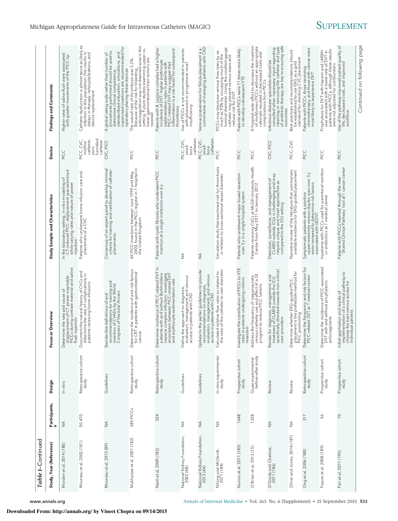| Table 1-Continued                        |                                  |                                          |                                                                                                                                                                                                                          |                                                                                                                                                                            |                                                                     |                                                                                                                                                                                                                                                       |
|------------------------------------------|----------------------------------|------------------------------------------|--------------------------------------------------------------------------------------------------------------------------------------------------------------------------------------------------------------------------|----------------------------------------------------------------------------------------------------------------------------------------------------------------------------|---------------------------------------------------------------------|-------------------------------------------------------------------------------------------------------------------------------------------------------------------------------------------------------------------------------------------------------|
| Study, Year (Reference)                  | Participants,<br><b>c</b>        | Design                                   | Focus or Overview                                                                                                                                                                                                        | Study Sample and Characteristics                                                                                                                                           | Device                                                              | Findings and Comments                                                                                                                                                                                                                                 |
| Morden et al, 2014 (180)                 | ₹                                | In vitro                                 | Cs during contrast material and saline<br>displacement of CT power-injectable<br>PICCs during contrast material and co<br>Determine the rate and cause of<br>flush injection                                             | lacement was examined<br>In the laboratory setting, in vitro modeling of<br>CT-induced PICC displacement was exami<br>while varying rates and nature of power<br>injection | PICC                                                                | Higher rates of saline flush were associated<br>with greater movements of the PICC tip                                                                                                                                                                |
| Moureau et al, 2002 (181)                | 50 470                           | Retrospective cohort<br>study            | Document the natural history of CVCs and<br>determine the rate of complications in<br>patients receiving home infusions                                                                                                  | Patients who underwent home infusion care and<br>placement of a CVC                                                                                                        | tunneled<br>catheter,<br>PICC, CVC,<br>catheter<br>midline<br>port, | as<br>Catheter dysfunction is almost twice as likely<br>intection in this population; this results in<br>delays in therapy, rehospitalizations, and<br>device replacement                                                                             |
| Moureau et al, 2013 (89)                 | ₹                                | Guidelines                               | recommendations for training and<br>insertion of CVADs by the World<br>Congress of Vascular Access<br>Standardize definitions of and                                                                                     | Consensus of an expert panel to develop minimal<br>criteria for training and certification of catheter<br>placements                                                       | CVC, PICC                                                           | supervised insertions are recommended for<br>procedures performed should be used to<br>and<br>A global rating scale rather than number of<br>standardized education, simulations,<br>operators placing these devices<br>determine clinical competence |
| Mukherjee et al, 2001 (182)              | 385 PICCs                        | Retrospective cohort<br>study            | Determine the incidence of and risk factors<br>for CRT in patients with gastrointestinal<br>cancer                                                                                                                       | All PICC insertions between June 1999 and May<br>2000, found in the PICC register in 1 hospital in<br>the United Kingdom                                                   | PICC                                                                | anticoagulation was not deemed wise in this<br>setting. Future studies examining upper vs.<br>neede gastrointestinal tract tumors are<br>overall rate of thrombosis was 5.2%.<br>Because of the risk for bleeding,<br>The                             |
| Nash et al, 2009 (183)                   | 524                              | Retrospective cohort<br>study            | $\subseteq$<br>Determine incidence of PICC-related DVT<br>patients with and without Burkholderia<br>cepacia complex infection; investigate<br>association between PICC-related DVT<br>and erythrocyte sedimentation rate | Patients with cystic fibrosis who underwent PICC<br>insertion at a single institution over 6 y                                                                             | PICC                                                                | Patients with B. cepacia complex had a higher<br>incidence of DVT; higher erythrocyte<br>sedimentation rates in patients with<br>PICC-related DVT may suggest that<br>inflammation is a risk factor for subsequent<br>thrombosis                      |
| National Kidney Foundation,<br>2002 (48) | $\frac{4}{2}$                    | Guidelines                               | evaluation, management and venous<br>access in patients with CKD<br>Define the approach to diagnosis,                                                                                                                    | ≸                                                                                                                                                                          | catheters<br>PICC, CVC,<br>$Smal-$<br>bore                          | Use of PICCs is not recommended in patients<br>with advanced or progressive rena<br>insufficiency                                                                                                                                                     |
| National Kidney Foundation,<br>2013 (44) | ₹                                | Guidelines                               | Update to the earlier guidelines to provide<br>recommendations on diagnosis,<br>evaluation, management, and venous<br>access in patients with CKD                                                                        | ₹                                                                                                                                                                          | catheters<br>PICC, CVC,<br>small-<br>bore                           | Venous preservation for fistula placement is a<br>cornerstone of managing patients with CKD                                                                                                                                                           |
| Nifong and McDevitt,<br>2011 (184)       | ₹                                | In vitro experimental<br>study           | the ratio of the catheter to vein diameter<br>Calculated relative flow rates as related to                                                                                                                               | Simulation study that examined risk for thrombosis<br>in relation to cross-sectional vessel diameter                                                                       | 0<br>P                                                              | luminal diameter. Using the smallest-gauge<br>PICCs may decrease venous flow rates by as<br>much as 93% by occupying much of the<br>catheter may prevent venous stasis and<br>reduce risk for DVT                                                     |
| Nunoo et al, 2011 (185)                  | 1648                             | Prospective cohort<br>study              | Investigate the contribution of PICCs to VTE<br>rates in patients undergoing colonic<br>resection                                                                                                                        | Patients who underwent major bowel resection<br>over 3 y in a single hospital system                                                                                       | PICC                                                                | Patients with PICCs were 11 times more likely<br>to develop subsequent VTE                                                                                                                                                                            |
| O'Brien et al, 2013 (75)                 | 1328                             | Quasi-experimental<br>before-after study | Address the frequency of inappropriate<br>venous catheter use and effect of a QI<br>program to reduce PICC lumens                                                                                                        | Patients receiving CVCs at McGill University Health<br>Center from May 2011 to January 2012                                                                                | PICC                                                                | A hospital-wide effort to decrease the insertion<br>of multilumen PICCs without an appropriate<br>rationale resulted in decreased costs and<br>complications from PICCs                                                                               |
| O'Grady and Chertow,<br>2011(186)        | $\stackrel{\triangleleft}{\geq}$ | Review                                   | Review for diagnosis, management, and<br>treatment of CLABSI outside the ICU<br>specifically directed towards non-critical<br>care providers                                                                             | may<br>Detection, surveillance, and management of<br>CLABSI outside ICUs is challenging and m<br>require unique and novel approaches as<br>compared to the ICU setting     | CVC, PICC                                                           | consulted when necessary; input regarding<br>retaining or removing the catheter and type<br>of antibiotic therapy are key to ensuring safe<br>Infectious disease specialists should be<br>outcomes                                                    |
| Oliver and Jones, 2014 (187)             | $\stackrel{\triangleleft}{\geq}$ | Review                                   | placement is the preferable method for<br>PICC positioning<br>Determine whether EKG-guided PICC                                                                                                                          | Narrative review of the literature that summarizes<br>available evidence for EKG-guided placement                                                                          | PICC, CVC                                                           | Best practices and recommendations should<br>standard for checking CVC placement<br>be established to use EKG as a gold                                                                                                                               |
| Ong et al, 2006 (188)                    | 317                              | Retrospective cohort<br>study            | Determine the frequency and risk factors for<br>PICC-related DVT at 1 medical center                                                                                                                                     | upper-extremity venous duplex scan over 3 y<br>were reviewed to determine risk factors<br>Symptomatic patients with a positive<br>associated with UEDVI                    | PICC                                                                | chemotherapy, and those with cancer were<br>Patients with PICCs, those receiving<br>most likely to experience DVT                                                                                                                                     |
| Paauw et al, 2008 (189)                  | 56                               | Prospective cohort<br>study              | Determine the incidence of PICC-associated<br>DVT with and without prophylactic<br>anticoagulants                                                                                                                        | Inpatients with PICCs used for parenteral nutrition<br>or antibiotics at 1 medical center                                                                                  | PICC                                                                | patients with PICCs, although these results<br>Prophylaxis for DVT with heparin and LMWH<br>$\subseteq$<br>was associated with a lower rate of DVT<br>were not adjusted for confounders                                                               |
| Pari et al, 2011 (190)                   | 70                               | Prospective cohort<br>study              | implementation of a clinical pathway to<br>choose the best venous access for<br>Initial application and results of<br>individual patients                                                                                | Patients with PICCs inserted through the new<br>"Shared Clinical Pathway' tool at 1 cancer center                                                                          | PICC                                                                | Use of the pathway improved patient quality of<br>life, decreased costs, and improved<br>workflow                                                                                                                                                     |

**Downloaded From: http://annals.org/ by Vineet Chopra on 09/14/2015**

Continued on following page *Continued on following page*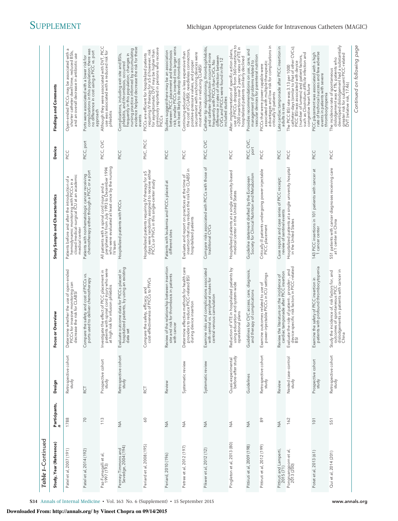| Table 1-Continued                         |                    |                                          |                                                                                                                                    |                                                                                                                                                              |                    |                                                                                                                                                                                                                                                    |
|-------------------------------------------|--------------------|------------------------------------------|------------------------------------------------------------------------------------------------------------------------------------|--------------------------------------------------------------------------------------------------------------------------------------------------------------|--------------------|----------------------------------------------------------------------------------------------------------------------------------------------------------------------------------------------------------------------------------------------------|
| Study, Year (Reference)                   | Participants,<br>n | Design                                   | Focus or Overview                                                                                                                  | Study Sample and Characteristics                                                                                                                             | Device             | <b>Findings and Comments</b>                                                                                                                                                                                                                       |
| Patel et al, 2007 (191)                   | 1788               | Retrospective cohort<br>study            | Determine whether the use of open-ended<br>PICCs for invasive monitoring can<br>decrease the risk for CLABSI                       | Patients before and after the introduction of a<br>hemodynamic monitoring with PICCs in a<br>closed medical-surgical ICU at an academic<br>medical center    | PICC               | Open-ended PICCs may be associated with a<br>shorter catheter dwell time, reduced BSIs,<br>and an overall decrease in antibiotic use                                                                                                               |
| Patel et al, 2014 (192)                   | $\overline{C}$     | RCT                                      | Compare the safety and cost of PICCs vs.<br>ports used to deliver chemotherapy                                                     | Patients with nonhematologic cancer receiving<br>chemotherapy either through a PICC or a port                                                                | PICC, port         | complications in this population; there was<br>no difference in cost using a PICC vs. port<br>Ports were associated with a lower risk for<br>approach                                                                                              |
| Paz-Fumagalli et al,<br>1997 (193)        | 113                | Prospective cohort<br>study              | patients with spinal cord injury who were<br>Investigate the effect of PICC placement in<br>at high risk for infusion phlebitis    | who were evaluated at least once by the nursing<br>peripheral IV from July 1993 to December 1994<br>patients with a spinal cord injury and a<br>IV team<br>₹ | SC<br>PICC,        | Although they were associated with DVT, PICC<br>use was associated with a reduced risk for<br>phlebitis                                                                                                                                            |
| Penney-Timmons and<br>Sevedge, 2004 (194) | ₹                  | Retrospective cohort<br>study            | hospitalized patients, by using an existing<br>aluate outcome data for PICCs placed in<br>data set<br>ú                            | Hospitalized patients with PICCs                                                                                                                             | PICC               | nursing practice informed by accumulating<br>evidence helped decrease the risk for these<br>Complications, including exit-site and BSIs,<br>phlebitis, and thrombosis, occurred<br>frequently in this population; changes in<br>events             |
| Periard et al, 2008 (195)                 | SO                 | RCT                                      | Compare the safety, efficacy, and<br>cost-effectiveness of PICCs to PIVCs                                                          | days were randomly assigned to receive either<br>PICCs or PIVCs in this single-center study<br>Hospitalized patients requiring IV therapy for 25             | PIVC, PICC         | previously reported in persons who receive<br>requiring IV therapy for ≥5 d however, risk<br>for asymptomatic DVT may be higher than<br>PICCs are efficient for hospitalized patients<br>PICCs                                                     |
| Periard, 2010 (196)                       | ₹                  | Review                                   | Review of the relationship between insertion<br>site and risk for thrombosis in patients<br>with cancer                            | Patients with leukemia and PICCs placed at<br>different sites                                                                                                | PICC               | Studies suggest there may be an association<br>between PICC placement and thrombosis<br>risk; smaller PICCs inserted into larger veins<br>are least likely to develop thrombosis                                                                   |
| Petree et al, 2012 (197                   | ₹                  | Systematic review                        | Determine effective methods for health care<br>providers to reduce PICC-related BSI<br>during device insertion                     | Evaluate and report on practices at the time of<br>insertion that may reduce the risk for CLABSI in<br>hospitalized patients                                 | PICC               | the cost of CLABSI; needleless connectors,<br>Continuing education is less expensive than<br>securement with anchoring devices were<br>positive-pressure valves, and proper<br>most effective in reducing CLABSI                                   |
| Pikwer et al, 2012 (12)                   | $\lessgtr$         | Systematic review                        | Examine risks and complications associated<br>with central vs. peripheral routes for<br>central venous cannulation                 | Compare risks associated with PICCs with those of<br>traditional CVCs                                                                                        | PICC, CVC          | Catheter tip malpositioning, thrombophlebitis,<br>and catheter dysfunction occurred more<br>frequently with PICCs than CVCs. No<br>CVCs and PICCs were found in the 12<br>CVCs and PICCs were found in the 12<br>included studies                  |
| Pingleton et al, 2013 (80)                | ₹                  | Quasi-experimental<br>before-after study | Reduction of VTE in hospitalized patients by<br>using education and system-wide<br>operational plans                               | Hospitalized patients at a single university-based<br>medical center in the United States                                                                    | PICC               | use of PICCs dropped from 360 insertions to<br><200 insertions over 2 years; rates of VTE in<br>After implementation of specific action plans,<br>hospitalized patients similarly declined                                                         |
| Pittiruti et al, 2009 (198)               | ₹                  | Guidelines                               | Guidelines for CVC access, care, diagnosis,<br>and therapy of complications                                                        | Guideline statement drafted by the European<br>Society for Clinical Nutrition and Metabolism                                                                 | PICC, CVC,<br>port | Provides recommendations on use, care, and<br>management of problems related to<br>vascular devices for parenteral nutrition                                                                                                                       |
| Pittiruti et al, 2012 (199                | 89                 | Retrospective cohort<br>study            | Examine outcomes related to use of<br>power-injectable PICCs in ICU settings                                                       | Critically ill patients undergoing power-injectable<br>PICC placement                                                                                        | PICC               | advantages and low risk for complications in<br>critically ill patients<br>associated with multiple therapeutic<br>PICCs that were power-capable were                                                                                              |
| Pittiruti and Lamperti,<br>2015 (71)      | $\frac{4}{2}$      | Review                                   | cardiac tamponade after PICC insertion<br>Review the literature on the incidence of                                                | Case reports and case series of PICC receipt;<br>review of sentinel events                                                                                   | PICC               | Late cardiac tamponade after PICC insertion in<br>adults is rare                                                                                                                                                                                   |
| Pongruangpom et al,<br>2013 (200)         | 162                | Nested case-control<br>study             | aluate the role of patient-, provider-, and<br>device-specific risk factors in PICC-related<br>BSI<br>ú                            | Hospitalized patients at a single university hospital<br>in the United States                                                                                | PICC               | catheter-days (similar to that of other CVCs);<br>PICC BSI was associated with device<br>(number of lumens) and patient factors,<br>such as Clostridium difficile infection and<br>The PICC BSI rate was 3.13 per 1000<br>congestive heart failure |
| Potet et al, 2013 (61)                    | 101                | Prospective cohort<br>study              | patients with profound thrombocytopenia<br>Examine the safety of PICC insertion in                                                 | 143 PICC insertions in 101 patients with cancer at<br>1 cancer center<br>cancer center                                                                       | PICC               | rate of technical success and few adverse<br>PICC placement was associated with a high<br>events in patients with severe<br>thrombocytopenia                                                                                                       |
| Qui et al, 2014 (201)                     | 551                | Retrospective cohort<br>study            | Study the incidence of, risk factors for, and<br>outcomes of spontaneous PICC<br>dislodgements in patients with cancer in<br>China | patients with cancer diagnoses receiving care<br>at 1 center in China<br>551                                                                                 | PICC               | The incidence rate of spontaneous<br>dislodgement was 4.1%; patients who<br>developed for subgement had a substantially<br>developed for subgement had a substantially<br>DVT (relative risk, 17.46)                                               |
|                                           |                    |                                          |                                                                                                                                    |                                                                                                                                                              |                    | Continued on following page                                                                                                                                                                                                                        |

**S34** Annals of Internal Medicine • Vol. 163 No. 6 (Supplement) • 15 September 2015 www.annals.org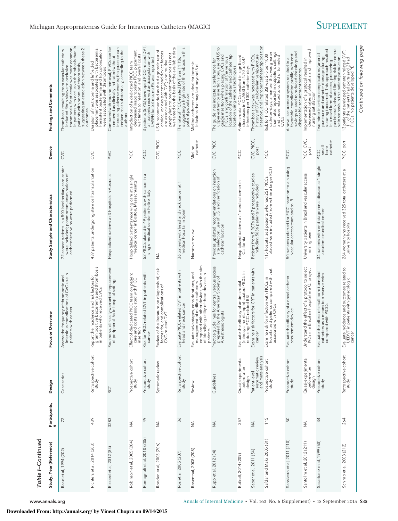|                   | Findings and Comments            | in patients with occlusive thrombosis than in<br>thrombosis. Septicemia was more common<br>suggesting an association between these 2<br>Thrombosis resulting from vascular catheters<br>patients with nonmural thrombosis,<br>included fibrin sleeve to occlusive<br>outcomes | Duration of neutropenia and left-sided<br>placement was associated with bacteremia.<br>Persistent bacteremia and tip colonization<br>were associated with thrombosis | Compared with routine removal, PIVCs can be<br>increasing adverse events; this practice can<br>reduce cost substantially, according to the<br>removed as clinically indicated without<br>authors | decreased inappropriate PICC placement,<br>wait times to insertion, and overall costs<br>Introduction of a dedicated PICC team | 3 patients (5.7%) developed PICC-related DVT;<br>all patients received anticoagulation with<br>LMWH for 23 mo; no PE was reported | warranted on the basis of the available data<br>US is recommended as the diagnostic test of<br>choice; various patient and device factors<br>are associated with DVT; and routine<br>prophylaxis to prevent thrombosis is not | suggesting a high rate of thrombosis in this<br>The rate of PICC-related DVT was 11.1%<br>patient population | Midline catheters are ideal for isotonic<br>⊽<br>infusions that may last beyond 5                                                                                                  | upper-extremity insertion sites, use of US to<br>guide insertion when placing CVCs and<br>PICCs, and confirmation of the venous<br>location of the catheter and catheter tip<br>The guidelines indicate a preference for<br>location using various techniques | Antimicrobial PICCs resulted in significant<br>decreases in CLABSI from 4.10 to 0.47<br>infections per 1000 catheter-days | Thrombosis risk was increased with PICCs,<br>history of DVT, subclavian venipuncture<br>insertion, and improper catheter tip position | catheter-days, a number that was greater<br>than rates reported in outpatient settings<br>and those related to cuffed or tunneled<br>Risk for PICC-related BSI was 2-5 per 1000<br>Š | savings related to reduced dressings and<br>favorable complication profile, with cost<br>A novel securement system resulted in a<br>disposable securement systems | Implementation of a protocol resulted in<br>decreased rates of phlebitis and improved<br>nursing satisfaction | peripheral veins and limiting risk for centra<br>suturing) occurred. This approach resulted<br>Two minor insertion complications (arterial<br>puncture and catheter damage during<br>vein stenosis in this patient population<br>in a novel form of access, preserving | Continued on following page<br>13 patients developed catheter-related DVT;<br>11 of the patients had ports and 2 had<br>PICCs. No patients developed PE |
|-------------------|----------------------------------|-------------------------------------------------------------------------------------------------------------------------------------------------------------------------------------------------------------------------------------------------------------------------------|----------------------------------------------------------------------------------------------------------------------------------------------------------------------|--------------------------------------------------------------------------------------------------------------------------------------------------------------------------------------------------|--------------------------------------------------------------------------------------------------------------------------------|-----------------------------------------------------------------------------------------------------------------------------------|-------------------------------------------------------------------------------------------------------------------------------------------------------------------------------------------------------------------------------|--------------------------------------------------------------------------------------------------------------|------------------------------------------------------------------------------------------------------------------------------------------------------------------------------------|---------------------------------------------------------------------------------------------------------------------------------------------------------------------------------------------------------------------------------------------------------------|---------------------------------------------------------------------------------------------------------------------------|---------------------------------------------------------------------------------------------------------------------------------------|--------------------------------------------------------------------------------------------------------------------------------------------------------------------------------------|-------------------------------------------------------------------------------------------------------------------------------------------------------------------|---------------------------------------------------------------------------------------------------------------|------------------------------------------------------------------------------------------------------------------------------------------------------------------------------------------------------------------------------------------------------------------------|---------------------------------------------------------------------------------------------------------------------------------------------------------|
|                   | Device                           | CVC                                                                                                                                                                                                                                                                           | SC                                                                                                                                                                   | PIVC                                                                                                                                                                                             | PICC                                                                                                                           | PICC                                                                                                                              | CVC, PICC                                                                                                                                                                                                                     | PICC                                                                                                         | catheter<br>Midline                                                                                                                                                                | CVC, PICC                                                                                                                                                                                                                                                     | PICC                                                                                                                      | CVC, PICC,<br>port                                                                                                                    | PICC                                                                                                                                                                                 | PICC                                                                                                                                                              | PICC, CVC,<br>port                                                                                            | catheter<br>small-<br>bore<br>PICC,                                                                                                                                                                                                                                    | PICC, port                                                                                                                                              |
|                   | Study Sample and Characteristics | 72 cancer patients in a 500-bed tertiary care center<br>were included; postmortem examinations of<br>catheterized veins were performed                                                                                                                                        | 439 patients undergoing stem cell transplantation                                                                                                                    | Hospitalized patients at 3 hospitals in Australia                                                                                                                                                | Hospitalized patients receiving care at a single<br>medical center in Boston, Massachusetts                                    | $\varpi$<br>52 PICCs placed in 49 patients with cancer in<br>single medical center in Feltre, Italy                               | ₹                                                                                                                                                                                                                             | 36 patients with head and neck cancer at 1<br>medical hospital in Spain                                      | Narrative review                                                                                                                                                                   | Provides updated recommendations on insertion<br>site selection, use of US, and verification of<br>catheter location                                                                                                                                          | Hospitalized patients at 1 medical center in<br>California                                                                | Patients from 5 RCTs and 7 prospective studies<br>including 5636 patients were included                                               | 5 hospitalized patients who had 251 PICCs<br>placed were included (from within a larger RCT)<br>115                                                                                  | 50 patients referred for PICC insertion to a nursing<br>vascular access team and to IR                                                                            | University patients in Brazil and vascular access<br>nursing team                                             | 34 patients with end-stage renal disease at 1 single<br>academic medical center                                                                                                                                                                                        | 264 women who received 325 total catheters at a<br>university hospital                                                                                  |
|                   | Focus or Overview                | Assess the frequency of thrombotic and<br>infectious complications of CVC use in<br>patients with cancer                                                                                                                                                                      | gram positive bacteremia and thrombosis<br>in patients who received CVCs<br>Report the incidence and risk factors for                                                | Routine vs. clinically warranted replacement<br>of peripheral IVs in hospital setting                                                                                                            | Effect of dedicated PICC team on patient<br>care and costs associated with PICC<br>insertion                                   | Risk for PICC-related DVT in patients with<br>cancer                                                                              | Review of the literature on diagnosis of, risk<br>factors for, and complications of<br>CVC-related DVT                                                                                                                        | Evaluate PICC-related DVT in patients with<br>head and neck cancer                                           | compared with other devices, with the aim<br>Evaluate advantages, considerations, and<br>of identifying utility of these devices in<br>management of midline catheters<br>patients | actice guidelines for central venous access<br>prepared by the American Society of<br>Anesthesiologists<br>ő.                                                                                                                                                 | (minocycline-rifampin)-coated PICCs in<br>reducing PICC-related BSI<br>Evaluate the efficacy of antimicrobial             | kamine risk factors for CRT in patients with<br>cancer<br>மி                                                                          | Examine risk for infection with PICCs in<br>hospitalized patients compared with that<br>associated with CVCs                                                                         | Evaluate the efficacy of a novel catheter<br>securement device                                                                                                    | Understand the effect of a protocol to select<br>IVDs in a Brazilian hospital in a QI project                 | Evaluate the effect of small-bore tunneled<br>catheters as a means to preserve veins<br>compared with PICCs                                                                                                                                                            | Evaluate incidence and outcomes related to<br>UEDVT in patients with gynecologic<br>cancer                                                              |
|                   | Design                           | Case series                                                                                                                                                                                                                                                                   | Retrospective cohort<br>study                                                                                                                                        | RCT                                                                                                                                                                                              | Prospective cohort<br>study                                                                                                    | Prospective cohort<br>study                                                                                                       | Systematic review                                                                                                                                                                                                             | Retrospective cohort<br>study                                                                                | Review                                                                                                                                                                             | Guidelines                                                                                                                                                                                                                                                    | Quasi-experimental<br>before-after<br>design                                                                              | systematic review<br>and meta-analysis<br>Patient-level                                                                               | Prospective cohort<br>study                                                                                                                                                          | Prospective cohort<br>study                                                                                                                                       | Quasi-experimental<br>before-after<br>design                                                                  | Prospective cohort<br>study                                                                                                                                                                                                                                            | Retrospective cohort<br>study                                                                                                                           |
|                   | Participants,<br>n               | 22                                                                                                                                                                                                                                                                            | 439                                                                                                                                                                  | 3283                                                                                                                                                                                             | ₹                                                                                                                              | $\frac{6}{7}$                                                                                                                     | ₹                                                                                                                                                                                                                             | 36                                                                                                           | ₹                                                                                                                                                                                  | $\lessgtr$                                                                                                                                                                                                                                                    | 257                                                                                                                       | $\stackrel{\triangleleft}{\geq}$                                                                                                      | 115                                                                                                                                                                                  | 50                                                                                                                                                                | ₹                                                                                                             | 34                                                                                                                                                                                                                                                                     | 264                                                                                                                                                     |
| Table 1-Continued | Study, Year (Reference)          | Raad et al, 1994 (202)                                                                                                                                                                                                                                                        | Richters et al, 2014 (203)                                                                                                                                           | Rickard et al, 2012 (84)                                                                                                                                                                         | Robinson et al, 2005 (204)                                                                                                     | Romagnoli et al, 2010 (205)                                                                                                       | Rooden et al, 2005 (206)                                                                                                                                                                                                      | Ros et al, 2005 (207)                                                                                        | Rosenthal, 2008 (208)                                                                                                                                                              | Rupp et al, 2012 (34)                                                                                                                                                                                                                                         | Rutkoff, 2014 (209                                                                                                        | Saber et al, 2011 (54)                                                                                                                | Safdar and Maki, 2005 (81)                                                                                                                                                           | Sansivero et al, 2011 (210)                                                                                                                                       | Santolim et al, 2012 (211)                                                                                    | Sasaduesz et al, 1999 (50)                                                                                                                                                                                                                                             | Schimp et al, 2003 (212)                                                                                                                                |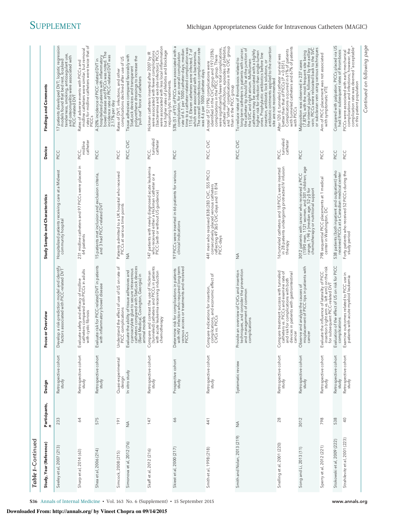| Table 1-Continued              |                    |                               |                                                                                                                                                                                                |                                                                                                                                                                               |                                           |                                                                                                                                                                                                                                                                                                                                                                                                                                                         |
|--------------------------------|--------------------|-------------------------------|------------------------------------------------------------------------------------------------------------------------------------------------------------------------------------------------|-------------------------------------------------------------------------------------------------------------------------------------------------------------------------------|-------------------------------------------|---------------------------------------------------------------------------------------------------------------------------------------------------------------------------------------------------------------------------------------------------------------------------------------------------------------------------------------------------------------------------------------------------------------------------------------------------------|
| Study, Year (Reference)        | Participants,<br>n | Design                        | <b>cus or Overview</b><br>۰ž                                                                                                                                                                   | Study Sample and Characteristics                                                                                                                                              | Device                                    | <b>Findings and Comments</b>                                                                                                                                                                                                                                                                                                                                                                                                                            |
| Seeley et al, 2007 (213)       | 233                | Retrospective cohort<br>study | Develop a risk-prediction model and identify<br>factors associated with PICC-related DVT                                                                                                       | Hospitalized patients receiving care at a Midwest<br>community hospital                                                                                                       | PICC                                      | 17 patients developed DVT; logistic regression<br>models found that bed rest, localized<br>tendemess, smoking, anticoagulant use,<br>and osteomyelitis were associated with<br>PICC-related DVT                                                                                                                                                                                                                                                         |
| Sharp et al, 2014 (63)         | 64                 | Retrospective cohort<br>study | Evaluate safety and efficacy of midline<br>catheters compared with PICCs in adults<br>with cystic fibrosis                                                                                     | 1 midline catheters and 97 PICCs were placed in<br>64 patients<br>231                                                                                                         | catheter<br>PICC,<br>midline              | Rates of adverse events with PICCs and<br>midline catheters were similar, but removal<br>rates for midline catheters were twice that of<br>PICCs                                                                                                                                                                                                                                                                                                        |
| Shea et al, 2006 (214)         | 575                | Retrospective cohort<br>study | Evaluate risk for PICC-related DVT in patients<br>with inflammatory bowel disease                                                                                                              | 15 patients met inclusion and exclusion criteria,<br>and 3 had PICC-related DVT                                                                                               | PICC                                      | hospitalized patients with inflammatory<br>incivel disease and PICCs was noted. The<br>2.17% per day<br>A 20% incidence of PICC-related DVT in                                                                                                                                                                                                                                                                                                          |
| Simcock, 2008 (215)            | 191                | Quasi-experimental<br>design  | Understand the effect of use of US on rate of<br>PICC complications                                                                                                                            | Patients admitted to a UK hospital who received<br>PICCs at various time points                                                                                               | PICC                                      | complications declined after use of US<br>Rates of DVT, infections, and other                                                                                                                                                                                                                                                                                                                                                                           |
| Simonova et al, 2012 (76)      | $\lessgtr$         | In vitro study                | cyanoacrylate glue to secure intravenous<br>catheters compared with StatLock devices<br>(Bard Medical, Covington, Georgia) in<br>Evaluate the ability of tissue adhesives and<br>animal models | $\frac{\triangleleft}{\triangle}$                                                                                                                                             | PICC, CVC                                 | Tissue adhesives compared favorably with<br>StatLock devices and transparent ´<br>polyurethane dressings to increase the<br>"pull-out" force of catheters                                                                                                                                                                                                                                                                                               |
| Skaffet al, 2012 (216)         | 147                | Retrospective cohort<br>study | Compare and contrast the use of Hickman<br>(tunneled) catheters and PICCs in patients<br>with acute leukemia receiving induction<br>chemotherapy                                               | 7 patients with newly diagnosed acute leukemia<br>who received either a Hickman catheter or a<br>PICC (with or without US guidance)<br>147                                    | tunneled<br>catheter<br>PICC <sub>1</sub> | were associated with less local infinition<br>but higher rates of phlebitis and blockage<br>requiring lytic treatments.<br>(bacteremia and exit-site infection); PICCs<br>Hickman catheters inserted after 2007 by IR<br>were associated with fewer complications                                                                                                                                                                                       |
| Skiest et al, 2000 (217)       | 66                 | Prospective cohort<br>study   | Determine risk for complications in patients<br>with HIV infection who required long-term<br>PICOs<br>PICOs                                                                                    | 97 PICCs were inserted in 66 patients for various<br>clinical indications                                                                                                     | PICC                                      | G<br>time to a catheter-related complication was<br>115 d. Eleven catheters were infected, 7 of<br>which were associated with a bacteremia.<br>was 4.6 per 1000 catheter-day<br>was 4.6 per 1000 catheter-day<br>complication, for an overall complication<br>rate of 6.1 per 1000 catheter-days; median<br>53% (51 of 97) of PICCs were associated with                                                                                                |
| Smith et al, 1998 (218)        | 441                | Retrospective cohort<br>study | complications, and economic effect of<br>CVCs vs. PICCs<br>Compare indications for insertion,                                                                                                  | men who received 838 (283 CVC, 555 PICC)<br>consecutively placed venous catheters<br>reflecting 49 365 CVC-days and 11 814<br>PICC-days<br>441                                | PICC, CVC                                 | A total of 57 (19%) complications were<br>identified in the PICC group There<br>were significantly fewer total complications,<br>were significantly fewer total complications,<br>catheter malunctions, episodes of phlebitis,<br>and the PI                                                                                                                                                                                                            |
| Smith and Nolan, 2013 (219)    | $\frac{4}{2}$      | Systematic review             | techniques, and consider the prevention<br>and management of common<br>Provide an overview of CVCs and insertion<br>complications                                                              | ₹                                                                                                                                                                             | PICC, CVC                                 | antibiotic ointments applied to the insertion<br>long-term catheters in patients with cancer,<br>the catheter tip should lie at the junction of<br>the SVC and right atrium. Multilumen<br>catheters may be associated with a slightly<br>higher risk for infection than single-lumen<br>ones. Prophylactic antibiotics before line<br>To reduce rates of thrombosis related to<br>insertion, antibiotic lock solutions, or<br>site are not recommended |
| Snelling et al, 2001 (220)     | 28                 | Retrospective cohort<br>study | Compare treatment success with tunneled<br>catheters vs. PICCs and examine rate of<br>and risk for complications with both<br>devices in patients with gastrointestinal<br>cancer              | 16 tunneled catheters and 18 PICCs were inserted<br>in 28 patients undergoing protracted IV infusion<br>therapy                                                               | tunneled<br>catheter<br>PICC,             | After 120 d, tunneled catheter survival was<br>better than that of PICCs (P = 18,051).<br>better than that och PICCs (P = 18,051).<br>with tunneled catheters and 67% of patients<br>with PICCs                                                                                                                                                                                                                                                         |
| Song and Li, 2013 (11)         | 3012               | Retrospective cohort<br>study | Observe and analyze the causes of<br>misplacement of PICC tips in patients with<br>cancer                                                                                                      | 3012 patients with cancer who received a PICC<br>(1590 men, 1121 women, and 301 children; age<br>range, 1-94 y [median age, 52 y]) for<br>chemotherapy or nutritional support | PICC                                      | or subclavian vein using various techniques<br>Malposition was observed in 237 cases<br>(7.87%), with the most frequent site being<br>(7.87%), with the most frequent site beilary<br>vein; PICCs were relocated back to the SVC                                                                                                                                                                                                                        |
| Sperry et al, 2012 (221)       | 798                | Retrospective cohort<br>study | Evaluate the influence of laterality of PICC<br>insertion (right arm vs. left arm) on the risk<br>for subsequent PICC-related DVT                                                              | 8 sequential PICC placements at 1 medical<br>center in Washington, DC<br>798                                                                                                  | PICC                                      | Arm of PICC placement was not associated<br>with symptomatic VTE                                                                                                                                                                                                                                                                                                                                                                                        |
| Stokowski et al, 2009 (222)    | 538                | Retrospective cohort<br>study | valuation of the effect of US on risk for PICC<br>complications<br>ம                                                                                                                           | 538 patients (both inpatient and outpatient) who<br>received PICCs at a Canadian medical center                                                                               | PICC                                      | Compared with palpation, PICCs placed via US<br>had lower subsequent rates of thrombosis                                                                                                                                                                                                                                                                                                                                                                |
| Strahilevitz et al, 2001 (223) | $\overline{a}$     | Retrospective cohort<br>study | camine outcomes related to PICC use in<br>patients with acute myeloid leukemia<br>Ő,                                                                                                           | Forty patients who received 52 PICCs during the<br>study period                                                                                                               | PICC                                      | PICCs were associated with early mechanical<br>complications and infections; however, the<br>in this patient population                                                                                                                                                                                                                                                                                                                                 |
|                                |                    |                               |                                                                                                                                                                                                |                                                                                                                                                                               |                                           | Continued on following page                                                                                                                                                                                                                                                                                                                                                                                                                             |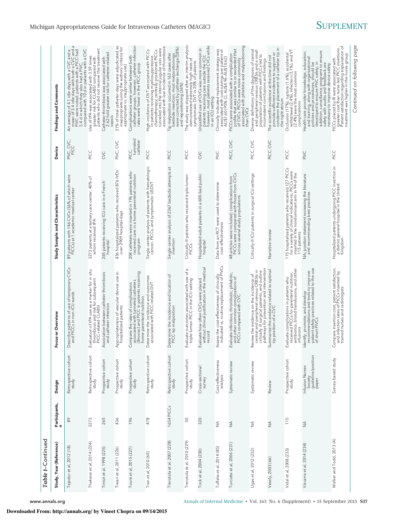$\mathbf{r}$ 

| Table 1-Continued           |                                  |                                                           |                                                                                                                                                                                                    |                                                                                                                                                                       |                               |                                                                                                                                                                                                                                                                                              |
|-----------------------------|----------------------------------|-----------------------------------------------------------|----------------------------------------------------------------------------------------------------------------------------------------------------------------------------------------------------|-----------------------------------------------------------------------------------------------------------------------------------------------------------------------|-------------------------------|----------------------------------------------------------------------------------------------------------------------------------------------------------------------------------------------------------------------------------------------------------------------------------------------|
| Study, Year (Reference)     | Participants,<br>n               | Design                                                    | cus or Overview<br><u>، ۲</u>                                                                                                                                                                      | and Characteristics<br>Study Sample                                                                                                                                   | <b>Device</b>                 | Findings and Comments                                                                                                                                                                                                                                                                        |
| Tejedor et al, 2012 (18)    | 8                                | Retrospective cohort<br>study                             | Describe patterns of use of temporary CVCs<br>and PICCs in non-ICU wards                                                                                                                           | patients with 146 CVCs (56% of which were<br>PICCs) at 1 academic medical center<br>89                                                                                | VC, CVC,<br>PICC<br>PIVC,     | $\sigma$<br>An average of 4.1 idle days with a CVC and a<br>mean of 3.4 idle days with both a CVC and<br>FIVC were noted; patients with a PICC had<br>FIVC were noted; patients with a PIC<br>compared with 10 d in patients with a CVC                                                      |
| Thakarar et al, 2014 (224)  | 3273                             | Retrospective cohort<br>study                             | Evaluation of tPA use as a marker for in situ<br>thrombosis and risk for subsequent<br>PICC-related CLABSI                                                                                         | ৳<br>3273 patients at a tertiary care center, 40%<br>whom received tPA                                                                                                | PICC                          | patients who did not receive this treatment<br>Use of tPA was associated with 3.59 times<br>greater risk for CLABSI compared with                                                                                                                                                            |
| Timsit et al, 1998 (225)    | 265                              | Prospective cohort<br>study                               | Association between catheter thrombosis<br>and catheter infection                                                                                                                                  | 265 patients receiving ICU care in a French<br>hospital                                                                                                               | <b>CVC</b>                    | 2.62-fold greater risk for catheter-related<br>Catheter thrombosis was associated with<br>sepsis                                                                                                                                                                                             |
| Tiwari et al, 2011 (226)    | 436                              | Prospective cohort<br>study                               | ≘.<br>Appropriateness of vascular device use<br>hospitalized patients                                                                                                                              | 436 hospitalized patients who received 876 IVDs<br>over 2909 hospital-days                                                                                            | <b>CYC</b><br>PIVC,           | 31% of total catheter-days were adjudicated as<br>inappropriate (using the authors' criteria for<br>appropriate vs. inappropriate use)                                                                                                                                                       |
| Touré et al, 2015 (227)     | 196                              | Prospective cohort<br>study                               | surfactor in the temperature of the state of the associated with tunneled catheters<br>(Broviac) and PICC in patients receiving<br>Compare the rates of complications<br>home parenteral nutrition | patients who<br>204 catheters were inserted in 196 patients wh<br>received care in a home parenteral nutrition<br>program                                             | PICC,<br>tunneled<br>catheter | catheter groups; however, catheter infection<br>rates were lower in the PICC group<br>Complications were similar between both                                                                                                                                                                |
| Tran et al, 2010 (60)       | 478                              | Retrospective cohort<br>study                             | Determine the incidence and outcomes<br>associated with PICC-related DVT                                                                                                                           | Single-center analysis of patients with hematologic<br>cancer, PICCs, and symptomatic UEDVT                                                                           | PICC                          | associated with low incidence of thrombosis<br>chemotherapy; centrally positioned PICCs<br>tunneled into the internal jugular vein were<br>High incidence of DVT associated with PICCs<br>in patients receiving myelosuppressive                                                             |
| Trerotola et al, 2007 (228) | 1654 PICCs                       | Retrospective cohort<br>study                             | Determine the incidence and location of<br>PICC tip malposition                                                                                                                                    | Single-center analysis of 2367 bedside attempts at<br>insertion                                                                                                       | PICC                          | bedside insertion; most malpositionings<br>were corrected by catheter exchange (58%)<br>and repositioning (36%)<br>Tip malposition occurred in 163 cases after                                                                                                                               |
| Trerotola et al, 2010 (229) | SO                               | Prospective cohort<br>study                               | $\varpi$<br>Evaluate outcomes associated with use of<br>triple-lumen PICC in the ICU setting                                                                                                       | Critically ill patients who received triple-lumen<br>PICCs                                                                                                            | PICC                          | The study was stopped after an interim analysis<br>demonstrated extremely high rates of<br>symptomatic DVT in 20% of patients                                                                                                                                                                |
| Trick et al, 2004 (230)     | 320                              | Cross-sectional<br>survey                                 | valuate how often CVCs were placed<br>without clinical justification in the medical<br>record<br>ú                                                                                                 | Hospitalized adult patients in a 600-bed public<br>hospita                                                                                                            | CVC                           | patients receiving care outside the ICU;<br>however, most patients received CVCs while<br>in an ICU setting<br>Unjustified use of CVCs was more common in                                                                                                                                    |
| Tuffaha et al, 2014 (85)    | $\stackrel{\triangleleft}{\geq}$ | Cost-effectiveness<br>analysis                            | Assess the cost-effectiveness of clinically<br>indicated vs. routine replacement of PIVCs                                                                                                          | Data from an RCT were used to determine<br>cost-effectiveness                                                                                                         | PNC                           | Clinically indicated replacement strategy was<br>associated with cost-savings per patient of<br>AU\$7.60 (95% CI, AU\$4.96-AU\$10.62)                                                                                                                                                        |
| Turcotte et al, 2006 (231)  | ₹                                | Systematic review                                         | Evaluate infectious, thrombotic, phlebitic,<br>and other common complications of<br>PICCs compared with CVC                                                                                        | articles were included; complications from<br>PICCs were compared with those from CVCs<br>across several study populations<br>48                                      | PICC, CVC                     | profile that was similar to or exceeded that<br>of CVCs. PICCs were more commonly<br>associated with phlebitis and malpositioning<br>PICCs were associated with a complication<br>than CVCs                                                                                                  |
| Ugas et al, 2012 (232)      | ₹                                | Systematic review                                         | pathways for prevention and intervention<br>central and peripheral venous CRBSIs in<br>critically ill surgical patients, and outline<br>Review the evidence on the incidence of                    | Critically ill ICU patients in surgical ICU settings                                                                                                                  | <b>SYS</b><br>PICC,           | Diverse definitions of the diagnosis of central<br>and peripheral venous CRBSIs and a small<br>population of patients with PICCs led to<br>inconsistent conclusions and findings                                                                                                             |
| Vesely, 2003 (66)           | ₹                                | Review                                                    | immarize the evidence related to optimal<br>tip position of a CVC<br>ഗ്                                                                                                                            | Narrative review                                                                                                                                                      | PICC, CVC                     | condemn the placement of a catheter tip in<br>provide sufficient evidence to support or<br>The scientific evidence at the time did not<br>the right atrium                                                                                                                                   |
| Vidal et al, 2008 (233)     | 115                              | Prospective cohort<br>study                               | antibiotics, blood transfusions, and other<br>Evaluate complications in patients who<br>received PICCs for parenteral nutrition,<br>infusions                                                      | 115 hospitalized patients who received 127 PICCs<br>for a variety of clinical indications; PICCs were<br>inserted in the nondominant arm in 94 of the<br>115 patients | PICC                          | Occlusion (17%), rupture (1.6%), accidental<br>withdrawal (2.4%), infection (3.1%), and VT<br>(2.4%) were the most common<br>complications                                                                                                                                                   |
| Vizcarra et al, 2014 (234)  | $\frac{4}{2}$                    | Society<br>guideline/position<br>paper<br>Infusion Nurses | recommendations and tools to improve<br>patient safety practices related to the use<br>of short PIVCs<br>Identify, promote, and develop                                                            | NA; position statement reviewing the literature<br>and recommending best practices                                                                                    | PIVC                          | addition, surveillance programs to ensure<br>safety with audits and feedback are<br>Health care provider knowledge, education,<br>and training, along with organizational<br>policies and procedures, should be<br>developed to ensure PIVC safety; in<br>necessary to improve device safety |
| Walker and Todd, 2013 (4)   |                                  | Survey-based study                                        | Compare insertion cost, patient satisfaction,<br>and infection rates of PICCs inserted by<br>trained nurses and radiologists                                                                       | Hospitalized patients undergoing PICC insertion in<br>a district general hospital in the United<br>a disuru. <sub>2</sub><br>Kingdom                                  | PICC                          | PICCs placed by IR were associated with<br>greater cost than nurse-led PICC insertions.<br>Patient satisfaction regarding explanation of<br>treatment was higher in the nurse group                                                                                                          |
|                             |                                  |                                                           |                                                                                                                                                                                                    |                                                                                                                                                                       |                               | Continued on following page                                                                                                                                                                                                                                                                  |

**Downloaded From: http://annals.org/ by Vineet Chopra on 09/14/2015**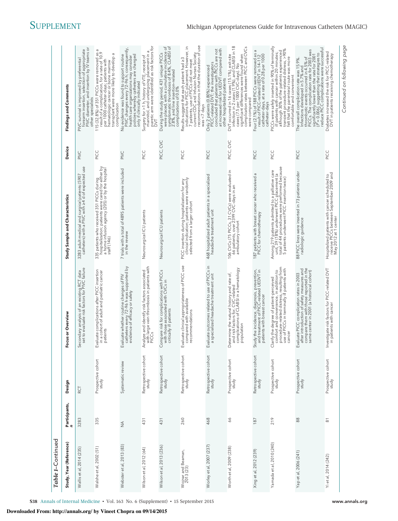| Table 1-Continued               |                               |                               |                                                                                                                                                                                            |                                                                                                                                                                                           |           |                                                                                                                                                                                                                                                                                                             |
|---------------------------------|-------------------------------|-------------------------------|--------------------------------------------------------------------------------------------------------------------------------------------------------------------------------------------|-------------------------------------------------------------------------------------------------------------------------------------------------------------------------------------------|-----------|-------------------------------------------------------------------------------------------------------------------------------------------------------------------------------------------------------------------------------------------------------------------------------------------------------------|
| Study, Year (Reference)         | Participants,<br>$\mathbf{r}$ | Design                        | cus or Overview<br>۽                                                                                                                                                                       | Study Sample and Characteristics                                                                                                                                                          | Device    | <b>Findings and Comments</b>                                                                                                                                                                                                                                                                                |
| Wallis et al, 2014 (235)        | 3283                          | RCT                           | set to evaluate risk factors for PIVC failure<br>Secondary analysis of an existing RCT data                                                                                                | use<br>3283 adult medical and surgical patients (5907<br>catheters) with a PIVC with ≥4 d of expected                                                                                     | PIVC      | foream insertion, selection of appropriate<br>PIVC diameter, and insertion by IV teams or<br>PIVC survival is improved by preferential<br>other specialists                                                                                                                                                 |
| Walshe et al, 2002 (51)         | 335                           | Prospective cohort<br>study   | Evaluate complications after PICC insertion<br>in a cohort of adult and pediatric cancer<br>patients                                                                                       | 335 patients who received 351 PICCs during<br>hospitalization; patients were cared for either by<br>a home infusion agency (205) or by the hospital<br>staff $(146)$                      | PICC      | 115 (32.8%) of 351 PICCs were removed as a<br>result of a complication, for a rate of 10.9<br>per 1000 catheter-days; patients with<br>transplant were more likely to develop a<br>hematologic cancer or bone marrow<br>complication                                                                        |
| Webster et al, 2013 (83)        | ₹                             | Systematic review             | catheters every 72-96 h was supported by<br>evidence of efficacy or safety<br>Evaluate whether routine changes of PIV                                                                      | 7 trials with a total of 4895 patients were included<br>in the review                                                                                                                     | PIVC      | PIVC changes every 72-96 h; consequently,<br>No evidence was found to support routine<br>policies whereby catheters are changed<br>health care organizations may consider<br>only if clinically indicated                                                                                                   |
| Wilson et al, 2012 (64)         | 431                           | Retrospective cohort<br>study | with large vein thrombosis in patients with<br>PICCs<br>Analyze and identify risk factors associated                                                                                       | Neurosurgical ICU patients                                                                                                                                                                | PICC      | mannitol, and undergoing placement in a<br>paretic arm were identified as risk factors for<br>Surgery for >1 h, history of VTE, receipt of<br>5                                                                                                                                                             |
| Wilson et al, 2013 (236)        | 431                           | Retrospective cohort<br>study | Compare risk for complications with PICCs<br>with those associated with CVCs in<br>critically ill patients                                                                                 | Neurosurgical ICU patients                                                                                                                                                                | PICC, CVC | were placed, with a cumulative incidence of<br>symptomatic thrombosis of 8.4%, CLABSI of<br>2.8%, and line insertion-related<br>During the study period, 431 unique PICCs<br>complications of 0.0%                                                                                                          |
| Wojnar and Beaman,<br>2013 (23) | 260                           | Retrospective cohort<br>study | Evaluate clinical appropriateness of PICC use<br>compared with available<br>recommendations                                                                                                | clinical indication; patients were randomly<br>PICC insertion during hospitalization for any<br>selected from a larger cohort                                                             | PICC      | recommendations in that the duration of use<br>indications for PICC placement. However, in<br>7 patients, use of PICCs did not meet<br>current CDC and Infusion Nurses Society<br>Results suggest that each patient had 23<br>was $<$ 7 days                                                                |
| Worley et al, 2007 (237)        | 468                           | Retrospective cohort<br>study | Evaluate outcomes related to use of PICCs in<br>a specialized headache treatment unit                                                                                                      | 468 hospitalized adult patients in a specialized<br>headache treatment unit                                                                                                               | PICC      | Only 2 patients (0.80%) experienced<br>PICC-related DVT; the investigators<br>at increased risk for UEDVT compared with<br>at increased risk for UEDVT compared with<br>other hospitalized patients                                                                                                         |
| Worth et al, 2009 (238)         | 99                            | Prospective cohort<br>study   | and risk factors for, CVC-related<br>complications of CLABSI in a hematology<br>Determine the natural history and rate of,<br>population                                                   | 106 CVCs (75 PICCs, 31 CVCs) were evaluated in<br>66 patients, over 2399 CVC-days in an<br>ambulatory cohort                                                                              | PICC, CVC | infection in 2 cases (1.9%), and CLABSI in 18<br>cases (7.5 per 1000 CVC-days). No<br>complication rates between PICC and CVCs<br>significant differences were found when<br>DVT occurred in 16 cases (15.1%), exit-site<br>were compared                                                                   |
| Xing et al, 2012 (239)          | 187                           | Retrospective cohort<br>study | Study the incidence, diagnosis, prevention,<br>and treatment of PICC-related UEDVT in<br>patients with breast cancer                                                                       | $\varpi$<br>187 patients with breast cancer who received<br>PICC for chemotherapy                                                                                                         | PICC      | G<br>Four (2.1%) of 188 PICCs were removed as<br>result of PICC-related UEDVT in 14–112<br>catheter-days, at a rate of 0.28 per 1000<br>catheter-days                                                                                                                                                       |
| Yamada et al, 2010 (240)        | 219                           | Prospective cohort<br>study   | procedure-related distress, resulting from<br>use of PICCs in terminally ill patients with<br>comfort and convenience, in addition to<br>Clarify the degree of patient-perceived<br>cancer | Among 219 patients admitted to a palliative care<br>tint, 39 (18%) underwent PICC placement (a<br>tint 39 (18%) underwent PICC placement (a<br>5 patients underwent PICC insertion twice) | PICC      | PICCs were safely inserted in 90% of terminally<br>transient procedure-related distress, >90%<br>although 30% of the patients experienced<br>ill patients with cancer within 20 minutes;<br>felt that the parenteral route was more<br>comfortable and convenient                                           |
| Yap et al, 2006 (241)           | 88                            | Prospective cohort<br>study   | after introduction of safety measures and<br>compare them with those reported in the<br>same center in 2001 (a historical cohort)<br>Evaluate PICC complication rates in 2003              | 88 PICC lines were inserted in 73 patients under<br>radiologic guidance                                                                                                                   | PICC      | reduce PICC complications were successful<br>thrombotic events occurred in 4.5% of<br>PICCs. The complication rate for 2003 was<br>significantly lower than the rate for 2001<br>(P = 0.006), suggesting that strategies to<br>The overall complication rate was 15.9%.<br>Infections developed in 5.7% and |
| Yi et al, 2014 (242)            | 5                             | Prospective cohort<br>study   | Investigate risk factors for PICC-related DVT<br>in patients with cancer                                                                                                                   | Hospitalized patients with cancer scheduled to<br>receive PICCs between September 2009 and<br>May 2012 at 1 center                                                                        | PICC      | Diabetes increased the risk for PICC-related<br>DVT in patients receiving chemotherapy                                                                                                                                                                                                                      |

**S38** Annals of Internal Medicine • Vol. 163 No. 6 (Supplement) • 15 September 2015 www.annals.org

**Downloaded From: http://annals.org/ by Vineet Chopra on 09/14/2015**

*Continued on following page*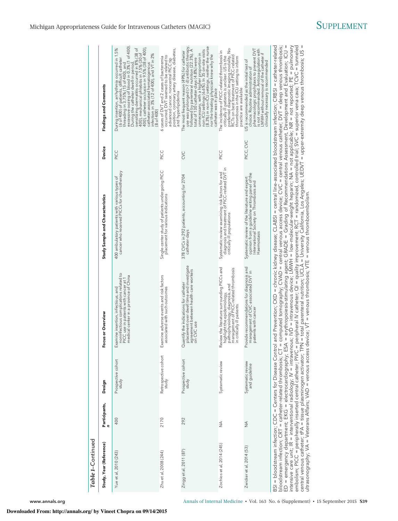| Table 1-Continued                                              |               |                                    |                                                                                                                                                                                     |                                                                                                                                                                                                                                                                                                                                                                                                                                                                                                                                                                                                                                                                                                                                                |           |                                                                                                                                                                                                                                                                                                                                                                                                                                                                                 |
|----------------------------------------------------------------|---------------|------------------------------------|-------------------------------------------------------------------------------------------------------------------------------------------------------------------------------------|------------------------------------------------------------------------------------------------------------------------------------------------------------------------------------------------------------------------------------------------------------------------------------------------------------------------------------------------------------------------------------------------------------------------------------------------------------------------------------------------------------------------------------------------------------------------------------------------------------------------------------------------------------------------------------------------------------------------------------------------|-----------|---------------------------------------------------------------------------------------------------------------------------------------------------------------------------------------------------------------------------------------------------------------------------------------------------------------------------------------------------------------------------------------------------------------------------------------------------------------------------------|
| Study, Year (Reference)                                        | Participants, | Design                             | Focus or Overview                                                                                                                                                                   | Study Sample and Characteristics                                                                                                                                                                                                                                                                                                                                                                                                                                                                                                                                                                                                                                                                                                               | Device    | Findings and Comments                                                                                                                                                                                                                                                                                                                                                                                                                                                           |
| Yue et al, 2010 (243)                                          | 400           | Prospective cohort<br>study        | noninfectious complications related to<br>medical center in a province of China<br>PICC use in patients with cancer at 1<br>Examine insertion, infectious, and                      | cancer who received PICCs for chemotherapy<br>400 ambulatory patients with various types of                                                                                                                                                                                                                                                                                                                                                                                                                                                                                                                                                                                                                                                    | PICC      | During insertion, arrhythmia occurred in 1.5%<br>(6 of 400) of parsex is, diffult canteer<br>excessive oozing of blood in 0.3% (1 of 400).<br>excessive oozing of blood in 0.3% (1 of 400).<br>400), catheter occlusion in 9.5% (38 of 400),<br>sensitizing dermatitis occurred in 8% (38 of<br>400), mechanical phlebitis in 7.5% (30 of<br>catheter-associated hematogenous<br>infection in 3% (12 of 400), and VT in 2%<br>During the catheter dwell-in period<br>(8 of 400) |
| Zhu et al, 2008 (244)                                          | 2170          | Retrospective cohort<br>study      | Examine adverse events and risk factors<br>associated with such outcomes                                                                                                            | Single-center study of patients undergoing PICC<br>placement for various indications                                                                                                                                                                                                                                                                                                                                                                                                                                                                                                                                                                                                                                                           | PICC      | position, coronary artery disease, diabetes,<br>occurred; DVT seemed to be related to<br>6 cases of DVT and 2 cases of bacteremia<br>advanced cancer, noncentral PICC tip<br>and hyperlipidemia                                                                                                                                                                                                                                                                                 |
| Zingg et al, 2011 (87)                                         | 292           | Prospective cohort<br>study        | placement over dwell time and investigate<br>agreement between health care workers<br>Quantify the indications for catheter<br>on CVC use                                           | 378 CVCs in 292 patients, accounting for 2704<br>catheter-days                                                                                                                                                                                                                                                                                                                                                                                                                                                                                                                                                                                                                                                                                 | CVC       | use was prolonged (>7 d) antibiotic therapy,<br>(8.3%) in non-ICU settings, neither the nurse<br>followed by parenteral nutrition (22.3%). À<br>total of 130 catheter-days (4.8%) were<br>unnecessary, with a higher proportion in<br>non-ICU settings (6.6%). In 35 on-site visits<br>The most frequent reason (49%) for catheter<br>nor the treating physician knew why the<br>catheter was in place                                                                          |
| Zochios et al, 2014 (245)                                      | $\frac{4}{2}$ | Systematic review                  | Review the literature surrounding PICCs and<br>management of PICC-related thrombosis<br>pathophysiology diagnosis, and<br>highlight the epidemiology,<br>in critically ill patients | Systematic review examining risk factors for and<br>diagnosis and treatment of PICC-related DVT in<br>critically ill populations                                                                                                                                                                                                                                                                                                                                                                                                                                                                                                                                                                                                               | PICC      | preferred diagnostic imaging modality. No<br>The incidence of PICC-related thrombosis in<br>RCTs on best treatment of PICC-related<br>critically ill patients is unclear. US is the<br>thrombosis in the ICU setting to inform<br>practice are available                                                                                                                                                                                                                        |
| Zwicker et al, 2014 (53)                                       | ₹             | Systematic review<br>and guideline | Provide recommendations for diagnosis and<br>management of CVC-associated DVT in<br>patients with cancer                                                                            | opinion from a guideline writing panel of the<br>International Society on Thrombosis and<br>Systematic review of the literature and expert<br>daemostasis                                                                                                                                                                                                                                                                                                                                                                                                                                                                                                                                                                                      | PICC, CVC | is not recommended. Anticoagulation with<br>pharmacologic prophylaxis to prevent DVT<br>LMWH without removal of the catheter if<br>US is recommended as the initial test of<br>clinically necessary is recommended<br>choice. Routine administration of                                                                                                                                                                                                                         |
| BSI = bloodstream infection; CDC = Centers for Disease Control |               |                                    | ultrasonography; VA = Veterans Affairs; VAD = venous access device; VT = venous thrombosis; VTE = venous thromboembolism.                                                           | bloodstream infection; CRT = catheter-related thrombosis; CT = computed tomography; CVAD = central venous access device; CVC = central venous catheter; DVT = deep venous thrombosis;<br>ED = emergency department; EKG = electrocardiography; ESA = erythropoiesis-stimulating agent; GRADE = Grading of Recommendations Assessment, Development and Evaluation; ICU =<br>intensive care unit; IR = interventional radiology; IV = intravenous; IVD = intravenous device; LMWH = low-molecular-weight heparin; IVA = not applicable; INR = not reported; PE = pulmonary<br>embolism; PICC = peripherally in<br>and Prevention; CKD = chronic kidney disease; CLABSI = central line-associated bloodstream infection; CRBSI = catheter-related |           |                                                                                                                                                                                                                                                                                                                                                                                                                                                                                 |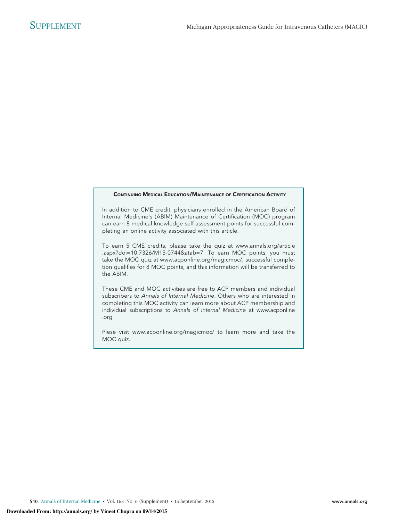### **CONTINUING MEDICAL EDUCATION/MAINTENANCE OF CERTIFICATION ACTIVITY**

In addition to CME credit, physicians enrolled in the American Board of Internal Medicine's (ABIM) Maintenance of Certification (MOC) program can earn 8 medical knowledge self-assessment points for successful completing an online activity associated with this article.

To earn 5 CME credits, please take the quiz at www.annals.org/article .aspx?doi=10.7326/M15-0744&atab=7. To earn MOC points, you must take the MOC quiz at www.acponline.org/magicmoc/; successful completion qualifies for 8 MOC points, and this information will be transferred to the ABIM.

These CME and MOC activities are free to ACP members and individual subscribers to *Annals of Internal Medicine*. Others who are interested in completing this MOC activity can learn more about ACP membership and individual subscriptions to *Annals of Internal Medicine* at www.acponline .org.

Plese visit www.acponline.org/magicmoc/ to learn more and take the MOC quiz.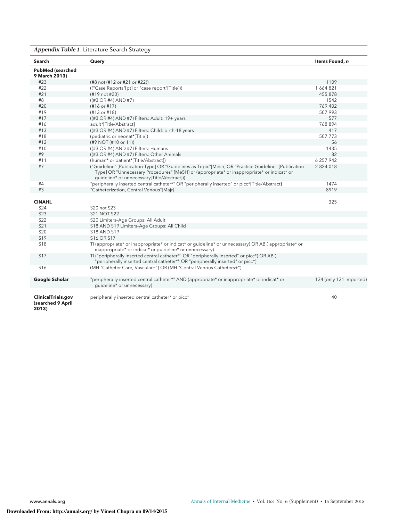*Appendix Table 1.* Literature Search Strategy

| Search                                                  | Query                                                                                                                                                                                                                                            | Items Found, n          |
|---------------------------------------------------------|--------------------------------------------------------------------------------------------------------------------------------------------------------------------------------------------------------------------------------------------------|-------------------------|
| <b>PubMed (searched</b><br>9 March 2013)                |                                                                                                                                                                                                                                                  |                         |
| #23                                                     | (#8 not (#12 or #21 or #22))                                                                                                                                                                                                                     | 1109                    |
| #22                                                     | (("Case Reports"[pt] or "case report"[Title]))                                                                                                                                                                                                   | 1 664 821               |
| #21                                                     | (#19 not #20)                                                                                                                                                                                                                                    | 455 878                 |
| #8                                                      | ((#3 OR #4) AND #7)                                                                                                                                                                                                                              | 1542                    |
| #20                                                     | $(#16$ or $#17)$                                                                                                                                                                                                                                 | 769 402                 |
| #19                                                     | (#13 or #18)                                                                                                                                                                                                                                     | 507 993                 |
| #17                                                     | ((#3 OR #4) AND #7) Filters: Adult: 19+ years                                                                                                                                                                                                    | 577                     |
| #16                                                     | adult*[Title/Abstract]                                                                                                                                                                                                                           | 768 894                 |
| #13                                                     | ((#3 OR #4) AND #7) Filters: Child: birth-18 years                                                                                                                                                                                               | 417                     |
| #18                                                     | (pediatric or neonat*[Title])                                                                                                                                                                                                                    | 507 773                 |
| #12                                                     | (#9 NOT (#10 or 11))                                                                                                                                                                                                                             | 56                      |
| #10                                                     | ((#3 OR #4) AND #7) Filters: Humans                                                                                                                                                                                                              | 1435                    |
| #9                                                      | ((#3 OR #4) AND #7) Filters: Other Animals                                                                                                                                                                                                       | 82                      |
| #11                                                     | (human* or patient*[Title/Abstract])                                                                                                                                                                                                             | 6 257 942               |
| #7                                                      | ("Guideline" [Publication Type] OR "Guidelines as Topic"[Mesh] OR "Practice Guideline" [Publication<br>Type] OR "Unnecessary Procedures" [MeSH] or (appropriate* or inappropriate* or indicat* or<br>quideline* or unnecessary[Title/Abstract])) | 2 824 018               |
| #4                                                      | "peripherally inserted central catheter*" OR "peripherally inserted" or picc*[Title/Abstract]                                                                                                                                                    | 1474                    |
| #3                                                      | "Catheterization, Central Venous"[Majr]                                                                                                                                                                                                          | 8919                    |
| <b>CINAHL</b>                                           |                                                                                                                                                                                                                                                  | 325                     |
| S24                                                     | S20 not S23                                                                                                                                                                                                                                      |                         |
| S23                                                     | <b>S21 NOT S22</b>                                                                                                                                                                                                                               |                         |
| S22                                                     | S20 Limiters-Age Groups: All Adult                                                                                                                                                                                                               |                         |
| S21                                                     | S18 AND S19 Limiters-Age Groups: All Child                                                                                                                                                                                                       |                         |
| S20                                                     | <b>S18 AND S19</b>                                                                                                                                                                                                                               |                         |
| S <sub>19</sub>                                         | S16 OR S17                                                                                                                                                                                                                                       |                         |
| S18                                                     | TI (appropriate* or inappropriate* or indicat* or quideline* or unnecessary) OR AB (appropriate* or<br>inappropriate* or indicat* or guideline* or unnecessary)                                                                                  |                         |
| <b>S17</b>                                              | TI ("peripherally inserted central catheter*" OR "peripherally inserted" or picc*) OR AB (<br>"peripherally inserted central catheter*" OR "peripherally inserted" or picc*)                                                                     |                         |
| S <sub>16</sub>                                         | (MH "Catheter Care, Vascular+") OR (MH "Central Venous Catheters+")                                                                                                                                                                              |                         |
| Google Scholar                                          | "peripherally inserted central catheter*" AND (appropriate* or inappropriate* or indicat* or<br>quideline* or unnecessary)                                                                                                                       | 134 (only 131 imported) |
| <b>ClinicalTrials.gov</b><br>(searched 9 April<br>2013) | peripherally inserted central catheter* or picc*                                                                                                                                                                                                 | 40                      |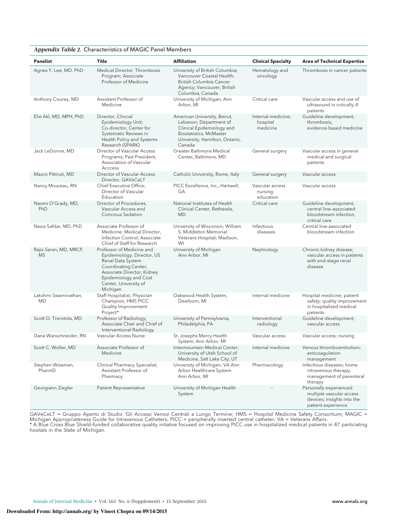| Appendix Table 2. Characteristics of MAGIC Panel Members |  |  |  |
|----------------------------------------------------------|--|--|--|
|----------------------------------------------------------|--|--|--|

| <b>Panelist</b>                     | <b>Title</b>                                                                                                                                                                                     | <b>Affiliation</b>                                                                                                                                         | <b>Clinical Specialty</b>                  | <b>Area of Technical Expertise</b>                                                                     |
|-------------------------------------|--------------------------------------------------------------------------------------------------------------------------------------------------------------------------------------------------|------------------------------------------------------------------------------------------------------------------------------------------------------------|--------------------------------------------|--------------------------------------------------------------------------------------------------------|
| Agnes Y. Lee, MD, PhD               | Medical Director, Thrombosis<br>Program; Associate<br>Professor of Medicine                                                                                                                      | University of British Columbia;<br>Vancouver Coastal Health;<br>British Columbia Cancer<br>Agency; Vancouver, British<br>Columbia, Canada                  | Hematology and<br>oncology                 | Thrombosis in cancer patients                                                                          |
| Anthony Courey, MD                  | Assistant Professor of<br>Medicine                                                                                                                                                               | University of Michigan, Ann<br>Arbor, MI                                                                                                                   | Critical care                              | Vascular access and use of<br>ultrasound in critically ill<br>patients                                 |
| Elie Akl, MD, MPH, PhD              | Director, Clincial<br>Epidemiology Unit;<br>Co-director, Center for<br>Systematic Reviews in<br>Health Policy and Systems<br>Research (SPARK)                                                    | American University, Beirut,<br>Lebanon; Department of<br>Clinical Epidemiology and<br>Biostatistics, McMaster<br>University, Hamilton, Ontario,<br>Canada | Internal medicine;<br>hospital<br>medicine | Guideline development,<br>thrombosis,<br>evidence-based medicine                                       |
| Jack LeDonne, MD                    | Director of Vascular Access<br>Programs; Past President,<br>Association of Vascular<br>Acccess                                                                                                   | Greater Baltimore Medical<br>Center, Baltimore, MD                                                                                                         | General surgery                            | Vascular access in general<br>medical and surgical<br>patients                                         |
| Mauro Pittiruti, MD                 | Director of Vascular Access<br>Director, GAVeCeLT                                                                                                                                                | Catholic University, Rome, Italy                                                                                                                           | General surgery                            | Vascular access                                                                                        |
| Nancy Moureau, RN                   | Chief Executive Office;<br>Director of Vascular<br>Education                                                                                                                                     | PICC Excellence, Inc., Hartwell,<br>GА                                                                                                                     | Vascular access<br>nursing<br>education    | Vascular access                                                                                        |
| Naomi O'Grady, MD,<br>PhD           | Director of Procedures,<br>Vascular Access and<br><b>Concious Sedation</b>                                                                                                                       | National Institutes of Health<br>Clinical Center, Bethesda,<br><b>MD</b>                                                                                   | Critical care                              | Guideline development,<br>central line-associated<br>bloodstream infection,<br>critical care           |
| Nasia Safdar, MD, PhD               | Associate Professor of<br>Medicine; Medical Director,<br>Infection Control; Associate<br>Chief of Staff for Research                                                                             | University of Wisconsin; William<br>S. Middleton Memorial<br>Veterans Hospital; Madison,<br>WI                                                             | Infectious<br>diseases                     | Central line-associated<br>bloodstream infection                                                       |
| Rajiv Saran, MD, MRCP,<br><b>MS</b> | Professor of Medicine and<br>Epidemiology; Director, US<br>Renal Data System<br>Coordinating Center;<br>Associate Director, Kidney<br>Epidemiology and Cost<br>Center, University of<br>Michigan | University of Michigan<br>Ann Arbor, MI                                                                                                                    | Nephrology                                 | Chronic kidney disease;<br>vascular access in patients<br>with end-stage renal<br>disease              |
| Lakshmi Swaminathan,<br><b>MD</b>   | Staff Hospitalist; Physician<br>Champion, HMS PICC<br>Quality Improvement<br>Project*                                                                                                            | Oakwood Health System,<br>Dearborn, MI                                                                                                                     | Internal medicine                          | Hospital medicine; patient<br>safety; quality improvement<br>in hospitalized medical<br>patients       |
| Scott O. Trerotola, MD              | Professor of Radiology;<br>Associate Chair and Chief of<br>Interventional Radiology                                                                                                              | University of Pennsylvania,<br>Philadelphia, PA                                                                                                            | Interventional<br>radiology                | Guideline development;<br>vascular access                                                              |
| Dana Wanschneider, RN               | Vascular Access Nurse                                                                                                                                                                            | St. Josephs Mercy Health<br>System, Ann Arbor, MI                                                                                                          | Vascular access                            | Vascular access; nursing                                                                               |
| Scott C. Woller, MD                 | Associate Professor of<br>Medicine                                                                                                                                                               | Intermountain Medical Center;<br>University of Utah School of<br>Medicine, Salt Lake City, UT                                                              | Internal medicine                          | Venous thromboembolism;<br>anticoagulation<br>management                                               |
| Stephen Wiseman,<br>PharmD          | Clinical Pharmacy Specialist;<br>Assistant Professor of<br>Pharmacy                                                                                                                              | University of Michigan; VA Ann<br>Arbor Healthcare System<br>Ann Arbor, MI                                                                                 | Pharmacology                               | Infectious diseases; home<br>intravenous therapy;<br>management of parenteral<br>therapy               |
| Georgiann Ziegler                   | <b>Patient Representative</b>                                                                                                                                                                    | University of Michigan Health<br>System                                                                                                                    |                                            | Personally experienced<br>multiple vascular access<br>devices; insights into the<br>patient experience |

GAVeCeLT = Gruppo Aperto di Studio 'Gli Accessi Venosi Centrali a Lungo Termine; HMS = Hospital Medicine Safety Consortium; MAGIC = Michigan Appropriateness Guide for Intravenous Catheters; PICC = peripherally inserted central catheter; VA = Veterans Affairs. \* A Blue Cross Blue Shield–funded collaborative quality initative focused on improving PICC use in hospitalized medical patients in 47 particiating hositals in the State of Michigan.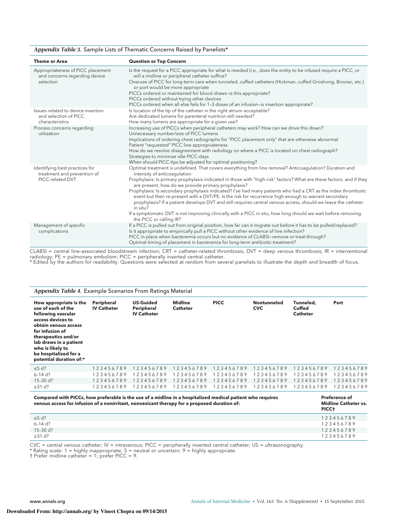## *Appendix Table 3.* Sample Lists of Thematic Concerns Raised by Panelists\*

| <b>Theme or Area</b>                                                              | <b>Question or Top Concern</b>                                                                                                                                                                                                                                                                                                                                                                                                                                                                                                                                                                                                                                                                                                                                                                                           |
|-----------------------------------------------------------------------------------|--------------------------------------------------------------------------------------------------------------------------------------------------------------------------------------------------------------------------------------------------------------------------------------------------------------------------------------------------------------------------------------------------------------------------------------------------------------------------------------------------------------------------------------------------------------------------------------------------------------------------------------------------------------------------------------------------------------------------------------------------------------------------------------------------------------------------|
| Appropriateness of PICC placement<br>and concerns regarding device<br>selection   | Is the request for a PICC appropriate for what is needed (i.e., does the entity to be infused require a PICC, or<br>will a midline or peripheral catheter suffice?<br>Overuse of PICC for long-term care when tunneled, cuffed catheters (Hickman, cuffed Groshong, Broviac, etc.)<br>or port would be more appropriate<br>PICCs ordered or maintained for blood draws-is this appropriate?<br>PICCs ordered without trying other devices<br>PICCs ordered when all else fails for 1-3 doses of an infusion-is insertion appropriate?                                                                                                                                                                                                                                                                                    |
| Issues related to device insertion<br>and selection of PICC<br>characteristics    | Is location of the tip of the catheter in the right atrium acceptable?<br>Are dedicated lumens for parenteral nutrition still needed?<br>How many lumens are appropriate for a given use?                                                                                                                                                                                                                                                                                                                                                                                                                                                                                                                                                                                                                                |
| Process concerns regarding<br>utilization                                         | Increasing use of PICCs when peripheral catheters may work? How can we drive this down?<br>Unnecessary number/size of PICC lumens<br>Implications of ordering chest radiographs for "PICC placement only" that are otherwise abnormal<br>Patient "requested" PICC line appropriateness<br>How do we resolve disagreement with radiology on where a PICC is located on chest radiograph?<br>Strategies to minimize idle PICC-days<br>When should PICC tips be adjusted for optimal positioning?                                                                                                                                                                                                                                                                                                                           |
| Identifying best practices for<br>treatment and prevention of<br>PICC-related DVT | Optimal treatment is undefined. That covers everything from line removal? Anticoagulation? Duration and<br>intensity of anticoaqulation<br>Prophylaxis: Is primary prophylaxis indicated in those with "high-risk" factors? What are these factors, and if they<br>are present, how do we provide primary prophylaxis?<br>Prophylaxis: Is secondary prophylaxis indicated? I've had many patients who had a CRT as the index thrombotic<br>event but then re-present with a DVT/PE. Is the risk for recurrence high enough to warrant secondary<br>prophylaxis? If a patient develops DVT and still requires central venous access, should we leave the catheter<br>in situ?<br>If a symptomatic DVT is not improving clinically with a PICC in situ, how long should we wait before removing<br>the PICC or calling IR? |
| Management of specific<br>complications                                           | If a PICC is pulled out from original position, how far can it migrate out before it has to be pulled/replaced?<br>Is it appropriate to empirically pull a PICC without other evidence of line infection?<br>PICC in place when bacteremia occurs but no evidence of CLABSI-remove or treat through?<br>Optimal timing of placement in bacteremia for long-term antibiotic treatment?                                                                                                                                                                                                                                                                                                                                                                                                                                    |

CLABSI = central line–associated bloodstream infection; CRT = catheter-related thrombosis; DVT = deep venous thrombosis; IR = interventional radiology; PE = pulmonary embolism; PICC = peripherally inserted central catheter.

\* Edited by the authors for readability. Questions were selected at random from several panelists to illustrate the depth and breadth of focus.

| Appendix Table 4. Example Scenarios From Ratings Material                                                                                                                                                                                                   |                                  |                                                      |                                   |             |                                  |                                        |           |  |
|-------------------------------------------------------------------------------------------------------------------------------------------------------------------------------------------------------------------------------------------------------------|----------------------------------|------------------------------------------------------|-----------------------------------|-------------|----------------------------------|----------------------------------------|-----------|--|
| How appropriate is the<br>use of each of the<br>following vascular<br>access devices to<br>obtain venous access<br>for infusion of<br>therapeutics and/or<br>lab draws in a patient<br>who is likely to<br>be hospitalized for a<br>potential duration of:* | Peripheral<br><b>IV Catheter</b> | <b>US-Guided</b><br>Peripheral<br><b>IV Catheter</b> | <b>Midline</b><br><b>Catheter</b> | <b>PICC</b> | <b>Nontunneled</b><br><b>CVC</b> | Tunneled,<br>Cuffed<br><b>Catheter</b> | Port      |  |
| $\leq$ 5 d?                                                                                                                                                                                                                                                 | 123456789                        | 123456789                                            | 123456789                         | 123456789   | 123456789                        | 123456789                              | 123456789 |  |
| $6 - 14$ d?                                                                                                                                                                                                                                                 | 123456789                        | 123456789                                            | 123456789                         | 123456789   | 123456789                        | 123456789                              | 123456789 |  |
| $15 - 30$ d?                                                                                                                                                                                                                                                | 123456789                        | 123456789                                            | 123456789                         | 123456789   | 123456789                        | 123456789                              | 123456789 |  |
| $\geq$ 31 d?                                                                                                                                                                                                                                                | 123456789                        | 123456789                                            | 123456789                         | 123456789   | 123456789                        | 123456789                              | 123456789 |  |
|                                                                                                                                                                                                                                                             | .                                |                                                      |                                   |             |                                  |                                        | $\sim$    |  |

| Compared with PICCs, how preferable is the use of a midline in a hospitalized medical patient who requires<br>venous access for infusion of a nonirritant, nonvesicant therapy for a proposed duration of: | <b>Preference of</b><br><b>Midline Catheter vs.</b><br><b>PICC+</b> |  |
|------------------------------------------------------------------------------------------------------------------------------------------------------------------------------------------------------------|---------------------------------------------------------------------|--|
| $\leq$ 5 d?                                                                                                                                                                                                | 123456789                                                           |  |
| $6-14d$ ?                                                                                                                                                                                                  | 123456789                                                           |  |
| $15-30$ d?                                                                                                                                                                                                 | 123456789                                                           |  |
| $\geq$ 31 d?                                                                                                                                                                                               | 123456789                                                           |  |

CVC = central venous catheter; IV = intravenous; PICC = peripherally inserted central catheter; US = ultrasonography.

\* Rating scale: 1 = highly inappropriate; 5 = neutral or uncertain; 9 = highly appropriate.

† Prefer midline catheter = 1; prefer PICC = 9.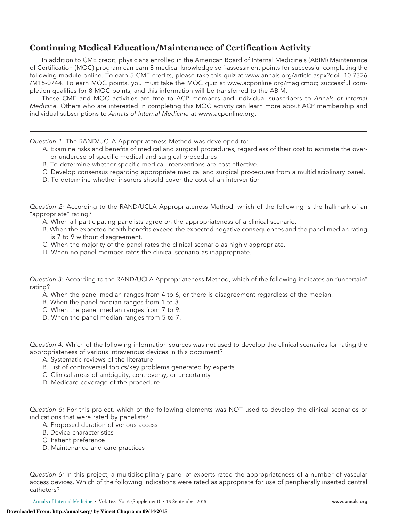## **Continuing Medical Education/Maintenance of Certification Activity**

In addition to CME credit, physicians enrolled in the American Board of Internal Medicine's (ABIM) Maintenance of Certification (MOC) program can earn 8 medical knowledge self-assessment points for successful completing the following module online. To earn 5 CME credits, please take this quiz at www.annals.org/article.aspx?doi=10.7326 /M15-0744. To earn MOC points, you must take the MOC quiz at www.acponline.org/magicmoc; successful completion qualifies for 8 MOC points, and this information will be transferred to the ABIM.

These CME and MOC activities are free to ACP members and individual subscribers to *Annals of Internal Medicine.* Others who are interested in completing this MOC activity can learn more about ACP membership and individual subscriptions to *Annals of Internal Medicine* at www.acponline.org.

*Question 1:* The RAND/UCLA Appropriateness Method was developed to:

- A. Examine risks and benefits of medical and surgical procedures, regardless of their cost to estimate the overor underuse of specific medical and surgical procedures
- B. To determine whether specific medical interventions are cost-effective.
- C. Develop consensus regarding appropriate medical and surgical procedures from a multidisciplinary panel.
- D. To determine whether insurers should cover the cost of an intervention

*Question 2:* According to the RAND/UCLA Appropriateness Method, which of the following is the hallmark of an "appropriate" rating?

- A. When all participating panelists agree on the appropriateness of a clinical scenario.
- B. When the expected health benefits exceed the expected negative consequences and the panel median rating is 7 to 9 without disagreement.
- C. When the majority of the panel rates the clinical scenario as highly appropriate.
- D. When no panel member rates the clinical scenario as inappropriate.

*Question 3:* According to the RAND/UCLA Appropriateness Method, which of the following indicates an "uncertain" rating?

A. When the panel median ranges from 4 to 6, or there is disagreement regardless of the median.

- B. When the panel median ranges from 1 to 3.
- C. When the panel median ranges from 7 to 9.
- D. When the panel median ranges from 5 to 7.

*Question 4:* Which of the following information sources was not used to develop the clinical scenarios for rating the appropriateness of various intravenous devices in this document?

- A. Systematic reviews of the literature
- B. List of controversial topics/key problems generated by experts
- C. Clinical areas of ambiguity, controversy, or uncertainty
- D. Medicare coverage of the procedure

*Question 5:* For this project, which of the following elements was NOT used to develop the clinical scenarios or indications that were rated by panelists?

- A. Proposed duration of venous access
- B. Device characteristics
- C. Patient preference
- D. Maintenance and care practices

*Question 6:* In this project, a multidisciplinary panel of experts rated the appropriateness of a number of vascular access devices. Which of the following indications were rated as appropriate for use of peripherally inserted central catheters?

Annals of Internal Medicine • Vol. 163 No. 6 (Supplement) • 15 September 2015 www.annals.org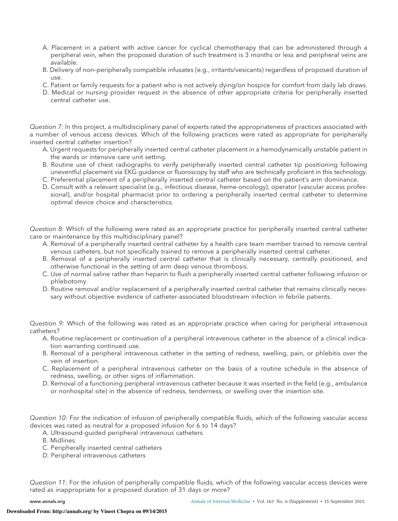- A. Placement in a patient with active cancer for cyclical chemotherapy that can be administered through a peripheral vein, when the proposed duration of such treatment is 3 months or less and peripheral veins are available.
- B. Delivery of non–peripherally compatible infusates (e.g., irritants/vesicants) regardless of proposed duration of use.
- C. Patient or family requests for a patient who is not actively dying/on hospice for comfort from daily lab draws.
- D. Medical or nursing provider request in the absence of other appropriate criteria for peripherally inserted central catheter use.

*Question 7:* In this project, a multidisciplinary panel of experts rated the appropriateness of practices associated with a number of venous access devices. Which of the following practices were rated as appropriate for peripherally inserted central catheter insertion?

- A. Urgent requests for peripherally inserted central catheter placement in a hemodynamically unstable patient in the wards or intensive care unit setting.
- B. Routine use of chest radiographs to verify peripherally inserted central catheter tip positioning following uneventful placement via EKG guidance or fluoroscopy by staff who are technically proficient in this technology.
- C. Preferential placement of a peripherally inserted central catheter based on the patient's arm dominance.
- D. Consult with a relevant specialist (e.g., infectious disease, heme-oncology), operator (vascular access professional), and/or hospital pharmacist prior to ordering a peripherally inserted central catheter to determine optimal device choice and characteristics.

*Question 8:* Which of the following were rated as an appropriate practice for peripherally inserted central catheter care or maintenance by this multidisciplinary panel?

- A. Removal of a peripherally inserted central catheter by a health care team member trained to remove central venous catheters, but not specifically trained to remove a peripherally inserted central catheter.
- B. Removal of a peripherally inserted central catheter that is clinically necessary, centrally positioned, and otherwise functional in the setting of arm deep venous thrombosis.
- C. Use of normal saline rather than heparin to flush a peripherally inserted central catheter following infusion or phlebotomy.
- D. Routine removal and/or replacement of a peripherally inserted central catheter that remains clinically necessary without objective evidence of catheter-associated bloodstream infection in febrile patients.

*Question 9:* Which of the following was rated as an appropriate practice when caring for peripheral intravenous catheters?

- A. Routine replacement or continuation of a peripheral intravenous catheter in the absence of a clinical indication warranting continued use.
- B. Removal of a peripheral intravenous catheter in the setting of redness, swelling, pain, or phlebitis over the vein of insertion.
- C. Replacement of a peripheral intravenous catheter on the basis of a routine schedule in the absence of redness, swelling, or other signs of inflammation.
- D. Removal of a functioning peripheral intravenous catheter because it was inserted in the field (e.g., ambulance or nonhospital site) in the absence of redness, tenderness, or swelling over the insertion site.

*Question 10:* For the indication of infusion of peripherally compatible fluids, which of the following vascular access devices was rated as neutral for a proposed infusion for 6 to 14 days?

- A. Ultrasound-guided peripheral intravenous catheters
- B. Midlines
- C. Peripherally inserted central catheters
- D. Peripheral intravenous catheters

*Question 11:* For the infusion of peripherally compatible fluids, which of the following vascular access devices were rated as inappropriate for a proposed duration of 31 days or more?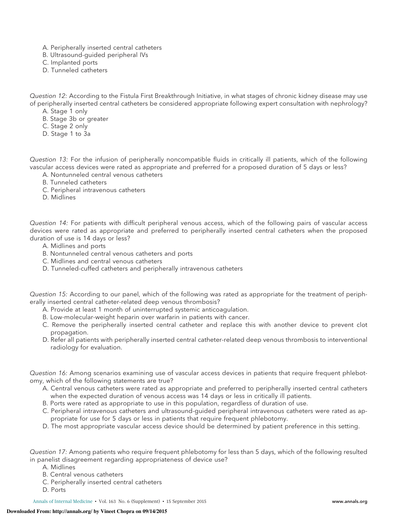- A. Peripherally inserted central catheters
- B. Ultrasound-guided peripheral IVs
- C. Implanted ports
- D. Tunneled catheters

*Question 12:* According to the Fistula First Breakthrough Initiative, in what stages of chronic kidney disease may use of peripherally inserted central catheters be considered appropriate following expert consultation with nephrology?

A. Stage 1 only

- B. Stage 3b or greater
- C. Stage 2 only
- D. Stage 1 to 3a

*Question 13:* For the infusion of peripherally noncompatible fluids in critically ill patients, which of the following vascular access devices were rated as appropriate and preferred for a proposed duration of 5 days or less?

- A. Nontunneled central venous catheters
- B. Tunneled catheters
- C. Peripheral intravenous catheters
- D. Midlines

*Question 14:* For patients with difficult peripheral venous access, which of the following pairs of vascular access devices were rated as appropriate and preferred to peripherally inserted central catheters when the proposed duration of use is 14 days or less?

- A. Midlines and ports
- B. Nontunneled central venous catheters and ports
- C. Midlines and central venous catheters
- D. Tunneled-cuffed catheters and peripherally intravenous catheters

*Question 15:* According to our panel, which of the following was rated as appropriate for the treatment of peripherally inserted central catheter-related deep venous thrombosis?

- A. Provide at least 1 month of uninterrupted systemic anticoagulation.
- B. Low-molecular-weight heparin over warfarin in patients with cancer.
- C. Remove the peripherally inserted central catheter and replace this with another device to prevent clot propagation.
- D. Refer all patients with peripherally inserted central catheter-related deep venous thrombosis to interventional radiology for evaluation.

*Question 16:* Among scenarios examining use of vascular access devices in patients that require frequent phlebotomy, which of the following statements are true?

- A. Central venous catheters were rated as appropriate and preferred to peripherally inserted central catheters when the expected duration of venous access was 14 days or less in critically ill patients.
- B. Ports were rated as appropriate to use in this population, regardless of duration of use.
- C. Peripheral intravenous catheters and ultrasound-guided peripheral intravenous catheters were rated as appropriate for use for 5 days or less in patients that require frequent phlebotomy.
- D. The most appropriate vascular access device should be determined by patient preference in this setting.

*Question 17:* Among patients who require frequent phlebotomy for less than 5 days, which of the following resulted in panelist disagreement regarding appropriateness of device use?

- A. Midlines
- B. Central venous catheters
- C. Peripherally inserted central catheters
- D. Ports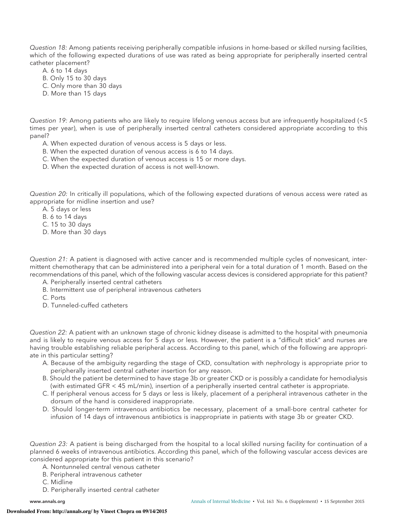*Question 18:* Among patients receiving peripherally compatible infusions in home-based or skilled nursing facilities, which of the following expected durations of use was rated as being appropriate for peripherally inserted central catheter placement?

- A. 6 to 14 days
- B. Only 15 to 30 days
- C. Only more than 30 days
- D. More than 15 days

*Question 19:* Among patients who are likely to require lifelong venous access but are infrequently hospitalized (<5 times per year), when is use of peripherally inserted central catheters considered appropriate according to this panel?

- A. When expected duration of venous access is 5 days or less.
- B. When the expected duration of venous access is 6 to 14 days.
- C. When the expected duration of venous access is 15 or more days.
- D. When the expected duration of access is not well-known.

*Question 20:* In critically ill populations, which of the following expected durations of venous access were rated as appropriate for midline insertion and use?

- A. 5 days or less
- B. 6 to 14 days
- C. 15 to 30 days
- D. More than 30 days

*Question 21:* A patient is diagnosed with active cancer and is recommended multiple cycles of nonvesicant, intermittent chemotherapy that can be administered into a peripheral vein for a total duration of 1 month. Based on the recommendations of this panel, which of the following vascular access devices is considered appropriate for this patient?

- A. Peripherally inserted central catheters
- B. Intermittent use of peripheral intravenous catheters
- C. Ports
- D. Tunneled-cuffed catheters

*Question 22:* A patient with an unknown stage of chronic kidney disease is admitted to the hospital with pneumonia and is likely to require venous access for 5 days or less. However, the patient is a "difficult stick" and nurses are having trouble establishing reliable peripheral access. According to this panel, which of the following are appropriate in this particular setting?

- A. Because of the ambiguity regarding the stage of CKD, consultation with nephrology is appropriate prior to peripherally inserted central catheter insertion for any reason.
- B. Should the patient be determined to have stage 3b or greater CKD or is possibly a candidate for hemodialysis (with estimated GFR < 45 mL/min), insertion of a peripherally inserted central catheter is appropriate.
- C. If peripheral venous access for 5 days or less is likely, placement of a peripheral intravenous catheter in the dorsum of the hand is considered inappropriate.
- D. Should longer-term intravenous antibiotics be necessary, placement of a small-bore central catheter for infusion of 14 days of intravenous antibiotics is inappropriate in patients with stage 3b or greater CKD.

*Question 23:* A patient is being discharged from the hospital to a local skilled nursing facility for continuation of a planned 6 weeks of intravenous antibiotics. According this panel, which of the following vascular access devices are considered appropriate for this patient in this scenario?

- A. Nontunneled central venous catheter
- B. Peripheral intravenous catheter
- C. Midline
- D. Peripherally inserted central catheter